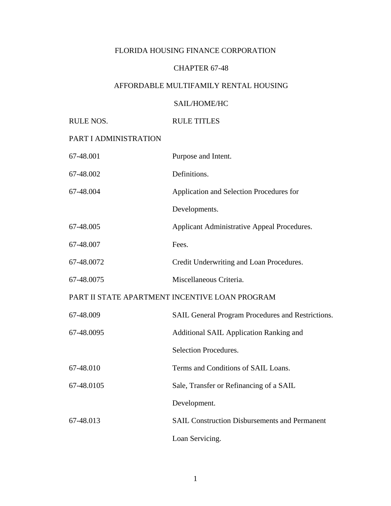## FLORIDA HOUSING FINANCE CORPORATION

### CHAPTER 67-48

### AFFORDABLE MULTIFAMILY RENTAL HOUSING

### SAIL/HOME/HC

## RULE NOS. RULE TITLES

## PART I ADMINISTRATION

| 67-48.001  | Purpose and Intent.                                      |
|------------|----------------------------------------------------------|
| 67-48.002  | Definitions.                                             |
| 67-48.004  | Application and Selection Procedures for                 |
|            | Developments.                                            |
| 67-48.005  | Applicant Administrative Appeal Procedures.              |
| 67-48.007  | Fees.                                                    |
| 67-48.0072 | Credit Underwriting and Loan Procedures.                 |
| 67-48.0075 | Miscellaneous Criteria.                                  |
|            | PART II STATE APARTMENT INCENTIVE LOAN PROGRAM           |
| 67-48.009  | <b>SAIL General Program Procedures and Restrictions.</b> |
| 67-48.0095 | <b>Additional SAIL Application Ranking and</b>           |
|            | Selection Procedures.                                    |
| 67-48.010  | Terms and Conditions of SAIL Loans.                      |
| 67-48.0105 | Sale, Transfer or Refinancing of a SAIL                  |
|            | Development.                                             |
| 67-48.013  | <b>SAIL Construction Disbursements and Permanent</b>     |
|            | Loan Servicing.                                          |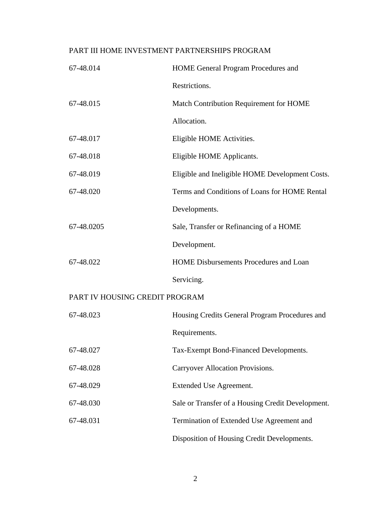# PART III HOME INVESTMENT PARTNERSHIPS PROGRAM

| 67-48.014                      | <b>HOME General Program Procedures and</b>        |
|--------------------------------|---------------------------------------------------|
|                                | Restrictions.                                     |
| 67-48.015                      | Match Contribution Requirement for HOME           |
|                                | Allocation.                                       |
| 67-48.017                      | Eligible HOME Activities.                         |
| 67-48.018                      | Eligible HOME Applicants.                         |
| 67-48.019                      | Eligible and Ineligible HOME Development Costs.   |
| 67-48.020                      | Terms and Conditions of Loans for HOME Rental     |
|                                | Developments.                                     |
| 67-48.0205                     | Sale, Transfer or Refinancing of a HOME           |
|                                | Development.                                      |
| 67-48.022                      | <b>HOME Disbursements Procedures and Loan</b>     |
|                                | Servicing.                                        |
| PART IV HOUSING CREDIT PROGRAM |                                                   |
| 67-48.023                      | Housing Credits General Program Procedures and    |
|                                | Requirements.                                     |
| 67-48.027                      | Tax-Exempt Bond-Financed Developments.            |
| 67-48.028                      | Carryover Allocation Provisions.                  |
| 67-48.029                      | Extended Use Agreement.                           |
| 67-48.030                      | Sale or Transfer of a Housing Credit Development. |
| 67-48.031                      | Termination of Extended Use Agreement and         |
|                                | Disposition of Housing Credit Developments.       |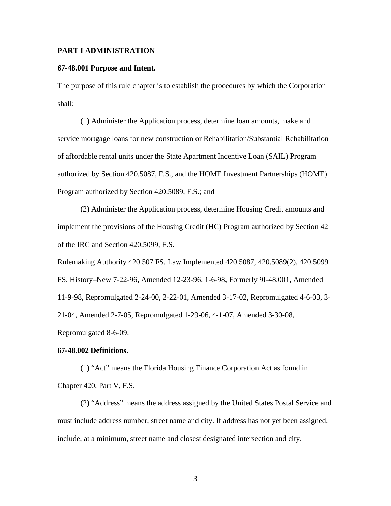#### **PART I ADMINISTRATION**

#### **67-48.001 Purpose and Intent.**

The purpose of this rule chapter is to establish the procedures by which the Corporation shall:

(1) Administer the Application process, determine loan amounts, make and service mortgage loans for new construction or Rehabilitation/Substantial Rehabilitation of affordable rental units under the State Apartment Incentive Loan (SAIL) Program authorized by Section 420.5087, F.S., and the HOME Investment Partnerships (HOME) Program authorized by Section 420.5089, F.S.; and

(2) Administer the Application process, determine Housing Credit amounts and implement the provisions of the Housing Credit (HC) Program authorized by Section 42 of the IRC and Section 420.5099, F.S.

Rulemaking Authority 420.507 FS. Law Implemented 420.5087, 420.5089(2), 420.5099 FS. History–New 7-22-96, Amended 12-23-96, 1-6-98, Formerly 9I-48.001, Amended 11-9-98, Repromulgated 2-24-00, 2-22-01, Amended 3-17-02, Repromulgated 4-6-03, 3- 21-04, Amended 2-7-05, Repromulgated 1-29-06, 4-1-07, Amended 3-30-08, Repromulgated 8-6-09.

#### **67-48.002 Definitions.**

(1) "Act" means the Florida Housing Finance Corporation Act as found in Chapter 420, Part V, F.S.

(2) "Address" means the address assigned by the United States Postal Service and must include address number, street name and city. If address has not yet been assigned, include, at a minimum, street name and closest designated intersection and city.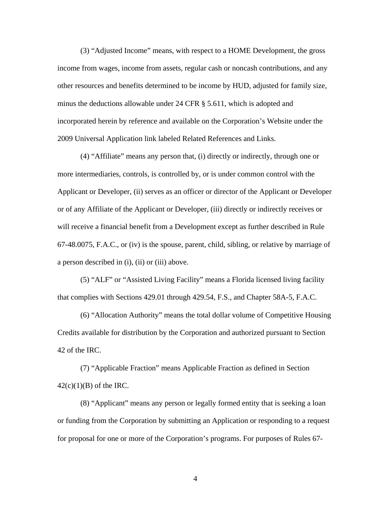(3) "Adjusted Income" means, with respect to a HOME Development, the gross income from wages, income from assets, regular cash or noncash contributions, and any other resources and benefits determined to be income by HUD, adjusted for family size, minus the deductions allowable under 24 CFR § 5.611, which is adopted and incorporated herein by reference and available on the Corporation's Website under the 2009 Universal Application link labeled Related References and Links.

(4) "Affiliate" means any person that, (i) directly or indirectly, through one or more intermediaries, controls, is controlled by, or is under common control with the Applicant or Developer, (ii) serves as an officer or director of the Applicant or Developer or of any Affiliate of the Applicant or Developer, (iii) directly or indirectly receives or will receive a financial benefit from a Development except as further described in Rule 67-48.0075, F.A.C., or (iv) is the spouse, parent, child, sibling, or relative by marriage of a person described in (i), (ii) or (iii) above.

(5) "ALF" or "Assisted Living Facility" means a Florida licensed living facility that complies with Sections 429.01 through 429.54, F.S., and Chapter 58A-5, F.A.C.

(6) "Allocation Authority" means the total dollar volume of Competitive Housing Credits available for distribution by the Corporation and authorized pursuant to Section 42 of the IRC.

(7) "Applicable Fraction" means Applicable Fraction as defined in Section  $42(c)(1)(B)$  of the IRC.

(8) "Applicant" means any person or legally formed entity that is seeking a loan or funding from the Corporation by submitting an Application or responding to a request for proposal for one or more of the Corporation's programs. For purposes of Rules 67-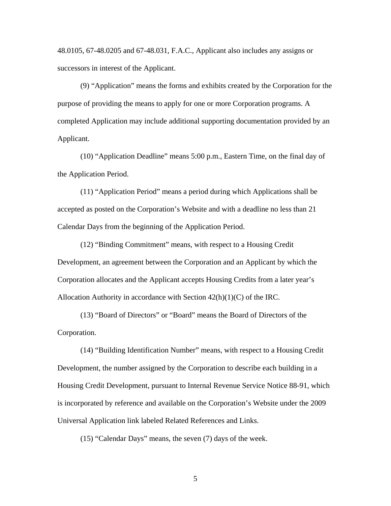48.0105, 67-48.0205 and 67-48.031, F.A.C., Applicant also includes any assigns or successors in interest of the Applicant.

(9) "Application" means the forms and exhibits created by the Corporation for the purpose of providing the means to apply for one or more Corporation programs. A completed Application may include additional supporting documentation provided by an Applicant.

(10) "Application Deadline" means 5:00 p.m., Eastern Time, on the final day of the Application Period.

(11) "Application Period" means a period during which Applications shall be accepted as posted on the Corporation's Website and with a deadline no less than 21 Calendar Days from the beginning of the Application Period.

(12) "Binding Commitment" means, with respect to a Housing Credit Development, an agreement between the Corporation and an Applicant by which the Corporation allocates and the Applicant accepts Housing Credits from a later year's Allocation Authority in accordance with Section 42(h)(1)(C) of the IRC.

(13) "Board of Directors" or "Board" means the Board of Directors of the Corporation.

(14) "Building Identification Number" means, with respect to a Housing Credit Development, the number assigned by the Corporation to describe each building in a Housing Credit Development, pursuant to Internal Revenue Service Notice 88-91, which is incorporated by reference and available on the Corporation's Website under the 2009 Universal Application link labeled Related References and Links.

(15) "Calendar Days" means, the seven (7) days of the week.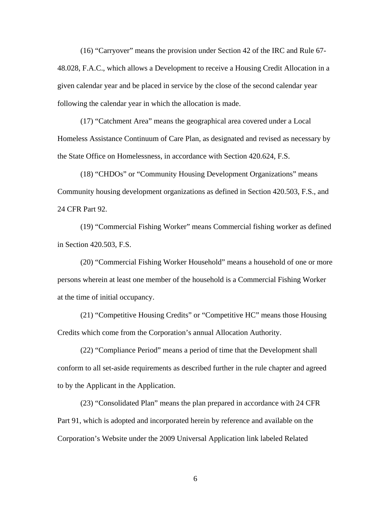(16) "Carryover" means the provision under Section 42 of the IRC and Rule 67- 48.028, F.A.C., which allows a Development to receive a Housing Credit Allocation in a given calendar year and be placed in service by the close of the second calendar year following the calendar year in which the allocation is made.

(17) "Catchment Area" means the geographical area covered under a Local Homeless Assistance Continuum of Care Plan, as designated and revised as necessary by the State Office on Homelessness, in accordance with Section 420.624, F.S.

(18) "CHDOs" or "Community Housing Development Organizations" means Community housing development organizations as defined in Section 420.503, F.S., and 24 CFR Part 92.

(19) "Commercial Fishing Worker" means Commercial fishing worker as defined in Section 420.503, F.S.

(20) "Commercial Fishing Worker Household" means a household of one or more persons wherein at least one member of the household is a Commercial Fishing Worker at the time of initial occupancy.

(21) "Competitive Housing Credits" or "Competitive HC" means those Housing Credits which come from the Corporation's annual Allocation Authority.

(22) "Compliance Period" means a period of time that the Development shall conform to all set-aside requirements as described further in the rule chapter and agreed to by the Applicant in the Application.

(23) "Consolidated Plan" means the plan prepared in accordance with 24 CFR Part 91, which is adopted and incorporated herein by reference and available on the Corporation's Website under the 2009 Universal Application link labeled Related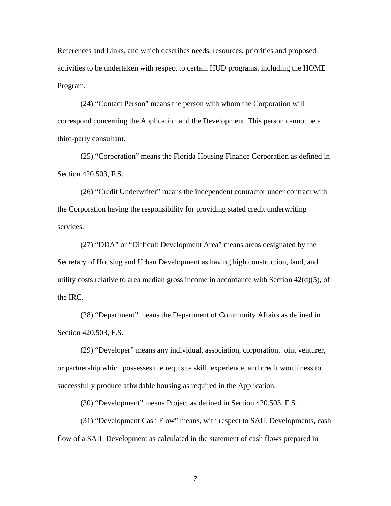References and Links, and which describes needs, resources, priorities and proposed activities to be undertaken with respect to certain HUD programs, including the HOME Program.

(24) "Contact Person" means the person with whom the Corporation will correspond concerning the Application and the Development. This person cannot be a third-party consultant.

(25) "Corporation" means the Florida Housing Finance Corporation as defined in Section 420.503, F.S.

(26) "Credit Underwriter" means the independent contractor under contract with the Corporation having the responsibility for providing stated credit underwriting services.

(27) "DDA" or "Difficult Development Area" means areas designated by the Secretary of Housing and Urban Development as having high construction, land, and utility costs relative to area median gross income in accordance with Section  $42(d)(5)$ , of the IRC.

(28) "Department" means the Department of Community Affairs as defined in Section 420.503, F.S.

(29) "Developer" means any individual, association, corporation, joint venturer, or partnership which possesses the requisite skill, experience, and credit worthiness to successfully produce affordable housing as required in the Application.

(30) "Development" means Project as defined in Section 420.503, F.S.

(31) "Development Cash Flow" means, with respect to SAIL Developments, cash flow of a SAIL Development as calculated in the statement of cash flows prepared in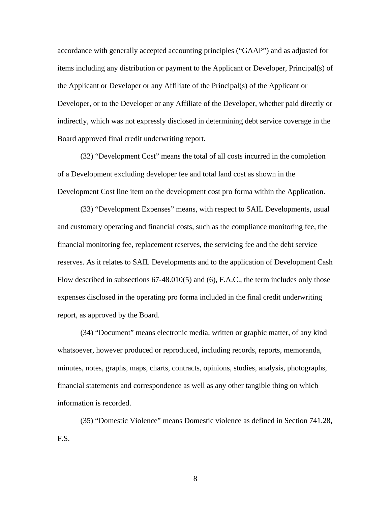accordance with generally accepted accounting principles ("GAAP") and as adjusted for items including any distribution or payment to the Applicant or Developer, Principal(s) of the Applicant or Developer or any Affiliate of the Principal(s) of the Applicant or Developer, or to the Developer or any Affiliate of the Developer, whether paid directly or indirectly, which was not expressly disclosed in determining debt service coverage in the Board approved final credit underwriting report.

(32) "Development Cost" means the total of all costs incurred in the completion of a Development excluding developer fee and total land cost as shown in the Development Cost line item on the development cost pro forma within the Application.

(33) "Development Expenses" means, with respect to SAIL Developments, usual and customary operating and financial costs, such as the compliance monitoring fee, the financial monitoring fee, replacement reserves, the servicing fee and the debt service reserves. As it relates to SAIL Developments and to the application of Development Cash Flow described in subsections 67-48.010(5) and (6), F.A.C., the term includes only those expenses disclosed in the operating pro forma included in the final credit underwriting report, as approved by the Board.

(34) "Document" means electronic media, written or graphic matter, of any kind whatsoever, however produced or reproduced, including records, reports, memoranda, minutes, notes, graphs, maps, charts, contracts, opinions, studies, analysis, photographs, financial statements and correspondence as well as any other tangible thing on which information is recorded.

(35) "Domestic Violence" means Domestic violence as defined in Section 741.28, F.S.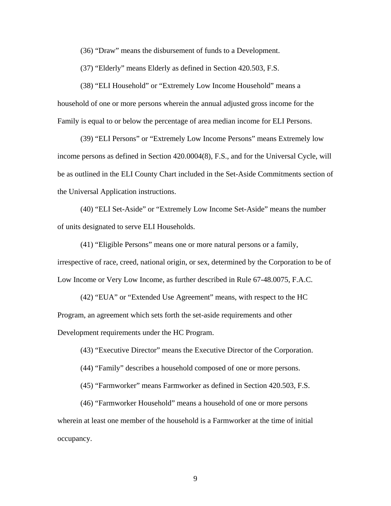(36) "Draw" means the disbursement of funds to a Development.

(37) "Elderly" means Elderly as defined in Section 420.503, F.S.

(38) "ELI Household" or "Extremely Low Income Household" means a household of one or more persons wherein the annual adjusted gross income for the Family is equal to or below the percentage of area median income for ELI Persons.

(39) "ELI Persons" or "Extremely Low Income Persons" means Extremely low income persons as defined in Section 420.0004(8), F.S., and for the Universal Cycle, will be as outlined in the ELI County Chart included in the Set-Aside Commitments section of the Universal Application instructions.

(40) "ELI Set-Aside" or "Extremely Low Income Set-Aside" means the number of units designated to serve ELI Households.

(41) "Eligible Persons" means one or more natural persons or a family, irrespective of race, creed, national origin, or sex, determined by the Corporation to be of Low Income or Very Low Income, as further described in Rule 67-48.0075, F.A.C.

(42) "EUA" or "Extended Use Agreement" means, with respect to the HC Program, an agreement which sets forth the set-aside requirements and other Development requirements under the HC Program.

(43) "Executive Director" means the Executive Director of the Corporation.

(44) "Family" describes a household composed of one or more persons.

(45) "Farmworker" means Farmworker as defined in Section 420.503, F.S.

(46) "Farmworker Household" means a household of one or more persons wherein at least one member of the household is a Farmworker at the time of initial occupancy.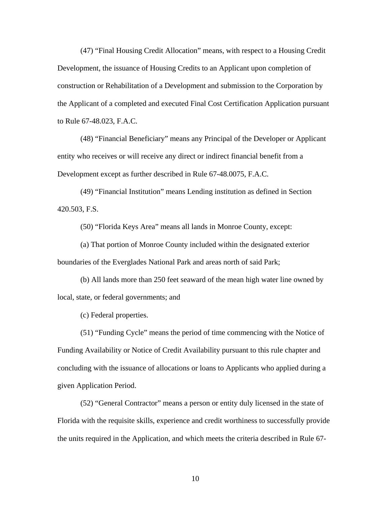(47) "Final Housing Credit Allocation" means, with respect to a Housing Credit Development, the issuance of Housing Credits to an Applicant upon completion of construction or Rehabilitation of a Development and submission to the Corporation by the Applicant of a completed and executed Final Cost Certification Application pursuant to Rule 67-48.023, F.A.C.

(48) "Financial Beneficiary" means any Principal of the Developer or Applicant entity who receives or will receive any direct or indirect financial benefit from a Development except as further described in Rule 67-48.0075, F.A.C.

(49) "Financial Institution" means Lending institution as defined in Section 420.503, F.S.

(50) "Florida Keys Area" means all lands in Monroe County, except:

(a) That portion of Monroe County included within the designated exterior boundaries of the Everglades National Park and areas north of said Park;

(b) All lands more than 250 feet seaward of the mean high water line owned by local, state, or federal governments; and

(c) Federal properties.

(51) "Funding Cycle" means the period of time commencing with the Notice of Funding Availability or Notice of Credit Availability pursuant to this rule chapter and concluding with the issuance of allocations or loans to Applicants who applied during a given Application Period.

(52) "General Contractor" means a person or entity duly licensed in the state of Florida with the requisite skills, experience and credit worthiness to successfully provide the units required in the Application, and which meets the criteria described in Rule 67-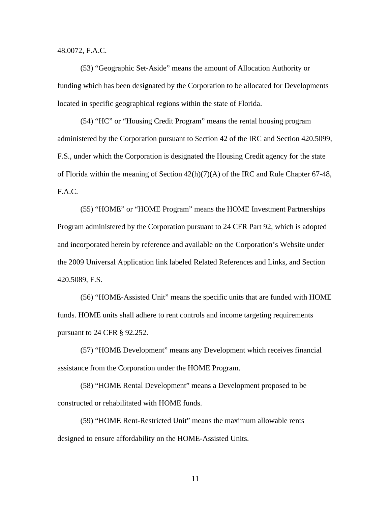48.0072, F.A.C.

(53) "Geographic Set-Aside" means the amount of Allocation Authority or funding which has been designated by the Corporation to be allocated for Developments located in specific geographical regions within the state of Florida.

(54) "HC" or "Housing Credit Program" means the rental housing program administered by the Corporation pursuant to Section 42 of the IRC and Section 420.5099, F.S., under which the Corporation is designated the Housing Credit agency for the state of Florida within the meaning of Section 42(h)(7)(A) of the IRC and Rule Chapter 67-48, F.A.C.

(55) "HOME" or "HOME Program" means the HOME Investment Partnerships Program administered by the Corporation pursuant to 24 CFR Part 92, which is adopted and incorporated herein by reference and available on the Corporation's Website under the 2009 Universal Application link labeled Related References and Links, and Section 420.5089, F.S.

(56) "HOME-Assisted Unit" means the specific units that are funded with HOME funds. HOME units shall adhere to rent controls and income targeting requirements pursuant to 24 CFR § 92.252.

(57) "HOME Development" means any Development which receives financial assistance from the Corporation under the HOME Program.

(58) "HOME Rental Development" means a Development proposed to be constructed or rehabilitated with HOME funds.

(59) "HOME Rent-Restricted Unit" means the maximum allowable rents designed to ensure affordability on the HOME-Assisted Units.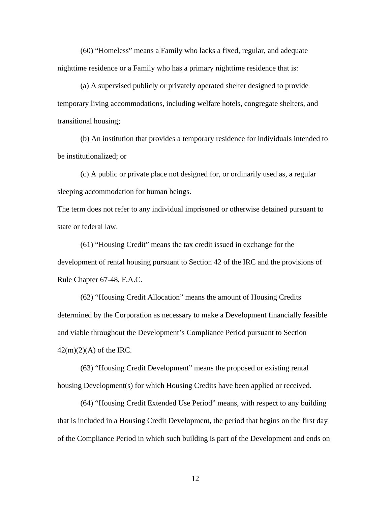(60) "Homeless" means a Family who lacks a fixed, regular, and adequate nighttime residence or a Family who has a primary nighttime residence that is:

(a) A supervised publicly or privately operated shelter designed to provide temporary living accommodations, including welfare hotels, congregate shelters, and transitional housing;

(b) An institution that provides a temporary residence for individuals intended to be institutionalized; or

(c) A public or private place not designed for, or ordinarily used as, a regular sleeping accommodation for human beings.

The term does not refer to any individual imprisoned or otherwise detained pursuant to state or federal law.

(61) "Housing Credit" means the tax credit issued in exchange for the development of rental housing pursuant to Section 42 of the IRC and the provisions of Rule Chapter 67-48, F.A.C.

(62) "Housing Credit Allocation" means the amount of Housing Credits determined by the Corporation as necessary to make a Development financially feasible and viable throughout the Development's Compliance Period pursuant to Section  $42(m)(2)(A)$  of the IRC.

(63) "Housing Credit Development" means the proposed or existing rental housing Development(s) for which Housing Credits have been applied or received.

(64) "Housing Credit Extended Use Period" means, with respect to any building that is included in a Housing Credit Development, the period that begins on the first day of the Compliance Period in which such building is part of the Development and ends on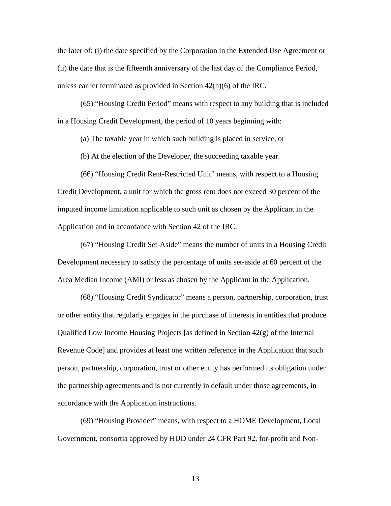the later of: (i) the date specified by the Corporation in the Extended Use Agreement or (ii) the date that is the fifteenth anniversary of the last day of the Compliance Period, unless earlier terminated as provided in Section 42(h)(6) of the IRC.

(65) "Housing Credit Period" means with respect to any building that is included in a Housing Credit Development, the period of 10 years beginning with:

(a) The taxable year in which such building is placed in service, or

(b) At the election of the Developer, the succeeding taxable year.

(66) "Housing Credit Rent-Restricted Unit" means, with respect to a Housing Credit Development, a unit for which the gross rent does not exceed 30 percent of the imputed income limitation applicable to such unit as chosen by the Applicant in the Application and in accordance with Section 42 of the IRC.

(67) "Housing Credit Set-Aside" means the number of units in a Housing Credit Development necessary to satisfy the percentage of units set-aside at 60 percent of the Area Median Income (AMI) or less as chosen by the Applicant in the Application.

(68) "Housing Credit Syndicator" means a person, partnership, corporation, trust or other entity that regularly engages in the purchase of interests in entities that produce Qualified Low Income Housing Projects [as defined in Section  $42(g)$  of the Internal Revenue Code] and provides at least one written reference in the Application that such person, partnership, corporation, trust or other entity has performed its obligation under the partnership agreements and is not currently in default under those agreements, in accordance with the Application instructions.

(69) "Housing Provider" means, with respect to a HOME Development, Local Government, consortia approved by HUD under 24 CFR Part 92, for-profit and Non-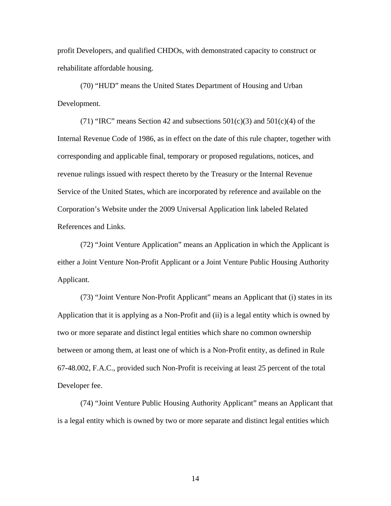profit Developers, and qualified CHDOs, with demonstrated capacity to construct or rehabilitate affordable housing.

(70) "HUD" means the United States Department of Housing and Urban Development.

(71) "IRC" means Section 42 and subsections  $501(c)(3)$  and  $501(c)(4)$  of the Internal Revenue Code of 1986, as in effect on the date of this rule chapter, together with corresponding and applicable final, temporary or proposed regulations, notices, and revenue rulings issued with respect thereto by the Treasury or the Internal Revenue Service of the United States, which are incorporated by reference and available on the Corporation's Website under the 2009 Universal Application link labeled Related References and Links.

(72) "Joint Venture Application" means an Application in which the Applicant is either a Joint Venture Non-Profit Applicant or a Joint Venture Public Housing Authority Applicant.

(73) "Joint Venture Non-Profit Applicant" means an Applicant that (i) states in its Application that it is applying as a Non-Profit and (ii) is a legal entity which is owned by two or more separate and distinct legal entities which share no common ownership between or among them, at least one of which is a Non-Profit entity, as defined in Rule 67-48.002, F.A.C., provided such Non-Profit is receiving at least 25 percent of the total Developer fee.

(74) "Joint Venture Public Housing Authority Applicant" means an Applicant that is a legal entity which is owned by two or more separate and distinct legal entities which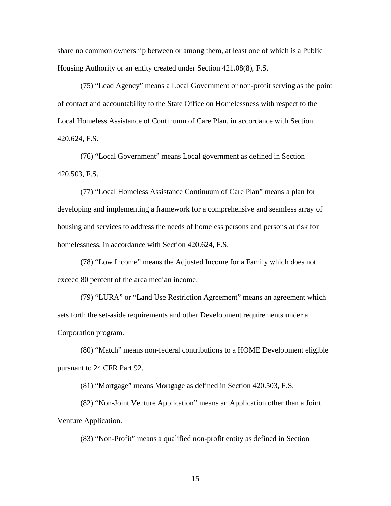share no common ownership between or among them, at least one of which is a Public Housing Authority or an entity created under Section 421.08(8), F.S.

(75) "Lead Agency" means a Local Government or non-profit serving as the point of contact and accountability to the State Office on Homelessness with respect to the Local Homeless Assistance of Continuum of Care Plan, in accordance with Section 420.624, F.S.

(76) "Local Government" means Local government as defined in Section 420.503, F.S.

(77) "Local Homeless Assistance Continuum of Care Plan" means a plan for developing and implementing a framework for a comprehensive and seamless array of housing and services to address the needs of homeless persons and persons at risk for homelessness, in accordance with Section 420.624, F.S.

(78) "Low Income" means the Adjusted Income for a Family which does not exceed 80 percent of the area median income.

(79) "LURA" or "Land Use Restriction Agreement" means an agreement which sets forth the set-aside requirements and other Development requirements under a Corporation program.

(80) "Match" means non-federal contributions to a HOME Development eligible pursuant to 24 CFR Part 92.

(81) "Mortgage" means Mortgage as defined in Section 420.503, F.S.

(82) "Non-Joint Venture Application" means an Application other than a Joint Venture Application.

(83) "Non-Profit" means a qualified non-profit entity as defined in Section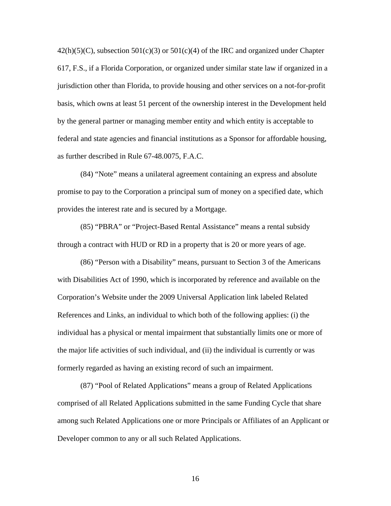$42(h)(5)(C)$ , subsection  $501(c)(3)$  or  $501(c)(4)$  of the IRC and organized under Chapter 617, F.S., if a Florida Corporation, or organized under similar state law if organized in a jurisdiction other than Florida, to provide housing and other services on a not-for-profit basis, which owns at least 51 percent of the ownership interest in the Development held by the general partner or managing member entity and which entity is acceptable to federal and state agencies and financial institutions as a Sponsor for affordable housing, as further described in Rule 67-48.0075, F.A.C.

(84) "Note" means a unilateral agreement containing an express and absolute promise to pay to the Corporation a principal sum of money on a specified date, which provides the interest rate and is secured by a Mortgage.

(85) "PBRA" or "Project-Based Rental Assistance" means a rental subsidy through a contract with HUD or RD in a property that is 20 or more years of age.

(86) "Person with a Disability" means, pursuant to Section 3 of the Americans with Disabilities Act of 1990, which is incorporated by reference and available on the Corporation's Website under the 2009 Universal Application link labeled Related References and Links, an individual to which both of the following applies: (i) the individual has a physical or mental impairment that substantially limits one or more of the major life activities of such individual, and (ii) the individual is currently or was formerly regarded as having an existing record of such an impairment.

(87) "Pool of Related Applications" means a group of Related Applications comprised of all Related Applications submitted in the same Funding Cycle that share among such Related Applications one or more Principals or Affiliates of an Applicant or Developer common to any or all such Related Applications.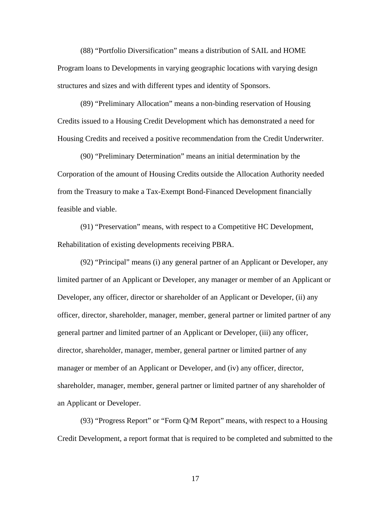(88) "Portfolio Diversification" means a distribution of SAIL and HOME Program loans to Developments in varying geographic locations with varying design structures and sizes and with different types and identity of Sponsors.

(89) "Preliminary Allocation" means a non-binding reservation of Housing Credits issued to a Housing Credit Development which has demonstrated a need for Housing Credits and received a positive recommendation from the Credit Underwriter.

(90) "Preliminary Determination" means an initial determination by the Corporation of the amount of Housing Credits outside the Allocation Authority needed from the Treasury to make a Tax-Exempt Bond-Financed Development financially feasible and viable.

(91) "Preservation" means, with respect to a Competitive HC Development, Rehabilitation of existing developments receiving PBRA.

(92) "Principal" means (i) any general partner of an Applicant or Developer, any limited partner of an Applicant or Developer, any manager or member of an Applicant or Developer, any officer, director or shareholder of an Applicant or Developer, (ii) any officer, director, shareholder, manager, member, general partner or limited partner of any general partner and limited partner of an Applicant or Developer, (iii) any officer, director, shareholder, manager, member, general partner or limited partner of any manager or member of an Applicant or Developer, and (iv) any officer, director, shareholder, manager, member, general partner or limited partner of any shareholder of an Applicant or Developer.

(93) "Progress Report" or "Form Q/M Report" means, with respect to a Housing Credit Development, a report format that is required to be completed and submitted to the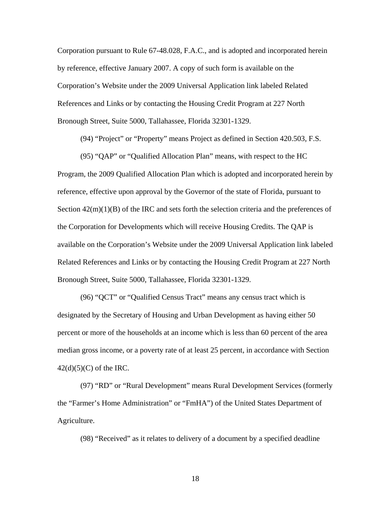Corporation pursuant to Rule 67-48.028, F.A.C., and is adopted and incorporated herein by reference, effective January 2007. A copy of such form is available on the Corporation's Website under the 2009 Universal Application link labeled Related References and Links or by contacting the Housing Credit Program at 227 North Bronough Street, Suite 5000, Tallahassee, Florida 32301-1329.

(94) "Project" or "Property" means Project as defined in Section 420.503, F.S.

(95) "QAP" or "Qualified Allocation Plan" means, with respect to the HC Program, the 2009 Qualified Allocation Plan which is adopted and incorporated herein by reference, effective upon approval by the Governor of the state of Florida, pursuant to Section  $42(m)(1)(B)$  of the IRC and sets forth the selection criteria and the preferences of the Corporation for Developments which will receive Housing Credits. The QAP is available on the Corporation's Website under the 2009 Universal Application link labeled Related References and Links or by contacting the Housing Credit Program at 227 North Bronough Street, Suite 5000, Tallahassee, Florida 32301-1329.

(96) "QCT" or "Qualified Census Tract" means any census tract which is designated by the Secretary of Housing and Urban Development as having either 50 percent or more of the households at an income which is less than 60 percent of the area median gross income, or a poverty rate of at least 25 percent, in accordance with Section  $42(d)(5)(C)$  of the IRC.

(97) "RD" or "Rural Development" means Rural Development Services (formerly the "Farmer's Home Administration" or "FmHA") of the United States Department of Agriculture.

(98) "Received" as it relates to delivery of a document by a specified deadline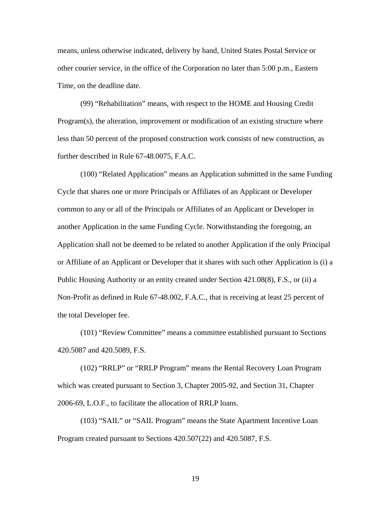means, unless otherwise indicated, delivery by hand, United States Postal Service or other courier service, in the office of the Corporation no later than 5:00 p.m., Eastern Time, on the deadline date.

(99) "Rehabilitation" means, with respect to the HOME and Housing Credit Program(s), the alteration, improvement or modification of an existing structure where less than 50 percent of the proposed construction work consists of new construction, as further described in Rule 67-48.0075, F.A.C.

(100) "Related Application" means an Application submitted in the same Funding Cycle that shares one or more Principals or Affiliates of an Applicant or Developer common to any or all of the Principals or Affiliates of an Applicant or Developer in another Application in the same Funding Cycle. Notwithstanding the foregoing, an Application shall not be deemed to be related to another Application if the only Principal or Affiliate of an Applicant or Developer that it shares with such other Application is (i) a Public Housing Authority or an entity created under Section 421.08(8), F.S., or (ii) a Non-Profit as defined in Rule 67-48.002, F.A.C., that is receiving at least 25 percent of the total Developer fee.

(101) "Review Committee" means a committee established pursuant to Sections 420.5087 and 420.5089, F.S.

(102) "RRLP" or "RRLP Program" means the Rental Recovery Loan Program which was created pursuant to Section 3, Chapter 2005-92, and Section 31, Chapter 2006-69, L.O.F., to facilitate the allocation of RRLP loans.

(103) "SAIL" or "SAIL Program" means the State Apartment Incentive Loan Program created pursuant to Sections 420.507(22) and 420.5087, F.S.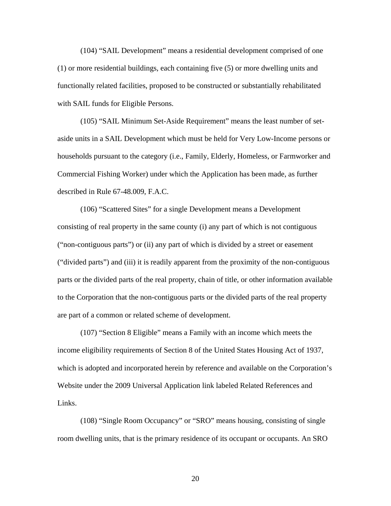(104) "SAIL Development" means a residential development comprised of one (1) or more residential buildings, each containing five (5) or more dwelling units and functionally related facilities, proposed to be constructed or substantially rehabilitated with SAIL funds for Eligible Persons.

(105) "SAIL Minimum Set-Aside Requirement" means the least number of setaside units in a SAIL Development which must be held for Very Low-Income persons or households pursuant to the category (i.e., Family, Elderly, Homeless, or Farmworker and Commercial Fishing Worker) under which the Application has been made, as further described in Rule 67-48.009, F.A.C.

(106) "Scattered Sites" for a single Development means a Development consisting of real property in the same county (i) any part of which is not contiguous ("non-contiguous parts") or (ii) any part of which is divided by a street or easement ("divided parts") and (iii) it is readily apparent from the proximity of the non-contiguous parts or the divided parts of the real property, chain of title, or other information available to the Corporation that the non-contiguous parts or the divided parts of the real property are part of a common or related scheme of development.

(107) "Section 8 Eligible" means a Family with an income which meets the income eligibility requirements of Section 8 of the United States Housing Act of 1937, which is adopted and incorporated herein by reference and available on the Corporation's Website under the 2009 Universal Application link labeled Related References and Links.

(108) "Single Room Occupancy" or "SRO" means housing, consisting of single room dwelling units, that is the primary residence of its occupant or occupants. An SRO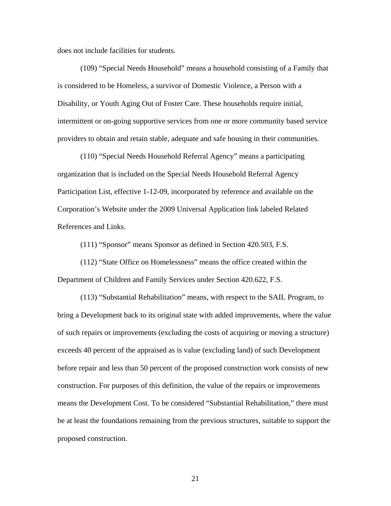does not include facilities for students.

(109) "Special Needs Household" means a household consisting of a Family that is considered to be Homeless, a survivor of Domestic Violence, a Person with a Disability, or Youth Aging Out of Foster Care. These households require initial, intermittent or on-going supportive services from one or more community based service providers to obtain and retain stable, adequate and safe housing in their communities.

(110) "Special Needs Household Referral Agency" means a participating organization that is included on the Special Needs Household Referral Agency Participation List, effective 1-12-09, incorporated by reference and available on the Corporation's Website under the 2009 Universal Application link labeled Related References and Links.

(111) "Sponsor" means Sponsor as defined in Section 420.503, F.S.

(112) "State Office on Homelessness" means the office created within the Department of Children and Family Services under Section 420.622, F.S.

(113) "Substantial Rehabilitation" means, with respect to the SAIL Program, to bring a Development back to its original state with added improvements, where the value of such repairs or improvements (excluding the costs of acquiring or moving a structure) exceeds 40 percent of the appraised as is value (excluding land) of such Development before repair and less than 50 percent of the proposed construction work consists of new construction. For purposes of this definition, the value of the repairs or improvements means the Development Cost. To be considered "Substantial Rehabilitation," there must be at least the foundations remaining from the previous structures, suitable to support the proposed construction.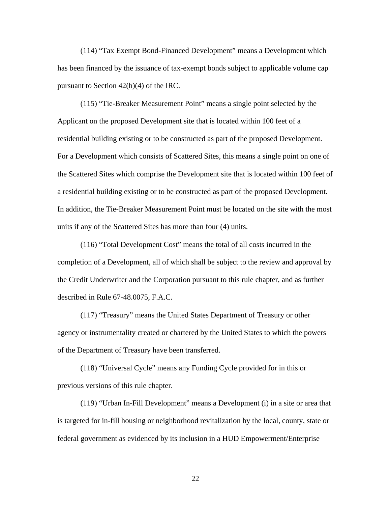(114) "Tax Exempt Bond-Financed Development" means a Development which has been financed by the issuance of tax-exempt bonds subject to applicable volume cap pursuant to Section 42(h)(4) of the IRC.

(115) "Tie-Breaker Measurement Point" means a single point selected by the Applicant on the proposed Development site that is located within 100 feet of a residential building existing or to be constructed as part of the proposed Development. For a Development which consists of Scattered Sites, this means a single point on one of the Scattered Sites which comprise the Development site that is located within 100 feet of a residential building existing or to be constructed as part of the proposed Development. In addition, the Tie-Breaker Measurement Point must be located on the site with the most units if any of the Scattered Sites has more than four (4) units.

(116) "Total Development Cost" means the total of all costs incurred in the completion of a Development, all of which shall be subject to the review and approval by the Credit Underwriter and the Corporation pursuant to this rule chapter, and as further described in Rule 67-48.0075, F.A.C.

(117) "Treasury" means the United States Department of Treasury or other agency or instrumentality created or chartered by the United States to which the powers of the Department of Treasury have been transferred.

(118) "Universal Cycle" means any Funding Cycle provided for in this or previous versions of this rule chapter.

(119) "Urban In-Fill Development" means a Development (i) in a site or area that is targeted for in-fill housing or neighborhood revitalization by the local, county, state or federal government as evidenced by its inclusion in a HUD Empowerment/Enterprise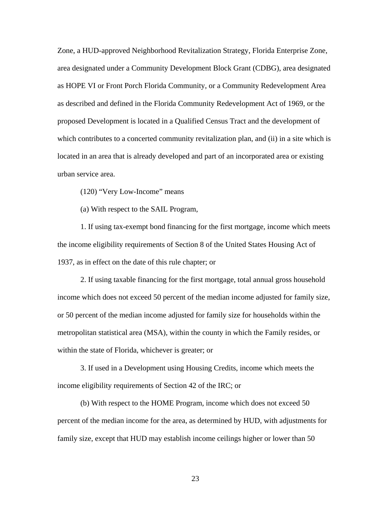Zone, a HUD-approved Neighborhood Revitalization Strategy, Florida Enterprise Zone, area designated under a Community Development Block Grant (CDBG), area designated as HOPE VI or Front Porch Florida Community, or a Community Redevelopment Area as described and defined in the Florida Community Redevelopment Act of 1969, or the proposed Development is located in a Qualified Census Tract and the development of which contributes to a concerted community revitalization plan, and (ii) in a site which is located in an area that is already developed and part of an incorporated area or existing urban service area.

(120) "Very Low-Income" means

(a) With respect to the SAIL Program,

1. If using tax-exempt bond financing for the first mortgage, income which meets the income eligibility requirements of Section 8 of the United States Housing Act of 1937, as in effect on the date of this rule chapter; or

2. If using taxable financing for the first mortgage, total annual gross household income which does not exceed 50 percent of the median income adjusted for family size, or 50 percent of the median income adjusted for family size for households within the metropolitan statistical area (MSA), within the county in which the Family resides, or within the state of Florida, whichever is greater; or

3. If used in a Development using Housing Credits, income which meets the income eligibility requirements of Section 42 of the IRC; or

(b) With respect to the HOME Program, income which does not exceed 50 percent of the median income for the area, as determined by HUD, with adjustments for family size, except that HUD may establish income ceilings higher or lower than 50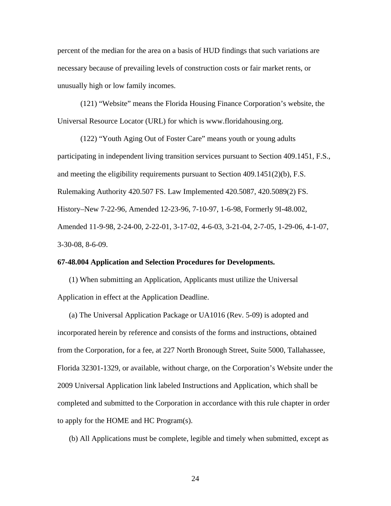percent of the median for the area on a basis of HUD findings that such variations are necessary because of prevailing levels of construction costs or fair market rents, or unusually high or low family incomes.

(121) "Website" means the Florida Housing Finance Corporation's website, the Universal Resource Locator (URL) for which is www.floridahousing.org.

(122) "Youth Aging Out of Foster Care" means youth or young adults participating in independent living transition services pursuant to Section 409.1451, F.S., and meeting the eligibility requirements pursuant to Section  $409.1451(2)(b)$ , F.S. Rulemaking Authority 420.507 FS. Law Implemented 420.5087, 420.5089(2) FS. History–New 7-22-96, Amended 12-23-96, 7-10-97, 1-6-98, Formerly 9I-48.002, Amended 11-9-98, 2-24-00, 2-22-01, 3-17-02, 4-6-03, 3-21-04, 2-7-05, 1-29-06, 4-1-07, 3-30-08, 8-6-09.

#### **67-48.004 Application and Selection Procedures for Developments.**

(1) When submitting an Application, Applicants must utilize the Universal Application in effect at the Application Deadline.

(a) The Universal Application Package or UA1016 (Rev. 5-09) is adopted and incorporated herein by reference and consists of the forms and instructions, obtained from the Corporation, for a fee, at 227 North Bronough Street, Suite 5000, Tallahassee, Florida 32301-1329, or available, without charge, on the Corporation's Website under the 2009 Universal Application link labeled Instructions and Application, which shall be completed and submitted to the Corporation in accordance with this rule chapter in order to apply for the HOME and HC Program(s).

(b) All Applications must be complete, legible and timely when submitted, except as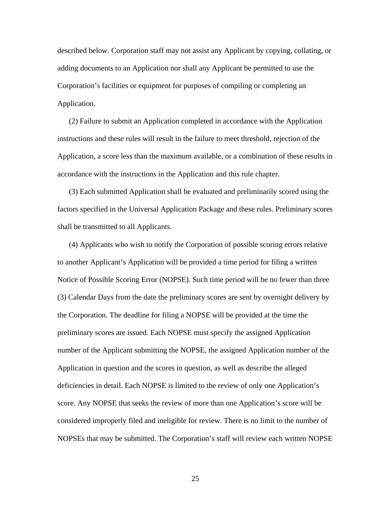described below. Corporation staff may not assist any Applicant by copying, collating, or adding documents to an Application nor shall any Applicant be permitted to use the Corporation's facilities or equipment for purposes of compiling or completing an Application.

(2) Failure to submit an Application completed in accordance with the Application instructions and these rules will result in the failure to meet threshold, rejection of the Application, a score less than the maximum available, or a combination of these results in accordance with the instructions in the Application and this rule chapter.

(3) Each submitted Application shall be evaluated and preliminarily scored using the factors specified in the Universal Application Package and these rules. Preliminary scores shall be transmitted to all Applicants.

(4) Applicants who wish to notify the Corporation of possible scoring errors relative to another Applicant's Application will be provided a time period for filing a written Notice of Possible Scoring Error (NOPSE). Such time period will be no fewer than three (3) Calendar Days from the date the preliminary scores are sent by overnight delivery by the Corporation. The deadline for filing a NOPSE will be provided at the time the preliminary scores are issued. Each NOPSE must specify the assigned Application number of the Applicant submitting the NOPSE, the assigned Application number of the Application in question and the scores in question, as well as describe the alleged deficiencies in detail. Each NOPSE is limited to the review of only one Application's score. Any NOPSE that seeks the review of more than one Application's score will be considered improperly filed and ineligible for review. There is no limit to the number of NOPSEs that may be submitted. The Corporation's staff will review each written NOPSE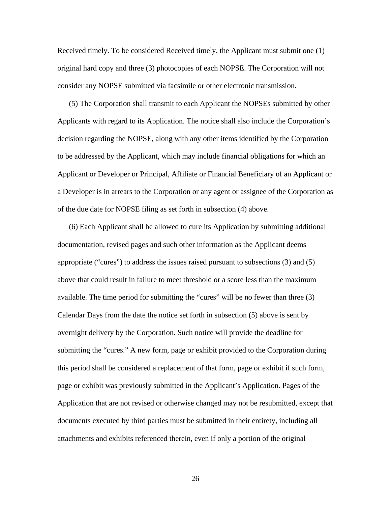Received timely. To be considered Received timely, the Applicant must submit one (1) original hard copy and three (3) photocopies of each NOPSE. The Corporation will not consider any NOPSE submitted via facsimile or other electronic transmission.

(5) The Corporation shall transmit to each Applicant the NOPSEs submitted by other Applicants with regard to its Application. The notice shall also include the Corporation's decision regarding the NOPSE, along with any other items identified by the Corporation to be addressed by the Applicant, which may include financial obligations for which an Applicant or Developer or Principal, Affiliate or Financial Beneficiary of an Applicant or a Developer is in arrears to the Corporation or any agent or assignee of the Corporation as of the due date for NOPSE filing as set forth in subsection (4) above.

(6) Each Applicant shall be allowed to cure its Application by submitting additional documentation, revised pages and such other information as the Applicant deems appropriate ("cures") to address the issues raised pursuant to subsections (3) and (5) above that could result in failure to meet threshold or a score less than the maximum available. The time period for submitting the "cures" will be no fewer than three (3) Calendar Days from the date the notice set forth in subsection (5) above is sent by overnight delivery by the Corporation. Such notice will provide the deadline for submitting the "cures." A new form, page or exhibit provided to the Corporation during this period shall be considered a replacement of that form, page or exhibit if such form, page or exhibit was previously submitted in the Applicant's Application. Pages of the Application that are not revised or otherwise changed may not be resubmitted, except that documents executed by third parties must be submitted in their entirety, including all attachments and exhibits referenced therein, even if only a portion of the original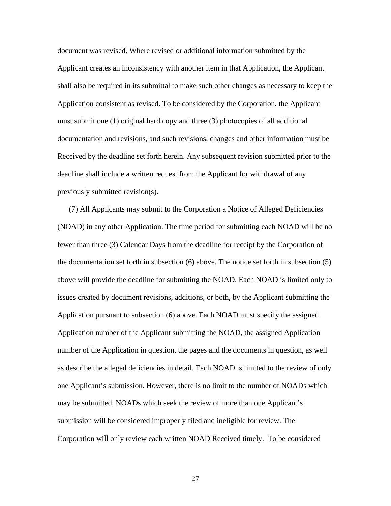document was revised. Where revised or additional information submitted by the Applicant creates an inconsistency with another item in that Application, the Applicant shall also be required in its submittal to make such other changes as necessary to keep the Application consistent as revised. To be considered by the Corporation, the Applicant must submit one (1) original hard copy and three (3) photocopies of all additional documentation and revisions, and such revisions, changes and other information must be Received by the deadline set forth herein. Any subsequent revision submitted prior to the deadline shall include a written request from the Applicant for withdrawal of any previously submitted revision(s).

(7) All Applicants may submit to the Corporation a Notice of Alleged Deficiencies (NOAD) in any other Application. The time period for submitting each NOAD will be no fewer than three (3) Calendar Days from the deadline for receipt by the Corporation of the documentation set forth in subsection (6) above. The notice set forth in subsection (5) above will provide the deadline for submitting the NOAD. Each NOAD is limited only to issues created by document revisions, additions, or both, by the Applicant submitting the Application pursuant to subsection (6) above. Each NOAD must specify the assigned Application number of the Applicant submitting the NOAD, the assigned Application number of the Application in question, the pages and the documents in question, as well as describe the alleged deficiencies in detail. Each NOAD is limited to the review of only one Applicant's submission. However, there is no limit to the number of NOADs which may be submitted. NOADs which seek the review of more than one Applicant's submission will be considered improperly filed and ineligible for review. The Corporation will only review each written NOAD Received timely. To be considered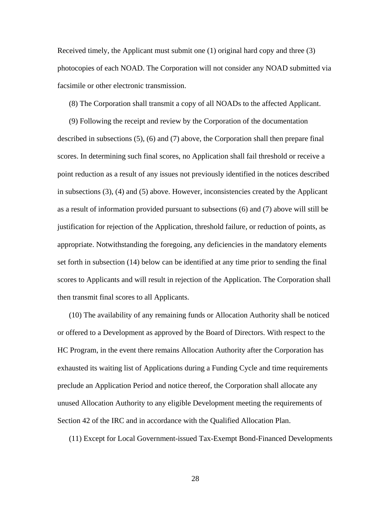Received timely, the Applicant must submit one (1) original hard copy and three (3) photocopies of each NOAD. The Corporation will not consider any NOAD submitted via facsimile or other electronic transmission.

(8) The Corporation shall transmit a copy of all NOADs to the affected Applicant.

(9) Following the receipt and review by the Corporation of the documentation described in subsections (5), (6) and (7) above, the Corporation shall then prepare final scores. In determining such final scores, no Application shall fail threshold or receive a point reduction as a result of any issues not previously identified in the notices described in subsections (3), (4) and (5) above. However, inconsistencies created by the Applicant as a result of information provided pursuant to subsections (6) and (7) above will still be justification for rejection of the Application, threshold failure, or reduction of points, as appropriate. Notwithstanding the foregoing, any deficiencies in the mandatory elements set forth in subsection (14) below can be identified at any time prior to sending the final scores to Applicants and will result in rejection of the Application. The Corporation shall then transmit final scores to all Applicants.

(10) The availability of any remaining funds or Allocation Authority shall be noticed or offered to a Development as approved by the Board of Directors. With respect to the HC Program, in the event there remains Allocation Authority after the Corporation has exhausted its waiting list of Applications during a Funding Cycle and time requirements preclude an Application Period and notice thereof, the Corporation shall allocate any unused Allocation Authority to any eligible Development meeting the requirements of Section 42 of the IRC and in accordance with the Qualified Allocation Plan.

(11) Except for Local Government-issued Tax-Exempt Bond-Financed Developments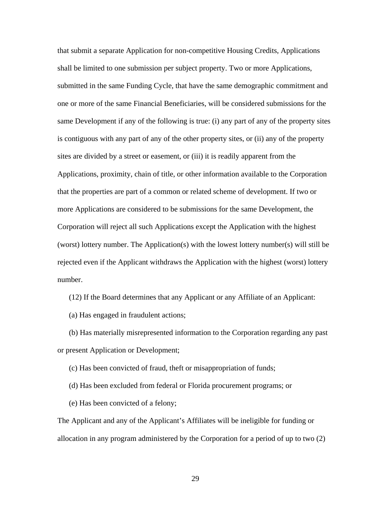that submit a separate Application for non-competitive Housing Credits, Applications shall be limited to one submission per subject property. Two or more Applications, submitted in the same Funding Cycle, that have the same demographic commitment and one or more of the same Financial Beneficiaries, will be considered submissions for the same Development if any of the following is true: (i) any part of any of the property sites is contiguous with any part of any of the other property sites, or (ii) any of the property sites are divided by a street or easement, or (iii) it is readily apparent from the Applications, proximity, chain of title, or other information available to the Corporation that the properties are part of a common or related scheme of development. If two or more Applications are considered to be submissions for the same Development, the Corporation will reject all such Applications except the Application with the highest (worst) lottery number. The Application(s) with the lowest lottery number(s) will still be rejected even if the Applicant withdraws the Application with the highest (worst) lottery number.

(12) If the Board determines that any Applicant or any Affiliate of an Applicant:

(a) Has engaged in fraudulent actions;

(b) Has materially misrepresented information to the Corporation regarding any past or present Application or Development;

(c) Has been convicted of fraud, theft or misappropriation of funds;

(d) Has been excluded from federal or Florida procurement programs; or

(e) Has been convicted of a felony;

The Applicant and any of the Applicant's Affiliates will be ineligible for funding or allocation in any program administered by the Corporation for a period of up to two (2)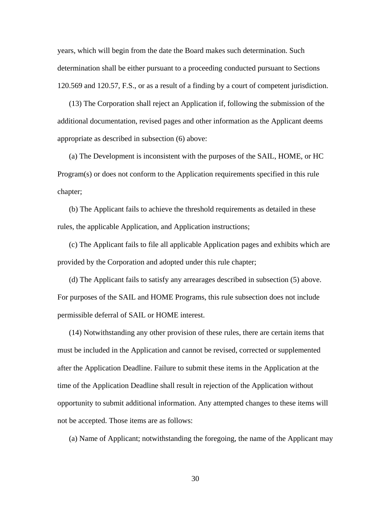years, which will begin from the date the Board makes such determination. Such determination shall be either pursuant to a proceeding conducted pursuant to Sections 120.569 and 120.57, F.S., or as a result of a finding by a court of competent jurisdiction.

(13) The Corporation shall reject an Application if, following the submission of the additional documentation, revised pages and other information as the Applicant deems appropriate as described in subsection (6) above:

(a) The Development is inconsistent with the purposes of the SAIL, HOME, or HC Program(s) or does not conform to the Application requirements specified in this rule chapter;

(b) The Applicant fails to achieve the threshold requirements as detailed in these rules, the applicable Application, and Application instructions;

(c) The Applicant fails to file all applicable Application pages and exhibits which are provided by the Corporation and adopted under this rule chapter;

(d) The Applicant fails to satisfy any arrearages described in subsection (5) above. For purposes of the SAIL and HOME Programs, this rule subsection does not include permissible deferral of SAIL or HOME interest.

(14) Notwithstanding any other provision of these rules, there are certain items that must be included in the Application and cannot be revised, corrected or supplemented after the Application Deadline. Failure to submit these items in the Application at the time of the Application Deadline shall result in rejection of the Application without opportunity to submit additional information. Any attempted changes to these items will not be accepted. Those items are as follows:

(a) Name of Applicant; notwithstanding the foregoing, the name of the Applicant may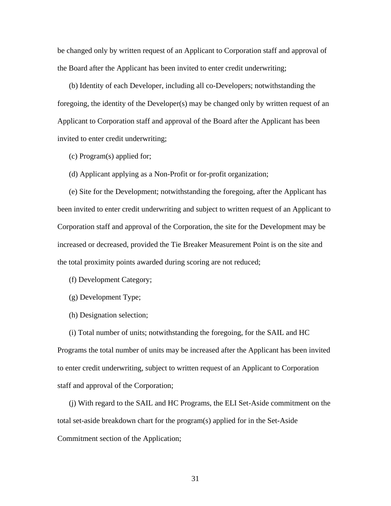be changed only by written request of an Applicant to Corporation staff and approval of the Board after the Applicant has been invited to enter credit underwriting;

(b) Identity of each Developer, including all co-Developers; notwithstanding the foregoing, the identity of the Developer(s) may be changed only by written request of an Applicant to Corporation staff and approval of the Board after the Applicant has been invited to enter credit underwriting;

(c) Program(s) applied for;

(d) Applicant applying as a Non-Profit or for-profit organization;

(e) Site for the Development; notwithstanding the foregoing, after the Applicant has been invited to enter credit underwriting and subject to written request of an Applicant to Corporation staff and approval of the Corporation, the site for the Development may be increased or decreased, provided the Tie Breaker Measurement Point is on the site and the total proximity points awarded during scoring are not reduced;

(f) Development Category;

(g) Development Type;

(h) Designation selection;

(i) Total number of units; notwithstanding the foregoing, for the SAIL and HC Programs the total number of units may be increased after the Applicant has been invited to enter credit underwriting, subject to written request of an Applicant to Corporation staff and approval of the Corporation;

(j) With regard to the SAIL and HC Programs, the ELI Set-Aside commitment on the total set-aside breakdown chart for the program(s) applied for in the Set-Aside Commitment section of the Application;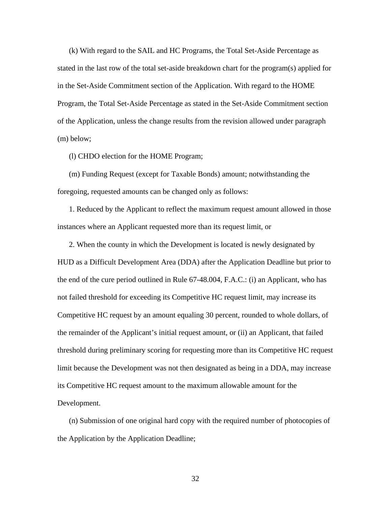(k) With regard to the SAIL and HC Programs, the Total Set-Aside Percentage as stated in the last row of the total set-aside breakdown chart for the program(s) applied for in the Set-Aside Commitment section of the Application. With regard to the HOME Program, the Total Set-Aside Percentage as stated in the Set-Aside Commitment section of the Application, unless the change results from the revision allowed under paragraph (m) below;

(l) CHDO election for the HOME Program;

(m) Funding Request (except for Taxable Bonds) amount; notwithstanding the foregoing, requested amounts can be changed only as follows:

1. Reduced by the Applicant to reflect the maximum request amount allowed in those instances where an Applicant requested more than its request limit, or

2. When the county in which the Development is located is newly designated by HUD as a Difficult Development Area (DDA) after the Application Deadline but prior to the end of the cure period outlined in Rule 67-48.004, F.A.C.: (i) an Applicant, who has not failed threshold for exceeding its Competitive HC request limit, may increase its Competitive HC request by an amount equaling 30 percent, rounded to whole dollars, of the remainder of the Applicant's initial request amount, or (ii) an Applicant, that failed threshold during preliminary scoring for requesting more than its Competitive HC request limit because the Development was not then designated as being in a DDA, may increase its Competitive HC request amount to the maximum allowable amount for the Development.

(n) Submission of one original hard copy with the required number of photocopies of the Application by the Application Deadline;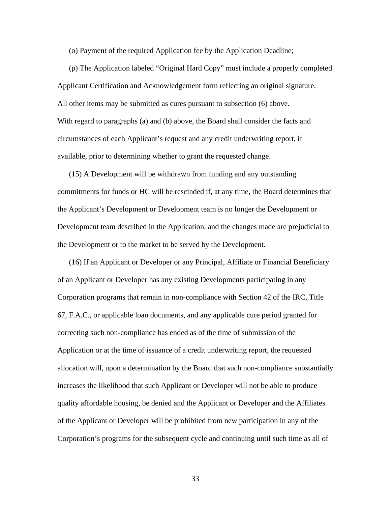(o) Payment of the required Application fee by the Application Deadline;

(p) The Application labeled "Original Hard Copy" must include a properly completed Applicant Certification and Acknowledgement form reflecting an original signature. All other items may be submitted as cures pursuant to subsection (6) above. With regard to paragraphs (a) and (b) above, the Board shall consider the facts and circumstances of each Applicant's request and any credit underwriting report, if available, prior to determining whether to grant the requested change.

(15) A Development will be withdrawn from funding and any outstanding commitments for funds or HC will be rescinded if, at any time, the Board determines that the Applicant's Development or Development team is no longer the Development or Development team described in the Application, and the changes made are prejudicial to the Development or to the market to be served by the Development.

(16) If an Applicant or Developer or any Principal, Affiliate or Financial Beneficiary of an Applicant or Developer has any existing Developments participating in any Corporation programs that remain in non-compliance with Section 42 of the IRC, Title 67, F.A.C., or applicable loan documents, and any applicable cure period granted for correcting such non-compliance has ended as of the time of submission of the Application or at the time of issuance of a credit underwriting report, the requested allocation will, upon a determination by the Board that such non-compliance substantially increases the likelihood that such Applicant or Developer will not be able to produce quality affordable housing, be denied and the Applicant or Developer and the Affiliates of the Applicant or Developer will be prohibited from new participation in any of the Corporation's programs for the subsequent cycle and continuing until such time as all of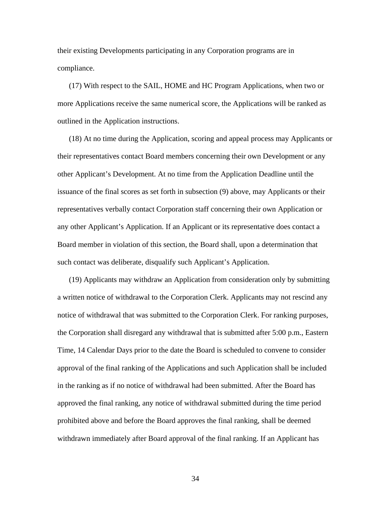their existing Developments participating in any Corporation programs are in compliance.

(17) With respect to the SAIL, HOME and HC Program Applications, when two or more Applications receive the same numerical score, the Applications will be ranked as outlined in the Application instructions.

(18) At no time during the Application, scoring and appeal process may Applicants or their representatives contact Board members concerning their own Development or any other Applicant's Development. At no time from the Application Deadline until the issuance of the final scores as set forth in subsection (9) above, may Applicants or their representatives verbally contact Corporation staff concerning their own Application or any other Applicant's Application. If an Applicant or its representative does contact a Board member in violation of this section, the Board shall, upon a determination that such contact was deliberate, disqualify such Applicant's Application.

(19) Applicants may withdraw an Application from consideration only by submitting a written notice of withdrawal to the Corporation Clerk. Applicants may not rescind any notice of withdrawal that was submitted to the Corporation Clerk. For ranking purposes, the Corporation shall disregard any withdrawal that is submitted after 5:00 p.m., Eastern Time, 14 Calendar Days prior to the date the Board is scheduled to convene to consider approval of the final ranking of the Applications and such Application shall be included in the ranking as if no notice of withdrawal had been submitted. After the Board has approved the final ranking, any notice of withdrawal submitted during the time period prohibited above and before the Board approves the final ranking, shall be deemed withdrawn immediately after Board approval of the final ranking. If an Applicant has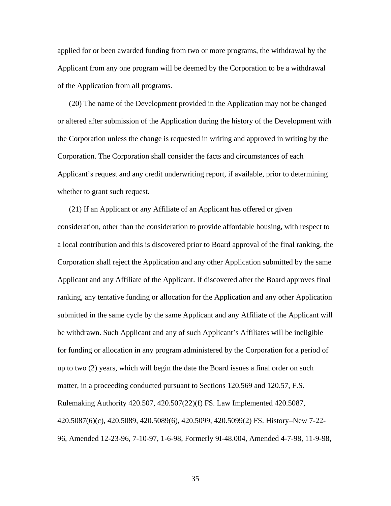applied for or been awarded funding from two or more programs, the withdrawal by the Applicant from any one program will be deemed by the Corporation to be a withdrawal of the Application from all programs.

(20) The name of the Development provided in the Application may not be changed or altered after submission of the Application during the history of the Development with the Corporation unless the change is requested in writing and approved in writing by the Corporation. The Corporation shall consider the facts and circumstances of each Applicant's request and any credit underwriting report, if available, prior to determining whether to grant such request.

(21) If an Applicant or any Affiliate of an Applicant has offered or given consideration, other than the consideration to provide affordable housing, with respect to a local contribution and this is discovered prior to Board approval of the final ranking, the Corporation shall reject the Application and any other Application submitted by the same Applicant and any Affiliate of the Applicant. If discovered after the Board approves final ranking, any tentative funding or allocation for the Application and any other Application submitted in the same cycle by the same Applicant and any Affiliate of the Applicant will be withdrawn. Such Applicant and any of such Applicant's Affiliates will be ineligible for funding or allocation in any program administered by the Corporation for a period of up to two (2) years, which will begin the date the Board issues a final order on such matter, in a proceeding conducted pursuant to Sections 120.569 and 120.57, F.S. Rulemaking Authority 420.507, 420.507(22)(f) FS. Law Implemented 420.5087, 420.5087(6)(c), 420.5089, 420.5089(6), 420.5099, 420.5099(2) FS. History–New 7-22- 96, Amended 12-23-96, 7-10-97, 1-6-98, Formerly 9I-48.004, Amended 4-7-98, 11-9-98,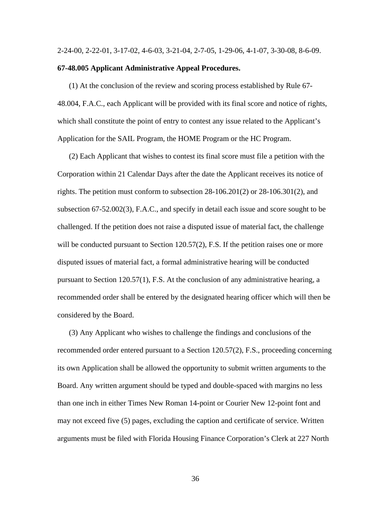#### 2-24-00, 2-22-01, 3-17-02, 4-6-03, 3-21-04, 2-7-05, 1-29-06, 4-1-07, 3-30-08, 8-6-09.

#### **67-48.005 Applicant Administrative Appeal Procedures.**

(1) At the conclusion of the review and scoring process established by Rule 67- 48.004, F.A.C., each Applicant will be provided with its final score and notice of rights, which shall constitute the point of entry to contest any issue related to the Applicant's Application for the SAIL Program, the HOME Program or the HC Program.

(2) Each Applicant that wishes to contest its final score must file a petition with the Corporation within 21 Calendar Days after the date the Applicant receives its notice of rights. The petition must conform to subsection 28-106.201(2) or 28-106.301(2), and subsection 67-52.002(3), F.A.C., and specify in detail each issue and score sought to be challenged. If the petition does not raise a disputed issue of material fact, the challenge will be conducted pursuant to Section 120.57(2), F.S. If the petition raises one or more disputed issues of material fact, a formal administrative hearing will be conducted pursuant to Section 120.57(1), F.S. At the conclusion of any administrative hearing, a recommended order shall be entered by the designated hearing officer which will then be considered by the Board.

(3) Any Applicant who wishes to challenge the findings and conclusions of the recommended order entered pursuant to a Section 120.57(2), F.S., proceeding concerning its own Application shall be allowed the opportunity to submit written arguments to the Board. Any written argument should be typed and double-spaced with margins no less than one inch in either Times New Roman 14-point or Courier New 12-point font and may not exceed five (5) pages, excluding the caption and certificate of service. Written arguments must be filed with Florida Housing Finance Corporation's Clerk at 227 North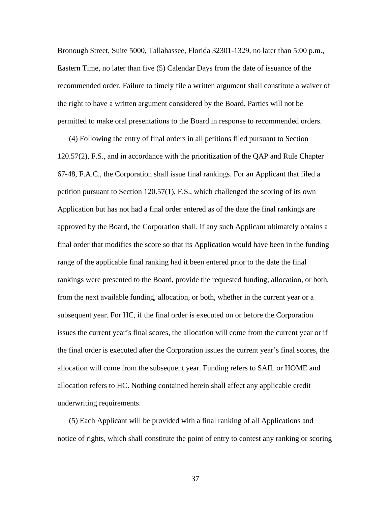Bronough Street, Suite 5000, Tallahassee, Florida 32301-1329, no later than 5:00 p.m., Eastern Time, no later than five (5) Calendar Days from the date of issuance of the recommended order. Failure to timely file a written argument shall constitute a waiver of the right to have a written argument considered by the Board. Parties will not be permitted to make oral presentations to the Board in response to recommended orders.

(4) Following the entry of final orders in all petitions filed pursuant to Section 120.57(2), F.S., and in accordance with the prioritization of the QAP and Rule Chapter 67-48, F.A.C., the Corporation shall issue final rankings. For an Applicant that filed a petition pursuant to Section 120.57(1), F.S., which challenged the scoring of its own Application but has not had a final order entered as of the date the final rankings are approved by the Board, the Corporation shall, if any such Applicant ultimately obtains a final order that modifies the score so that its Application would have been in the funding range of the applicable final ranking had it been entered prior to the date the final rankings were presented to the Board, provide the requested funding, allocation, or both, from the next available funding, allocation, or both, whether in the current year or a subsequent year. For HC, if the final order is executed on or before the Corporation issues the current year's final scores, the allocation will come from the current year or if the final order is executed after the Corporation issues the current year's final scores, the allocation will come from the subsequent year. Funding refers to SAIL or HOME and allocation refers to HC. Nothing contained herein shall affect any applicable credit underwriting requirements.

(5) Each Applicant will be provided with a final ranking of all Applications and notice of rights, which shall constitute the point of entry to contest any ranking or scoring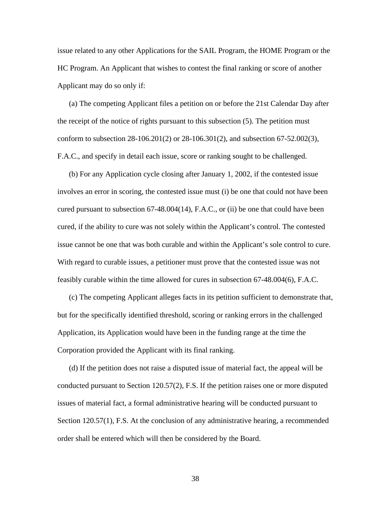issue related to any other Applications for the SAIL Program, the HOME Program or the HC Program. An Applicant that wishes to contest the final ranking or score of another Applicant may do so only if:

(a) The competing Applicant files a petition on or before the 21st Calendar Day after the receipt of the notice of rights pursuant to this subsection (5). The petition must conform to subsection 28-106.201(2) or 28-106.301(2), and subsection 67-52.002(3), F.A.C., and specify in detail each issue, score or ranking sought to be challenged.

(b) For any Application cycle closing after January 1, 2002, if the contested issue involves an error in scoring, the contested issue must (i) be one that could not have been cured pursuant to subsection 67-48.004(14), F.A.C., or (ii) be one that could have been cured, if the ability to cure was not solely within the Applicant's control. The contested issue cannot be one that was both curable and within the Applicant's sole control to cure. With regard to curable issues, a petitioner must prove that the contested issue was not feasibly curable within the time allowed for cures in subsection 67-48.004(6), F.A.C.

(c) The competing Applicant alleges facts in its petition sufficient to demonstrate that, but for the specifically identified threshold, scoring or ranking errors in the challenged Application, its Application would have been in the funding range at the time the Corporation provided the Applicant with its final ranking.

(d) If the petition does not raise a disputed issue of material fact, the appeal will be conducted pursuant to Section 120.57(2), F.S. If the petition raises one or more disputed issues of material fact, a formal administrative hearing will be conducted pursuant to Section 120.57(1), F.S. At the conclusion of any administrative hearing, a recommended order shall be entered which will then be considered by the Board.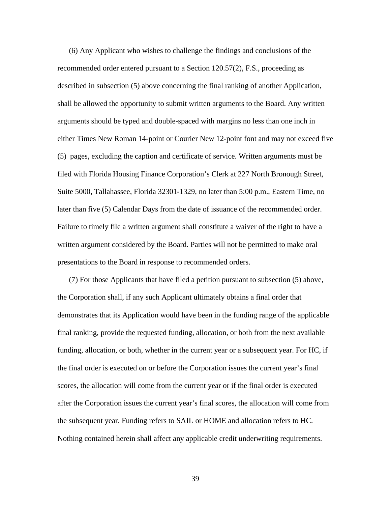(6) Any Applicant who wishes to challenge the findings and conclusions of the recommended order entered pursuant to a Section 120.57(2), F.S., proceeding as described in subsection (5) above concerning the final ranking of another Application, shall be allowed the opportunity to submit written arguments to the Board. Any written arguments should be typed and double-spaced with margins no less than one inch in either Times New Roman 14-point or Courier New 12-point font and may not exceed five (5) pages, excluding the caption and certificate of service. Written arguments must be filed with Florida Housing Finance Corporation's Clerk at 227 North Bronough Street, Suite 5000, Tallahassee, Florida 32301-1329, no later than 5:00 p.m., Eastern Time, no later than five (5) Calendar Days from the date of issuance of the recommended order. Failure to timely file a written argument shall constitute a waiver of the right to have a written argument considered by the Board. Parties will not be permitted to make oral presentations to the Board in response to recommended orders.

(7) For those Applicants that have filed a petition pursuant to subsection (5) above, the Corporation shall, if any such Applicant ultimately obtains a final order that demonstrates that its Application would have been in the funding range of the applicable final ranking, provide the requested funding, allocation, or both from the next available funding, allocation, or both, whether in the current year or a subsequent year. For HC, if the final order is executed on or before the Corporation issues the current year's final scores, the allocation will come from the current year or if the final order is executed after the Corporation issues the current year's final scores, the allocation will come from the subsequent year. Funding refers to SAIL or HOME and allocation refers to HC. Nothing contained herein shall affect any applicable credit underwriting requirements.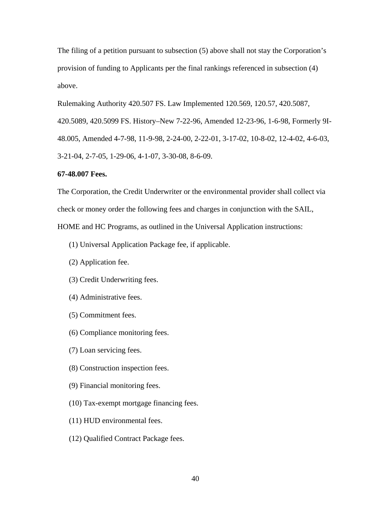The filing of a petition pursuant to subsection (5) above shall not stay the Corporation's provision of funding to Applicants per the final rankings referenced in subsection (4) above.

Rulemaking Authority 420.507 FS. Law Implemented 120.569, 120.57, 420.5087,

420.5089, 420.5099 FS. History–New 7-22-96, Amended 12-23-96, 1-6-98, Formerly 9I-

48.005, Amended 4-7-98, 11-9-98, 2-24-00, 2-22-01, 3-17-02, 10-8-02, 12-4-02, 4-6-03,

3-21-04, 2-7-05, 1-29-06, 4-1-07, 3-30-08, 8-6-09.

### **67-48.007 Fees.**

The Corporation, the Credit Underwriter or the environmental provider shall collect via check or money order the following fees and charges in conjunction with the SAIL, HOME and HC Programs, as outlined in the Universal Application instructions:

(1) Universal Application Package fee, if applicable.

- (2) Application fee.
- (3) Credit Underwriting fees.
- (4) Administrative fees.
- (5) Commitment fees.
- (6) Compliance monitoring fees.
- (7) Loan servicing fees.
- (8) Construction inspection fees.
- (9) Financial monitoring fees.
- (10) Tax-exempt mortgage financing fees.
- (11) HUD environmental fees.
- (12) Qualified Contract Package fees.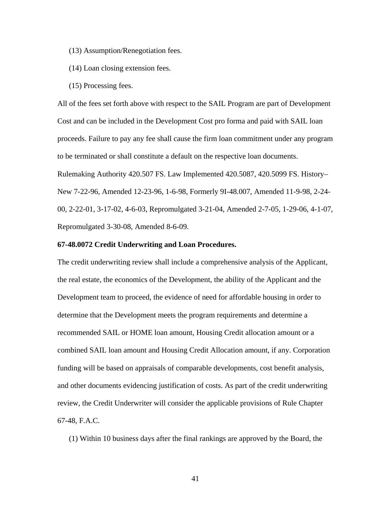- (13) Assumption/Renegotiation fees.
- (14) Loan closing extension fees.
- (15) Processing fees.

All of the fees set forth above with respect to the SAIL Program are part of Development Cost and can be included in the Development Cost pro forma and paid with SAIL loan proceeds. Failure to pay any fee shall cause the firm loan commitment under any program to be terminated or shall constitute a default on the respective loan documents. Rulemaking Authority 420.507 FS. Law Implemented 420.5087, 420.5099 FS. History– New 7-22-96, Amended 12-23-96, 1-6-98, Formerly 9I-48.007, Amended 11-9-98, 2-24- 00, 2-22-01, 3-17-02, 4-6-03, Repromulgated 3-21-04, Amended 2-7-05, 1-29-06, 4-1-07, Repromulgated 3-30-08, Amended 8-6-09.

### **67-48.0072 Credit Underwriting and Loan Procedures.**

The credit underwriting review shall include a comprehensive analysis of the Applicant, the real estate, the economics of the Development, the ability of the Applicant and the Development team to proceed, the evidence of need for affordable housing in order to determine that the Development meets the program requirements and determine a recommended SAIL or HOME loan amount, Housing Credit allocation amount or a combined SAIL loan amount and Housing Credit Allocation amount, if any. Corporation funding will be based on appraisals of comparable developments, cost benefit analysis, and other documents evidencing justification of costs. As part of the credit underwriting review, the Credit Underwriter will consider the applicable provisions of Rule Chapter 67-48, F.A.C.

(1) Within 10 business days after the final rankings are approved by the Board, the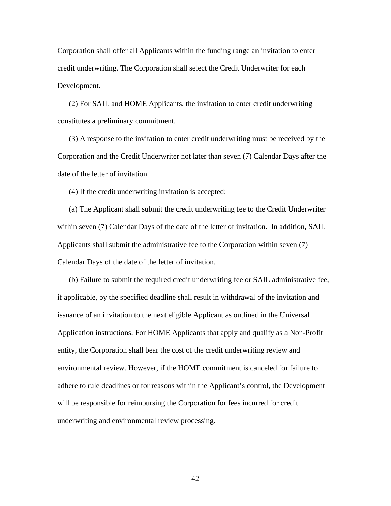Corporation shall offer all Applicants within the funding range an invitation to enter credit underwriting. The Corporation shall select the Credit Underwriter for each Development.

(2) For SAIL and HOME Applicants, the invitation to enter credit underwriting constitutes a preliminary commitment.

(3) A response to the invitation to enter credit underwriting must be received by the Corporation and the Credit Underwriter not later than seven (7) Calendar Days after the date of the letter of invitation.

(4) If the credit underwriting invitation is accepted:

(a) The Applicant shall submit the credit underwriting fee to the Credit Underwriter within seven (7) Calendar Days of the date of the letter of invitation. In addition, SAIL Applicants shall submit the administrative fee to the Corporation within seven (7) Calendar Days of the date of the letter of invitation.

(b) Failure to submit the required credit underwriting fee or SAIL administrative fee, if applicable, by the specified deadline shall result in withdrawal of the invitation and issuance of an invitation to the next eligible Applicant as outlined in the Universal Application instructions. For HOME Applicants that apply and qualify as a Non-Profit entity, the Corporation shall bear the cost of the credit underwriting review and environmental review. However, if the HOME commitment is canceled for failure to adhere to rule deadlines or for reasons within the Applicant's control, the Development will be responsible for reimbursing the Corporation for fees incurred for credit underwriting and environmental review processing.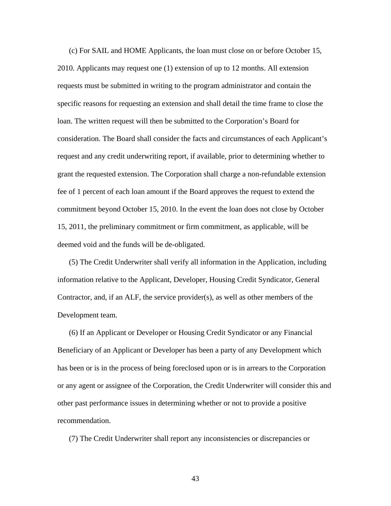(c) For SAIL and HOME Applicants, the loan must close on or before October 15, 2010. Applicants may request one (1) extension of up to 12 months. All extension requests must be submitted in writing to the program administrator and contain the specific reasons for requesting an extension and shall detail the time frame to close the loan. The written request will then be submitted to the Corporation's Board for consideration. The Board shall consider the facts and circumstances of each Applicant's request and any credit underwriting report, if available, prior to determining whether to grant the requested extension. The Corporation shall charge a non-refundable extension fee of 1 percent of each loan amount if the Board approves the request to extend the commitment beyond October 15, 2010. In the event the loan does not close by October 15, 2011, the preliminary commitment or firm commitment, as applicable, will be deemed void and the funds will be de-obligated.

(5) The Credit Underwriter shall verify all information in the Application, including information relative to the Applicant, Developer, Housing Credit Syndicator, General Contractor, and, if an ALF, the service provider(s), as well as other members of the Development team.

(6) If an Applicant or Developer or Housing Credit Syndicator or any Financial Beneficiary of an Applicant or Developer has been a party of any Development which has been or is in the process of being foreclosed upon or is in arrears to the Corporation or any agent or assignee of the Corporation, the Credit Underwriter will consider this and other past performance issues in determining whether or not to provide a positive recommendation.

(7) The Credit Underwriter shall report any inconsistencies or discrepancies or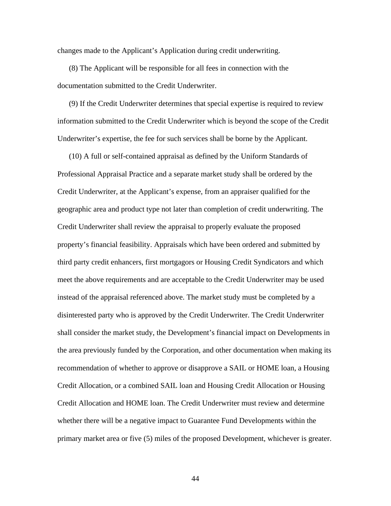changes made to the Applicant's Application during credit underwriting.

(8) The Applicant will be responsible for all fees in connection with the documentation submitted to the Credit Underwriter.

(9) If the Credit Underwriter determines that special expertise is required to review information submitted to the Credit Underwriter which is beyond the scope of the Credit Underwriter's expertise, the fee for such services shall be borne by the Applicant.

(10) A full or self-contained appraisal as defined by the Uniform Standards of Professional Appraisal Practice and a separate market study shall be ordered by the Credit Underwriter, at the Applicant's expense, from an appraiser qualified for the geographic area and product type not later than completion of credit underwriting. The Credit Underwriter shall review the appraisal to properly evaluate the proposed property's financial feasibility. Appraisals which have been ordered and submitted by third party credit enhancers, first mortgagors or Housing Credit Syndicators and which meet the above requirements and are acceptable to the Credit Underwriter may be used instead of the appraisal referenced above. The market study must be completed by a disinterested party who is approved by the Credit Underwriter. The Credit Underwriter shall consider the market study, the Development's financial impact on Developments in the area previously funded by the Corporation, and other documentation when making its recommendation of whether to approve or disapprove a SAIL or HOME loan, a Housing Credit Allocation, or a combined SAIL loan and Housing Credit Allocation or Housing Credit Allocation and HOME loan. The Credit Underwriter must review and determine whether there will be a negative impact to Guarantee Fund Developments within the primary market area or five (5) miles of the proposed Development, whichever is greater.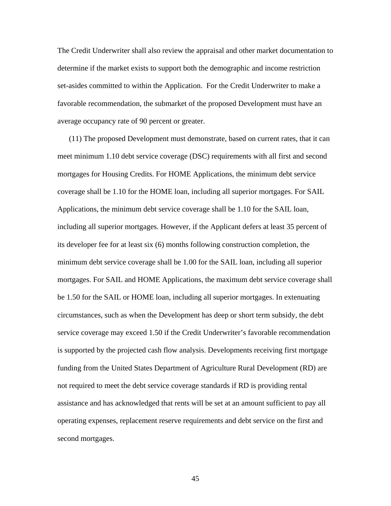The Credit Underwriter shall also review the appraisal and other market documentation to determine if the market exists to support both the demographic and income restriction set-asides committed to within the Application. For the Credit Underwriter to make a favorable recommendation, the submarket of the proposed Development must have an average occupancy rate of 90 percent or greater.

(11) The proposed Development must demonstrate, based on current rates, that it can meet minimum 1.10 debt service coverage (DSC) requirements with all first and second mortgages for Housing Credits. For HOME Applications, the minimum debt service coverage shall be 1.10 for the HOME loan, including all superior mortgages. For SAIL Applications, the minimum debt service coverage shall be 1.10 for the SAIL loan, including all superior mortgages. However, if the Applicant defers at least 35 percent of its developer fee for at least six (6) months following construction completion, the minimum debt service coverage shall be 1.00 for the SAIL loan, including all superior mortgages. For SAIL and HOME Applications, the maximum debt service coverage shall be 1.50 for the SAIL or HOME loan, including all superior mortgages. In extenuating circumstances, such as when the Development has deep or short term subsidy, the debt service coverage may exceed 1.50 if the Credit Underwriter's favorable recommendation is supported by the projected cash flow analysis. Developments receiving first mortgage funding from the United States Department of Agriculture Rural Development (RD) are not required to meet the debt service coverage standards if RD is providing rental assistance and has acknowledged that rents will be set at an amount sufficient to pay all operating expenses, replacement reserve requirements and debt service on the first and second mortgages.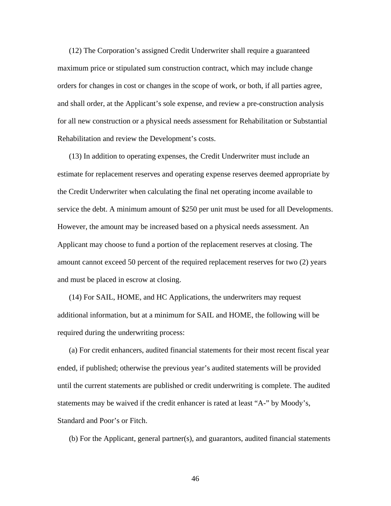(12) The Corporation's assigned Credit Underwriter shall require a guaranteed maximum price or stipulated sum construction contract, which may include change orders for changes in cost or changes in the scope of work, or both, if all parties agree, and shall order, at the Applicant's sole expense, and review a pre-construction analysis for all new construction or a physical needs assessment for Rehabilitation or Substantial Rehabilitation and review the Development's costs.

(13) In addition to operating expenses, the Credit Underwriter must include an estimate for replacement reserves and operating expense reserves deemed appropriate by the Credit Underwriter when calculating the final net operating income available to service the debt. A minimum amount of \$250 per unit must be used for all Developments. However, the amount may be increased based on a physical needs assessment. An Applicant may choose to fund a portion of the replacement reserves at closing. The amount cannot exceed 50 percent of the required replacement reserves for two (2) years and must be placed in escrow at closing.

(14) For SAIL, HOME, and HC Applications, the underwriters may request additional information, but at a minimum for SAIL and HOME, the following will be required during the underwriting process:

(a) For credit enhancers, audited financial statements for their most recent fiscal year ended, if published; otherwise the previous year's audited statements will be provided until the current statements are published or credit underwriting is complete. The audited statements may be waived if the credit enhancer is rated at least "A-" by Moody's, Standard and Poor's or Fitch.

(b) For the Applicant, general partner(s), and guarantors, audited financial statements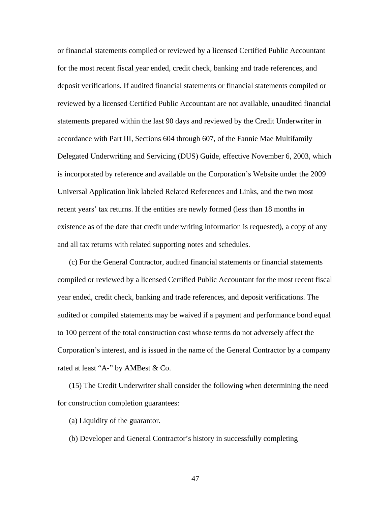or financial statements compiled or reviewed by a licensed Certified Public Accountant for the most recent fiscal year ended, credit check, banking and trade references, and deposit verifications. If audited financial statements or financial statements compiled or reviewed by a licensed Certified Public Accountant are not available, unaudited financial statements prepared within the last 90 days and reviewed by the Credit Underwriter in accordance with Part III, Sections 604 through 607, of the Fannie Mae Multifamily Delegated Underwriting and Servicing (DUS) Guide, effective November 6, 2003, which is incorporated by reference and available on the Corporation's Website under the 2009 Universal Application link labeled Related References and Links, and the two most recent years' tax returns. If the entities are newly formed (less than 18 months in existence as of the date that credit underwriting information is requested), a copy of any and all tax returns with related supporting notes and schedules.

(c) For the General Contractor, audited financial statements or financial statements compiled or reviewed by a licensed Certified Public Accountant for the most recent fiscal year ended, credit check, banking and trade references, and deposit verifications. The audited or compiled statements may be waived if a payment and performance bond equal to 100 percent of the total construction cost whose terms do not adversely affect the Corporation's interest, and is issued in the name of the General Contractor by a company rated at least "A-" by AMBest & Co.

(15) The Credit Underwriter shall consider the following when determining the need for construction completion guarantees:

(a) Liquidity of the guarantor.

(b) Developer and General Contractor's history in successfully completing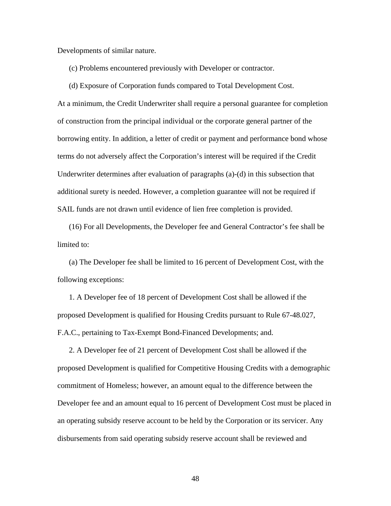Developments of similar nature.

(c) Problems encountered previously with Developer or contractor.

(d) Exposure of Corporation funds compared to Total Development Cost.

At a minimum, the Credit Underwriter shall require a personal guarantee for completion of construction from the principal individual or the corporate general partner of the borrowing entity. In addition, a letter of credit or payment and performance bond whose terms do not adversely affect the Corporation's interest will be required if the Credit Underwriter determines after evaluation of paragraphs (a)-(d) in this subsection that additional surety is needed. However, a completion guarantee will not be required if SAIL funds are not drawn until evidence of lien free completion is provided.

(16) For all Developments, the Developer fee and General Contractor's fee shall be limited to:

(a) The Developer fee shall be limited to 16 percent of Development Cost, with the following exceptions:

1. A Developer fee of 18 percent of Development Cost shall be allowed if the proposed Development is qualified for Housing Credits pursuant to Rule 67-48.027, F.A.C., pertaining to Tax-Exempt Bond-Financed Developments; and.

2. A Developer fee of 21 percent of Development Cost shall be allowed if the proposed Development is qualified for Competitive Housing Credits with a demographic commitment of Homeless; however, an amount equal to the difference between the Developer fee and an amount equal to 16 percent of Development Cost must be placed in an operating subsidy reserve account to be held by the Corporation or its servicer. Any disbursements from said operating subsidy reserve account shall be reviewed and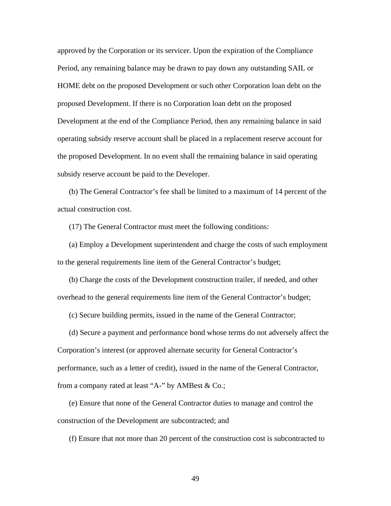approved by the Corporation or its servicer. Upon the expiration of the Compliance Period, any remaining balance may be drawn to pay down any outstanding SAIL or HOME debt on the proposed Development or such other Corporation loan debt on the proposed Development. If there is no Corporation loan debt on the proposed Development at the end of the Compliance Period, then any remaining balance in said operating subsidy reserve account shall be placed in a replacement reserve account for the proposed Development. In no event shall the remaining balance in said operating subsidy reserve account be paid to the Developer.

(b) The General Contractor's fee shall be limited to a maximum of 14 percent of the actual construction cost.

(17) The General Contractor must meet the following conditions:

(a) Employ a Development superintendent and charge the costs of such employment to the general requirements line item of the General Contractor's budget;

(b) Charge the costs of the Development construction trailer, if needed, and other overhead to the general requirements line item of the General Contractor's budget;

(c) Secure building permits, issued in the name of the General Contractor;

(d) Secure a payment and performance bond whose terms do not adversely affect the Corporation's interest (or approved alternate security for General Contractor's performance, such as a letter of credit), issued in the name of the General Contractor, from a company rated at least "A-" by AMBest & Co.;

(e) Ensure that none of the General Contractor duties to manage and control the construction of the Development are subcontracted; and

(f) Ensure that not more than 20 percent of the construction cost is subcontracted to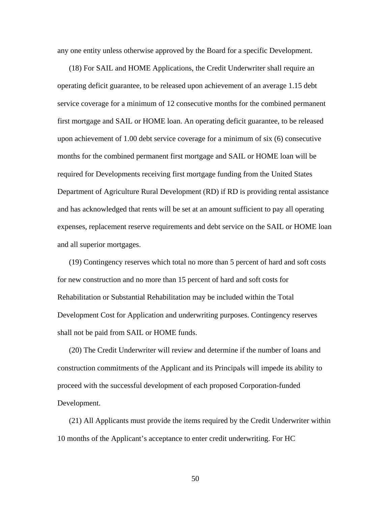any one entity unless otherwise approved by the Board for a specific Development.

(18) For SAIL and HOME Applications, the Credit Underwriter shall require an operating deficit guarantee, to be released upon achievement of an average 1.15 debt service coverage for a minimum of 12 consecutive months for the combined permanent first mortgage and SAIL or HOME loan. An operating deficit guarantee, to be released upon achievement of 1.00 debt service coverage for a minimum of six (6) consecutive months for the combined permanent first mortgage and SAIL or HOME loan will be required for Developments receiving first mortgage funding from the United States Department of Agriculture Rural Development (RD) if RD is providing rental assistance and has acknowledged that rents will be set at an amount sufficient to pay all operating expenses, replacement reserve requirements and debt service on the SAIL or HOME loan and all superior mortgages.

(19) Contingency reserves which total no more than 5 percent of hard and soft costs for new construction and no more than 15 percent of hard and soft costs for Rehabilitation or Substantial Rehabilitation may be included within the Total Development Cost for Application and underwriting purposes. Contingency reserves shall not be paid from SAIL or HOME funds.

(20) The Credit Underwriter will review and determine if the number of loans and construction commitments of the Applicant and its Principals will impede its ability to proceed with the successful development of each proposed Corporation-funded Development.

(21) All Applicants must provide the items required by the Credit Underwriter within 10 months of the Applicant's acceptance to enter credit underwriting. For HC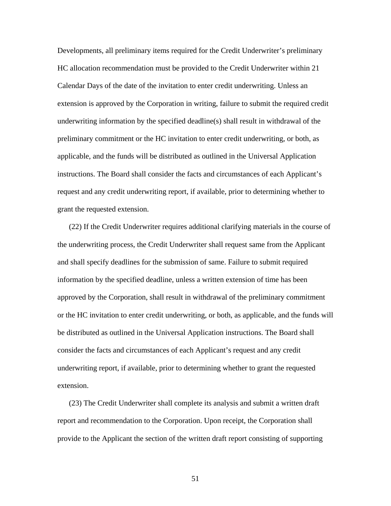Developments, all preliminary items required for the Credit Underwriter's preliminary HC allocation recommendation must be provided to the Credit Underwriter within 21 Calendar Days of the date of the invitation to enter credit underwriting. Unless an extension is approved by the Corporation in writing, failure to submit the required credit underwriting information by the specified deadline(s) shall result in withdrawal of the preliminary commitment or the HC invitation to enter credit underwriting, or both, as applicable, and the funds will be distributed as outlined in the Universal Application instructions. The Board shall consider the facts and circumstances of each Applicant's request and any credit underwriting report, if available, prior to determining whether to grant the requested extension.

(22) If the Credit Underwriter requires additional clarifying materials in the course of the underwriting process, the Credit Underwriter shall request same from the Applicant and shall specify deadlines for the submission of same. Failure to submit required information by the specified deadline, unless a written extension of time has been approved by the Corporation, shall result in withdrawal of the preliminary commitment or the HC invitation to enter credit underwriting, or both, as applicable, and the funds will be distributed as outlined in the Universal Application instructions. The Board shall consider the facts and circumstances of each Applicant's request and any credit underwriting report, if available, prior to determining whether to grant the requested extension.

(23) The Credit Underwriter shall complete its analysis and submit a written draft report and recommendation to the Corporation. Upon receipt, the Corporation shall provide to the Applicant the section of the written draft report consisting of supporting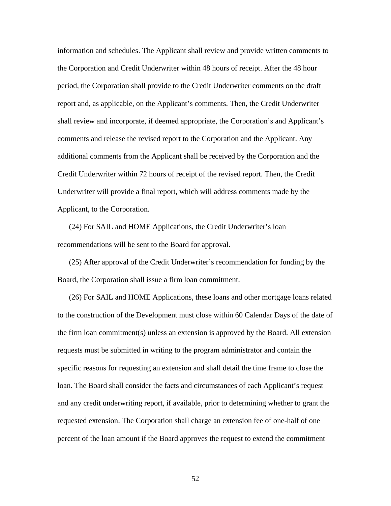information and schedules. The Applicant shall review and provide written comments to the Corporation and Credit Underwriter within 48 hours of receipt. After the 48 hour period, the Corporation shall provide to the Credit Underwriter comments on the draft report and, as applicable, on the Applicant's comments. Then, the Credit Underwriter shall review and incorporate, if deemed appropriate, the Corporation's and Applicant's comments and release the revised report to the Corporation and the Applicant. Any additional comments from the Applicant shall be received by the Corporation and the Credit Underwriter within 72 hours of receipt of the revised report. Then, the Credit Underwriter will provide a final report, which will address comments made by the Applicant, to the Corporation.

(24) For SAIL and HOME Applications, the Credit Underwriter's loan recommendations will be sent to the Board for approval.

(25) After approval of the Credit Underwriter's recommendation for funding by the Board, the Corporation shall issue a firm loan commitment.

(26) For SAIL and HOME Applications, these loans and other mortgage loans related to the construction of the Development must close within 60 Calendar Days of the date of the firm loan commitment(s) unless an extension is approved by the Board. All extension requests must be submitted in writing to the program administrator and contain the specific reasons for requesting an extension and shall detail the time frame to close the loan. The Board shall consider the facts and circumstances of each Applicant's request and any credit underwriting report, if available, prior to determining whether to grant the requested extension. The Corporation shall charge an extension fee of one-half of one percent of the loan amount if the Board approves the request to extend the commitment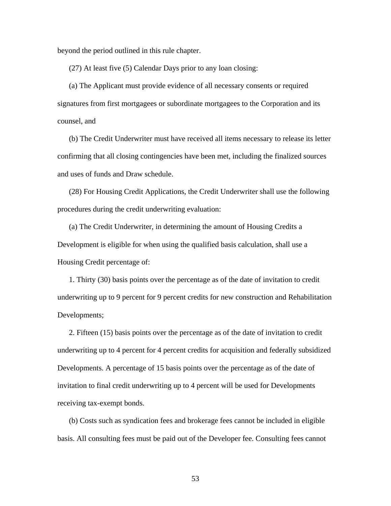beyond the period outlined in this rule chapter.

(27) At least five (5) Calendar Days prior to any loan closing:

(a) The Applicant must provide evidence of all necessary consents or required signatures from first mortgagees or subordinate mortgagees to the Corporation and its counsel, and

(b) The Credit Underwriter must have received all items necessary to release its letter confirming that all closing contingencies have been met, including the finalized sources and uses of funds and Draw schedule.

(28) For Housing Credit Applications, the Credit Underwriter shall use the following procedures during the credit underwriting evaluation:

(a) The Credit Underwriter, in determining the amount of Housing Credits a Development is eligible for when using the qualified basis calculation, shall use a Housing Credit percentage of:

1. Thirty (30) basis points over the percentage as of the date of invitation to credit underwriting up to 9 percent for 9 percent credits for new construction and Rehabilitation Developments;

2. Fifteen (15) basis points over the percentage as of the date of invitation to credit underwriting up to 4 percent for 4 percent credits for acquisition and federally subsidized Developments. A percentage of 15 basis points over the percentage as of the date of invitation to final credit underwriting up to 4 percent will be used for Developments receiving tax-exempt bonds.

(b) Costs such as syndication fees and brokerage fees cannot be included in eligible basis. All consulting fees must be paid out of the Developer fee. Consulting fees cannot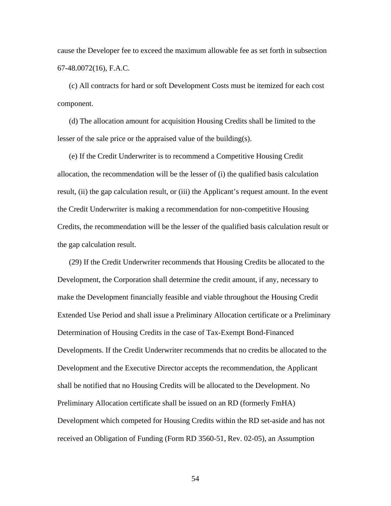cause the Developer fee to exceed the maximum allowable fee as set forth in subsection 67-48.0072(16), F.A.C.

(c) All contracts for hard or soft Development Costs must be itemized for each cost component.

(d) The allocation amount for acquisition Housing Credits shall be limited to the lesser of the sale price or the appraised value of the building(s).

(e) If the Credit Underwriter is to recommend a Competitive Housing Credit allocation, the recommendation will be the lesser of (i) the qualified basis calculation result, (ii) the gap calculation result, or (iii) the Applicant's request amount. In the event the Credit Underwriter is making a recommendation for non-competitive Housing Credits, the recommendation will be the lesser of the qualified basis calculation result or the gap calculation result.

(29) If the Credit Underwriter recommends that Housing Credits be allocated to the Development, the Corporation shall determine the credit amount, if any, necessary to make the Development financially feasible and viable throughout the Housing Credit Extended Use Period and shall issue a Preliminary Allocation certificate or a Preliminary Determination of Housing Credits in the case of Tax-Exempt Bond-Financed Developments. If the Credit Underwriter recommends that no credits be allocated to the Development and the Executive Director accepts the recommendation, the Applicant shall be notified that no Housing Credits will be allocated to the Development. No Preliminary Allocation certificate shall be issued on an RD (formerly FmHA) Development which competed for Housing Credits within the RD set-aside and has not received an Obligation of Funding (Form RD 3560-51, Rev. 02-05), an Assumption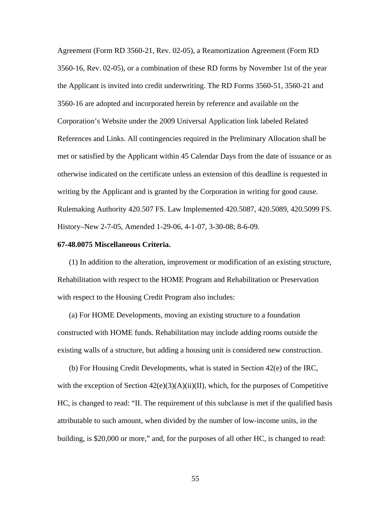Agreement (Form RD 3560-21, Rev. 02-05), a Reamortization Agreement (Form RD 3560-16, Rev. 02-05), or a combination of these RD forms by November 1st of the year the Applicant is invited into credit underwriting. The RD Forms 3560-51, 3560-21 and 3560-16 are adopted and incorporated herein by reference and available on the Corporation's Website under the 2009 Universal Application link labeled Related References and Links. All contingencies required in the Preliminary Allocation shall be met or satisfied by the Applicant within 45 Calendar Days from the date of issuance or as otherwise indicated on the certificate unless an extension of this deadline is requested in writing by the Applicant and is granted by the Corporation in writing for good cause. Rulemaking Authority 420.507 FS. Law Implemented 420.5087, 420.5089, 420.5099 FS. History–New 2-7-05, Amended 1-29-06, 4-1-07, 3-30-08; 8-6-09.

#### **67-48.0075 Miscellaneous Criteria.**

(1) In addition to the alteration, improvement or modification of an existing structure, Rehabilitation with respect to the HOME Program and Rehabilitation or Preservation with respect to the Housing Credit Program also includes:

(a) For HOME Developments, moving an existing structure to a foundation constructed with HOME funds. Rehabilitation may include adding rooms outside the existing walls of a structure, but adding a housing unit is considered new construction.

(b) For Housing Credit Developments, what is stated in Section 42(e) of the IRC, with the exception of Section  $42(e)(3)(A)(ii)(II)$ , which, for the purposes of Competitive HC, is changed to read: "II. The requirement of this subclause is met if the qualified basis attributable to such amount, when divided by the number of low-income units, in the building, is \$20,000 or more," and, for the purposes of all other HC, is changed to read: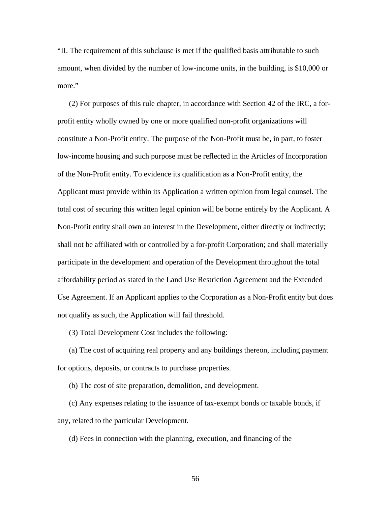"II. The requirement of this subclause is met if the qualified basis attributable to such amount, when divided by the number of low-income units, in the building, is \$10,000 or more."

(2) For purposes of this rule chapter, in accordance with Section 42 of the IRC, a forprofit entity wholly owned by one or more qualified non-profit organizations will constitute a Non-Profit entity. The purpose of the Non-Profit must be, in part, to foster low-income housing and such purpose must be reflected in the Articles of Incorporation of the Non-Profit entity. To evidence its qualification as a Non-Profit entity, the Applicant must provide within its Application a written opinion from legal counsel. The total cost of securing this written legal opinion will be borne entirely by the Applicant. A Non-Profit entity shall own an interest in the Development, either directly or indirectly; shall not be affiliated with or controlled by a for-profit Corporation; and shall materially participate in the development and operation of the Development throughout the total affordability period as stated in the Land Use Restriction Agreement and the Extended Use Agreement. If an Applicant applies to the Corporation as a Non-Profit entity but does not qualify as such, the Application will fail threshold.

(3) Total Development Cost includes the following:

(a) The cost of acquiring real property and any buildings thereon, including payment for options, deposits, or contracts to purchase properties.

(b) The cost of site preparation, demolition, and development.

(c) Any expenses relating to the issuance of tax-exempt bonds or taxable bonds, if any, related to the particular Development.

(d) Fees in connection with the planning, execution, and financing of the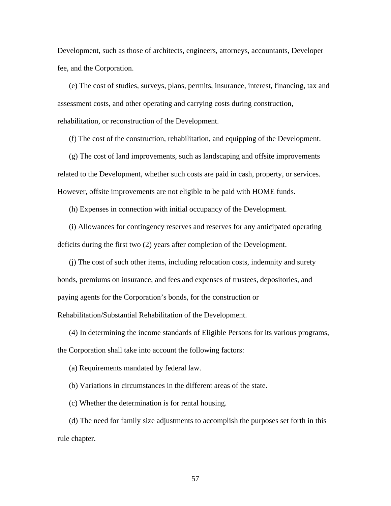Development, such as those of architects, engineers, attorneys, accountants, Developer fee, and the Corporation.

(e) The cost of studies, surveys, plans, permits, insurance, interest, financing, tax and assessment costs, and other operating and carrying costs during construction, rehabilitation, or reconstruction of the Development.

(f) The cost of the construction, rehabilitation, and equipping of the Development.

(g) The cost of land improvements, such as landscaping and offsite improvements related to the Development, whether such costs are paid in cash, property, or services. However, offsite improvements are not eligible to be paid with HOME funds.

(h) Expenses in connection with initial occupancy of the Development.

(i) Allowances for contingency reserves and reserves for any anticipated operating deficits during the first two (2) years after completion of the Development.

(j) The cost of such other items, including relocation costs, indemnity and surety bonds, premiums on insurance, and fees and expenses of trustees, depositories, and paying agents for the Corporation's bonds, for the construction or Rehabilitation/Substantial Rehabilitation of the Development.

(4) In determining the income standards of Eligible Persons for its various programs,

the Corporation shall take into account the following factors:

(a) Requirements mandated by federal law.

(b) Variations in circumstances in the different areas of the state.

(c) Whether the determination is for rental housing.

(d) The need for family size adjustments to accomplish the purposes set forth in this rule chapter.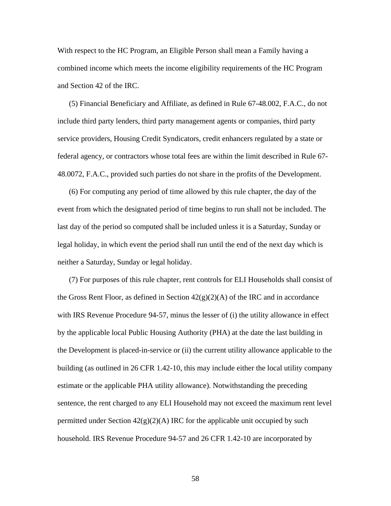With respect to the HC Program, an Eligible Person shall mean a Family having a combined income which meets the income eligibility requirements of the HC Program and Section 42 of the IRC.

(5) Financial Beneficiary and Affiliate, as defined in Rule 67-48.002, F.A.C., do not include third party lenders, third party management agents or companies, third party service providers, Housing Credit Syndicators, credit enhancers regulated by a state or federal agency, or contractors whose total fees are within the limit described in Rule 67- 48.0072, F.A.C., provided such parties do not share in the profits of the Development.

(6) For computing any period of time allowed by this rule chapter, the day of the event from which the designated period of time begins to run shall not be included. The last day of the period so computed shall be included unless it is a Saturday, Sunday or legal holiday, in which event the period shall run until the end of the next day which is neither a Saturday, Sunday or legal holiday.

(7) For purposes of this rule chapter, rent controls for ELI Households shall consist of the Gross Rent Floor, as defined in Section  $42(g)(2)(A)$  of the IRC and in accordance with IRS Revenue Procedure 94-57, minus the lesser of (i) the utility allowance in effect by the applicable local Public Housing Authority (PHA) at the date the last building in the Development is placed-in-service or (ii) the current utility allowance applicable to the building (as outlined in 26 CFR 1.42-10, this may include either the local utility company estimate or the applicable PHA utility allowance). Notwithstanding the preceding sentence, the rent charged to any ELI Household may not exceed the maximum rent level permitted under Section  $42(g)(2)(A)$  IRC for the applicable unit occupied by such household. IRS Revenue Procedure 94-57 and 26 CFR 1.42-10 are incorporated by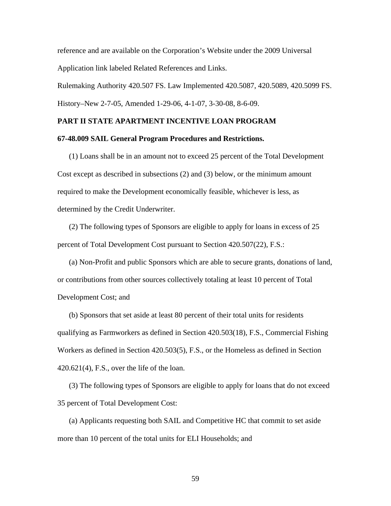reference and are available on the Corporation's Website under the 2009 Universal Application link labeled Related References and Links.

Rulemaking Authority 420.507 FS. Law Implemented 420.5087, 420.5089, 420.5099 FS.

History–New 2-7-05, Amended 1-29-06, 4-1-07, 3-30-08, 8-6-09.

# **PART II STATE APARTMENT INCENTIVE LOAN PROGRAM**

### **67-48.009 SAIL General Program Procedures and Restrictions.**

(1) Loans shall be in an amount not to exceed 25 percent of the Total Development Cost except as described in subsections (2) and (3) below, or the minimum amount required to make the Development economically feasible, whichever is less, as determined by the Credit Underwriter.

(2) The following types of Sponsors are eligible to apply for loans in excess of 25 percent of Total Development Cost pursuant to Section 420.507(22), F.S.:

(a) Non-Profit and public Sponsors which are able to secure grants, donations of land, or contributions from other sources collectively totaling at least 10 percent of Total Development Cost; and

(b) Sponsors that set aside at least 80 percent of their total units for residents qualifying as Farmworkers as defined in Section 420.503(18), F.S., Commercial Fishing Workers as defined in Section 420.503(5), F.S., or the Homeless as defined in Section 420.621(4), F.S., over the life of the loan.

(3) The following types of Sponsors are eligible to apply for loans that do not exceed 35 percent of Total Development Cost:

(a) Applicants requesting both SAIL and Competitive HC that commit to set aside more than 10 percent of the total units for ELI Households; and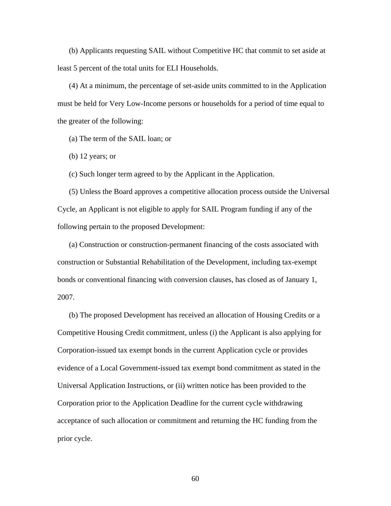(b) Applicants requesting SAIL without Competitive HC that commit to set aside at least 5 percent of the total units for ELI Households.

(4) At a minimum, the percentage of set-aside units committed to in the Application must be held for Very Low-Income persons or households for a period of time equal to the greater of the following:

(a) The term of the SAIL loan; or

(b) 12 years; or

(c) Such longer term agreed to by the Applicant in the Application.

(5) Unless the Board approves a competitive allocation process outside the Universal Cycle, an Applicant is not eligible to apply for SAIL Program funding if any of the following pertain to the proposed Development:

(a) Construction or construction-permanent financing of the costs associated with construction or Substantial Rehabilitation of the Development, including tax-exempt bonds or conventional financing with conversion clauses, has closed as of January 1, 2007.

(b) The proposed Development has received an allocation of Housing Credits or a Competitive Housing Credit commitment, unless (i) the Applicant is also applying for Corporation-issued tax exempt bonds in the current Application cycle or provides evidence of a Local Government-issued tax exempt bond commitment as stated in the Universal Application Instructions, or (ii) written notice has been provided to the Corporation prior to the Application Deadline for the current cycle withdrawing acceptance of such allocation or commitment and returning the HC funding from the prior cycle.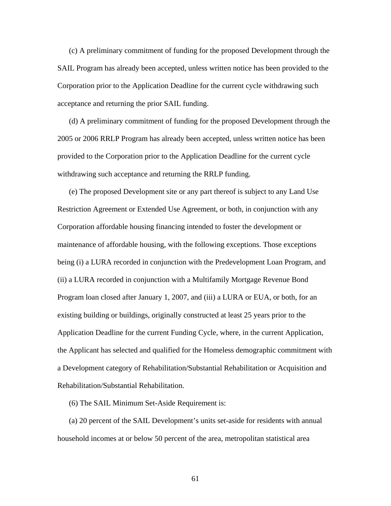(c) A preliminary commitment of funding for the proposed Development through the SAIL Program has already been accepted, unless written notice has been provided to the Corporation prior to the Application Deadline for the current cycle withdrawing such acceptance and returning the prior SAIL funding.

(d) A preliminary commitment of funding for the proposed Development through the 2005 or 2006 RRLP Program has already been accepted, unless written notice has been provided to the Corporation prior to the Application Deadline for the current cycle withdrawing such acceptance and returning the RRLP funding.

(e) The proposed Development site or any part thereof is subject to any Land Use Restriction Agreement or Extended Use Agreement, or both, in conjunction with any Corporation affordable housing financing intended to foster the development or maintenance of affordable housing, with the following exceptions. Those exceptions being (i) a LURA recorded in conjunction with the Predevelopment Loan Program, and (ii) a LURA recorded in conjunction with a Multifamily Mortgage Revenue Bond Program loan closed after January 1, 2007, and (iii) a LURA or EUA, or both, for an existing building or buildings, originally constructed at least 25 years prior to the Application Deadline for the current Funding Cycle, where, in the current Application, the Applicant has selected and qualified for the Homeless demographic commitment with a Development category of Rehabilitation/Substantial Rehabilitation or Acquisition and Rehabilitation/Substantial Rehabilitation.

(6) The SAIL Minimum Set-Aside Requirement is:

(a) 20 percent of the SAIL Development's units set-aside for residents with annual household incomes at or below 50 percent of the area, metropolitan statistical area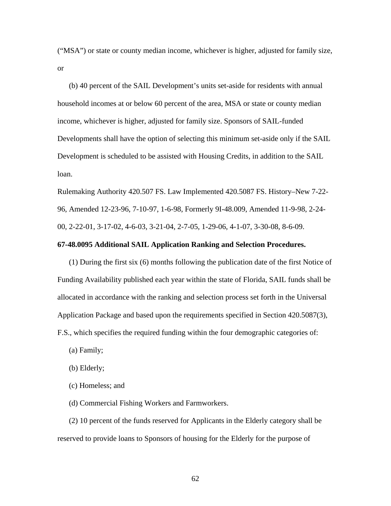("MSA") or state or county median income, whichever is higher, adjusted for family size, or

(b) 40 percent of the SAIL Development's units set-aside for residents with annual household incomes at or below 60 percent of the area, MSA or state or county median income, whichever is higher, adjusted for family size. Sponsors of SAIL-funded Developments shall have the option of selecting this minimum set-aside only if the SAIL Development is scheduled to be assisted with Housing Credits, in addition to the SAIL loan.

Rulemaking Authority 420.507 FS. Law Implemented 420.5087 FS. History–New 7-22- 96, Amended 12-23-96, 7-10-97, 1-6-98, Formerly 9I-48.009, Amended 11-9-98, 2-24- 00, 2-22-01, 3-17-02, 4-6-03, 3-21-04, 2-7-05, 1-29-06, 4-1-07, 3-30-08, 8-6-09.

## **67-48.0095 Additional SAIL Application Ranking and Selection Procedures.**

(1) During the first six (6) months following the publication date of the first Notice of Funding Availability published each year within the state of Florida, SAIL funds shall be allocated in accordance with the ranking and selection process set forth in the Universal Application Package and based upon the requirements specified in Section 420.5087(3), F.S., which specifies the required funding within the four demographic categories of:

- (a) Family;
- (b) Elderly;
- (c) Homeless; and
- (d) Commercial Fishing Workers and Farmworkers.

(2) 10 percent of the funds reserved for Applicants in the Elderly category shall be reserved to provide loans to Sponsors of housing for the Elderly for the purpose of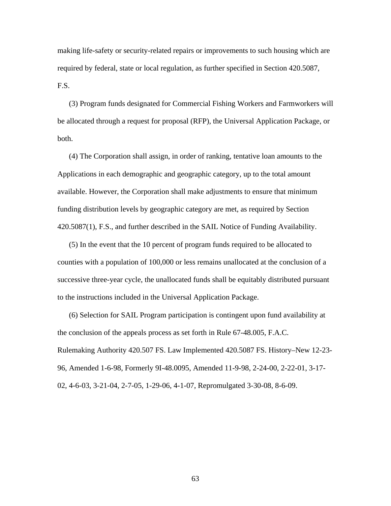making life-safety or security-related repairs or improvements to such housing which are required by federal, state or local regulation, as further specified in Section 420.5087, F.S.

(3) Program funds designated for Commercial Fishing Workers and Farmworkers will be allocated through a request for proposal (RFP), the Universal Application Package, or both.

(4) The Corporation shall assign, in order of ranking, tentative loan amounts to the Applications in each demographic and geographic category, up to the total amount available. However, the Corporation shall make adjustments to ensure that minimum funding distribution levels by geographic category are met, as required by Section 420.5087(1), F.S., and further described in the SAIL Notice of Funding Availability.

(5) In the event that the 10 percent of program funds required to be allocated to counties with a population of 100,000 or less remains unallocated at the conclusion of a successive three-year cycle, the unallocated funds shall be equitably distributed pursuant to the instructions included in the Universal Application Package.

(6) Selection for SAIL Program participation is contingent upon fund availability at the conclusion of the appeals process as set forth in Rule 67-48.005, F.A.C. Rulemaking Authority 420.507 FS. Law Implemented 420.5087 FS. History–New 12-23- 96, Amended 1-6-98, Formerly 9I-48.0095, Amended 11-9-98, 2-24-00, 2-22-01, 3-17- 02, 4-6-03, 3-21-04, 2-7-05, 1-29-06, 4-1-07, Repromulgated 3-30-08, 8-6-09.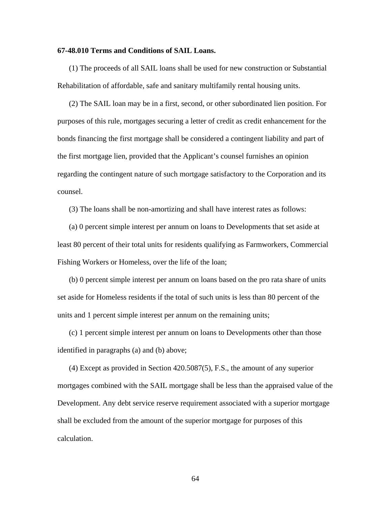### **67-48.010 Terms and Conditions of SAIL Loans.**

(1) The proceeds of all SAIL loans shall be used for new construction or Substantial Rehabilitation of affordable, safe and sanitary multifamily rental housing units.

(2) The SAIL loan may be in a first, second, or other subordinated lien position. For purposes of this rule, mortgages securing a letter of credit as credit enhancement for the bonds financing the first mortgage shall be considered a contingent liability and part of the first mortgage lien, provided that the Applicant's counsel furnishes an opinion regarding the contingent nature of such mortgage satisfactory to the Corporation and its counsel.

(3) The loans shall be non-amortizing and shall have interest rates as follows:

(a) 0 percent simple interest per annum on loans to Developments that set aside at least 80 percent of their total units for residents qualifying as Farmworkers, Commercial Fishing Workers or Homeless, over the life of the loan;

(b) 0 percent simple interest per annum on loans based on the pro rata share of units set aside for Homeless residents if the total of such units is less than 80 percent of the units and 1 percent simple interest per annum on the remaining units;

(c) 1 percent simple interest per annum on loans to Developments other than those identified in paragraphs (a) and (b) above;

(4) Except as provided in Section 420.5087(5), F.S., the amount of any superior mortgages combined with the SAIL mortgage shall be less than the appraised value of the Development. Any debt service reserve requirement associated with a superior mortgage shall be excluded from the amount of the superior mortgage for purposes of this calculation.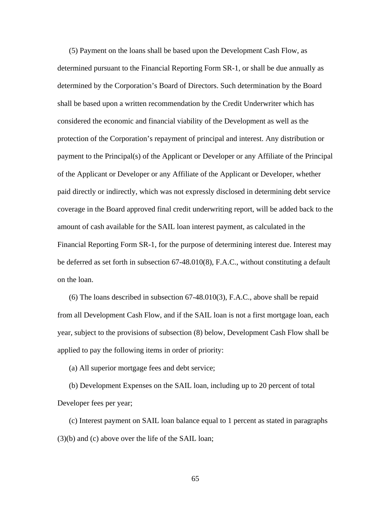(5) Payment on the loans shall be based upon the Development Cash Flow, as determined pursuant to the Financial Reporting Form SR-1, or shall be due annually as determined by the Corporation's Board of Directors. Such determination by the Board shall be based upon a written recommendation by the Credit Underwriter which has considered the economic and financial viability of the Development as well as the protection of the Corporation's repayment of principal and interest. Any distribution or payment to the Principal(s) of the Applicant or Developer or any Affiliate of the Principal of the Applicant or Developer or any Affiliate of the Applicant or Developer, whether paid directly or indirectly, which was not expressly disclosed in determining debt service coverage in the Board approved final credit underwriting report, will be added back to the amount of cash available for the SAIL loan interest payment, as calculated in the Financial Reporting Form SR-1, for the purpose of determining interest due. Interest may be deferred as set forth in subsection 67-48.010(8), F.A.C., without constituting a default on the loan.

(6) The loans described in subsection 67-48.010(3), F.A.C., above shall be repaid from all Development Cash Flow, and if the SAIL loan is not a first mortgage loan, each year, subject to the provisions of subsection (8) below, Development Cash Flow shall be applied to pay the following items in order of priority:

(a) All superior mortgage fees and debt service;

(b) Development Expenses on the SAIL loan, including up to 20 percent of total Developer fees per year;

(c) Interest payment on SAIL loan balance equal to 1 percent as stated in paragraphs (3)(b) and (c) above over the life of the SAIL loan;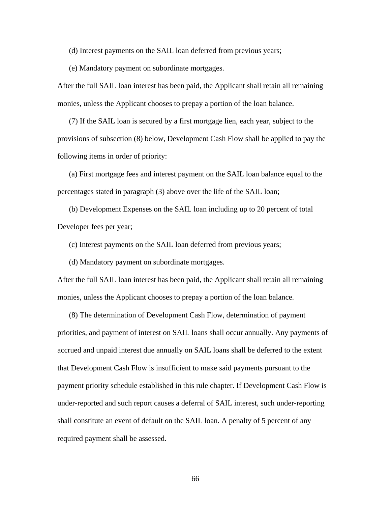(d) Interest payments on the SAIL loan deferred from previous years;

(e) Mandatory payment on subordinate mortgages.

After the full SAIL loan interest has been paid, the Applicant shall retain all remaining monies, unless the Applicant chooses to prepay a portion of the loan balance.

(7) If the SAIL loan is secured by a first mortgage lien, each year, subject to the provisions of subsection (8) below, Development Cash Flow shall be applied to pay the following items in order of priority:

(a) First mortgage fees and interest payment on the SAIL loan balance equal to the percentages stated in paragraph (3) above over the life of the SAIL loan;

(b) Development Expenses on the SAIL loan including up to 20 percent of total Developer fees per year;

(c) Interest payments on the SAIL loan deferred from previous years;

(d) Mandatory payment on subordinate mortgages.

After the full SAIL loan interest has been paid, the Applicant shall retain all remaining monies, unless the Applicant chooses to prepay a portion of the loan balance.

(8) The determination of Development Cash Flow, determination of payment priorities, and payment of interest on SAIL loans shall occur annually. Any payments of accrued and unpaid interest due annually on SAIL loans shall be deferred to the extent that Development Cash Flow is insufficient to make said payments pursuant to the payment priority schedule established in this rule chapter. If Development Cash Flow is under-reported and such report causes a deferral of SAIL interest, such under-reporting shall constitute an event of default on the SAIL loan. A penalty of 5 percent of any required payment shall be assessed.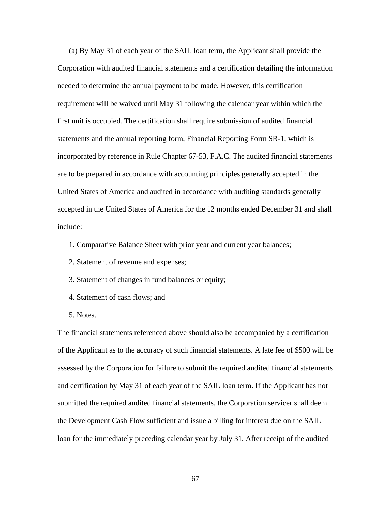(a) By May 31 of each year of the SAIL loan term, the Applicant shall provide the Corporation with audited financial statements and a certification detailing the information needed to determine the annual payment to be made. However, this certification requirement will be waived until May 31 following the calendar year within which the first unit is occupied. The certification shall require submission of audited financial statements and the annual reporting form, Financial Reporting Form SR-1, which is incorporated by reference in Rule Chapter 67-53, F.A.C. The audited financial statements are to be prepared in accordance with accounting principles generally accepted in the United States of America and audited in accordance with auditing standards generally accepted in the United States of America for the 12 months ended December 31 and shall include:

- 1. Comparative Balance Sheet with prior year and current year balances;
- 2. Statement of revenue and expenses;
- 3. Statement of changes in fund balances or equity;
- 4. Statement of cash flows; and
- 5. Notes.

The financial statements referenced above should also be accompanied by a certification of the Applicant as to the accuracy of such financial statements. A late fee of \$500 will be assessed by the Corporation for failure to submit the required audited financial statements and certification by May 31 of each year of the SAIL loan term. If the Applicant has not submitted the required audited financial statements, the Corporation servicer shall deem the Development Cash Flow sufficient and issue a billing for interest due on the SAIL loan for the immediately preceding calendar year by July 31. After receipt of the audited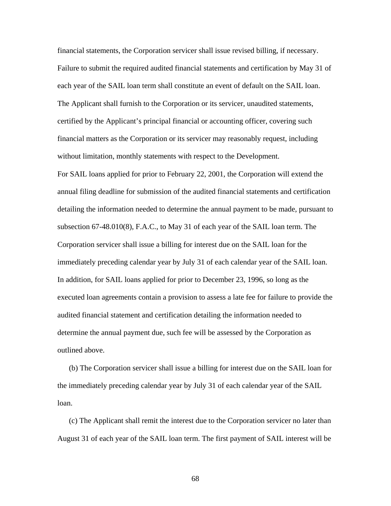financial statements, the Corporation servicer shall issue revised billing, if necessary. Failure to submit the required audited financial statements and certification by May 31 of each year of the SAIL loan term shall constitute an event of default on the SAIL loan. The Applicant shall furnish to the Corporation or its servicer, unaudited statements, certified by the Applicant's principal financial or accounting officer, covering such financial matters as the Corporation or its servicer may reasonably request, including without limitation, monthly statements with respect to the Development.

For SAIL loans applied for prior to February 22, 2001, the Corporation will extend the annual filing deadline for submission of the audited financial statements and certification detailing the information needed to determine the annual payment to be made, pursuant to subsection 67-48.010(8), F.A.C., to May 31 of each year of the SAIL loan term. The Corporation servicer shall issue a billing for interest due on the SAIL loan for the immediately preceding calendar year by July 31 of each calendar year of the SAIL loan. In addition, for SAIL loans applied for prior to December 23, 1996, so long as the executed loan agreements contain a provision to assess a late fee for failure to provide the audited financial statement and certification detailing the information needed to determine the annual payment due, such fee will be assessed by the Corporation as outlined above.

(b) The Corporation servicer shall issue a billing for interest due on the SAIL loan for the immediately preceding calendar year by July 31 of each calendar year of the SAIL loan.

(c) The Applicant shall remit the interest due to the Corporation servicer no later than August 31 of each year of the SAIL loan term. The first payment of SAIL interest will be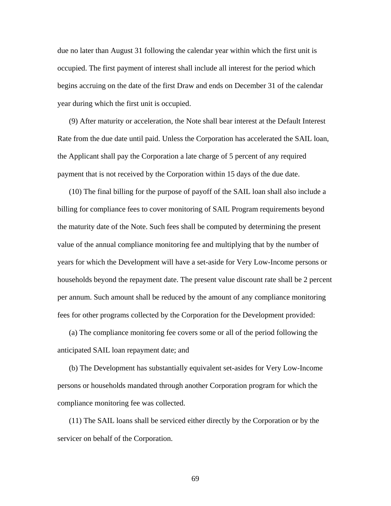due no later than August 31 following the calendar year within which the first unit is occupied. The first payment of interest shall include all interest for the period which begins accruing on the date of the first Draw and ends on December 31 of the calendar year during which the first unit is occupied.

(9) After maturity or acceleration, the Note shall bear interest at the Default Interest Rate from the due date until paid. Unless the Corporation has accelerated the SAIL loan, the Applicant shall pay the Corporation a late charge of 5 percent of any required payment that is not received by the Corporation within 15 days of the due date.

(10) The final billing for the purpose of payoff of the SAIL loan shall also include a billing for compliance fees to cover monitoring of SAIL Program requirements beyond the maturity date of the Note. Such fees shall be computed by determining the present value of the annual compliance monitoring fee and multiplying that by the number of years for which the Development will have a set-aside for Very Low-Income persons or households beyond the repayment date. The present value discount rate shall be 2 percent per annum. Such amount shall be reduced by the amount of any compliance monitoring fees for other programs collected by the Corporation for the Development provided:

(a) The compliance monitoring fee covers some or all of the period following the anticipated SAIL loan repayment date; and

(b) The Development has substantially equivalent set-asides for Very Low-Income persons or households mandated through another Corporation program for which the compliance monitoring fee was collected.

(11) The SAIL loans shall be serviced either directly by the Corporation or by the servicer on behalf of the Corporation.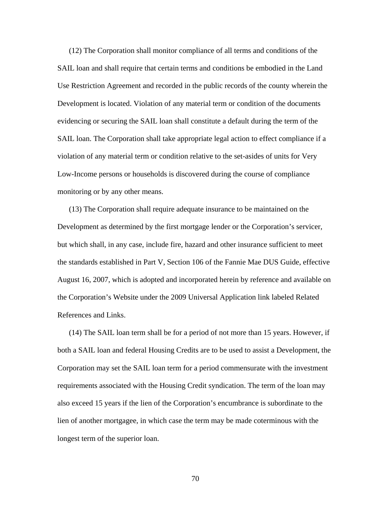(12) The Corporation shall monitor compliance of all terms and conditions of the SAIL loan and shall require that certain terms and conditions be embodied in the Land Use Restriction Agreement and recorded in the public records of the county wherein the Development is located. Violation of any material term or condition of the documents evidencing or securing the SAIL loan shall constitute a default during the term of the SAIL loan. The Corporation shall take appropriate legal action to effect compliance if a violation of any material term or condition relative to the set-asides of units for Very Low-Income persons or households is discovered during the course of compliance monitoring or by any other means.

(13) The Corporation shall require adequate insurance to be maintained on the Development as determined by the first mortgage lender or the Corporation's servicer, but which shall, in any case, include fire, hazard and other insurance sufficient to meet the standards established in Part V, Section 106 of the Fannie Mae DUS Guide, effective August 16, 2007, which is adopted and incorporated herein by reference and available on the Corporation's Website under the 2009 Universal Application link labeled Related References and Links.

(14) The SAIL loan term shall be for a period of not more than 15 years. However, if both a SAIL loan and federal Housing Credits are to be used to assist a Development, the Corporation may set the SAIL loan term for a period commensurate with the investment requirements associated with the Housing Credit syndication. The term of the loan may also exceed 15 years if the lien of the Corporation's encumbrance is subordinate to the lien of another mortgagee, in which case the term may be made coterminous with the longest term of the superior loan.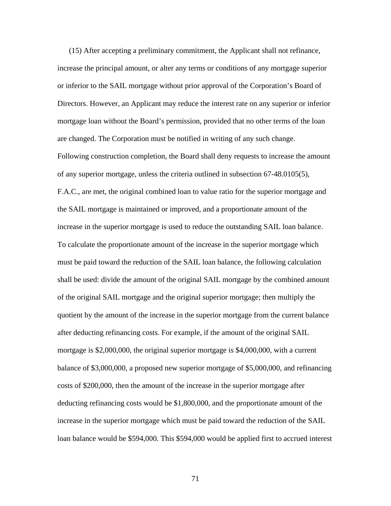(15) After accepting a preliminary commitment, the Applicant shall not refinance, increase the principal amount, or alter any terms or conditions of any mortgage superior or inferior to the SAIL mortgage without prior approval of the Corporation's Board of Directors. However, an Applicant may reduce the interest rate on any superior or inferior mortgage loan without the Board's permission, provided that no other terms of the loan are changed. The Corporation must be notified in writing of any such change. Following construction completion, the Board shall deny requests to increase the amount of any superior mortgage, unless the criteria outlined in subsection 67-48.0105(5), F.A.C., are met, the original combined loan to value ratio for the superior mortgage and the SAIL mortgage is maintained or improved, and a proportionate amount of the increase in the superior mortgage is used to reduce the outstanding SAIL loan balance. To calculate the proportionate amount of the increase in the superior mortgage which must be paid toward the reduction of the SAIL loan balance, the following calculation shall be used: divide the amount of the original SAIL mortgage by the combined amount of the original SAIL mortgage and the original superior mortgage; then multiply the quotient by the amount of the increase in the superior mortgage from the current balance after deducting refinancing costs. For example, if the amount of the original SAIL mortgage is \$2,000,000, the original superior mortgage is \$4,000,000, with a current balance of \$3,000,000, a proposed new superior mortgage of \$5,000,000, and refinancing costs of \$200,000, then the amount of the increase in the superior mortgage after deducting refinancing costs would be \$1,800,000, and the proportionate amount of the increase in the superior mortgage which must be paid toward the reduction of the SAIL loan balance would be \$594,000. This \$594,000 would be applied first to accrued interest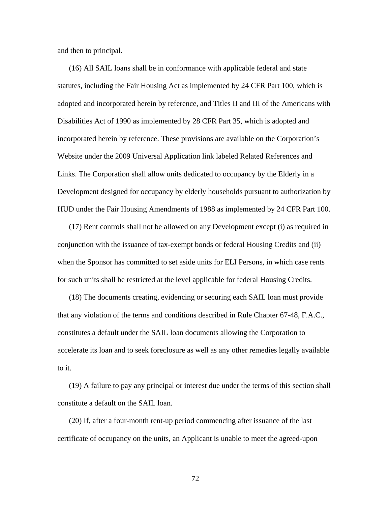and then to principal.

(16) All SAIL loans shall be in conformance with applicable federal and state statutes, including the Fair Housing Act as implemented by 24 CFR Part 100, which is adopted and incorporated herein by reference, and Titles II and III of the Americans with Disabilities Act of 1990 as implemented by 28 CFR Part 35, which is adopted and incorporated herein by reference. These provisions are available on the Corporation's Website under the 2009 Universal Application link labeled Related References and Links. The Corporation shall allow units dedicated to occupancy by the Elderly in a Development designed for occupancy by elderly households pursuant to authorization by HUD under the Fair Housing Amendments of 1988 as implemented by 24 CFR Part 100.

(17) Rent controls shall not be allowed on any Development except (i) as required in conjunction with the issuance of tax-exempt bonds or federal Housing Credits and (ii) when the Sponsor has committed to set aside units for ELI Persons, in which case rents for such units shall be restricted at the level applicable for federal Housing Credits.

(18) The documents creating, evidencing or securing each SAIL loan must provide that any violation of the terms and conditions described in Rule Chapter 67-48, F.A.C., constitutes a default under the SAIL loan documents allowing the Corporation to accelerate its loan and to seek foreclosure as well as any other remedies legally available to it.

(19) A failure to pay any principal or interest due under the terms of this section shall constitute a default on the SAIL loan.

(20) If, after a four-month rent-up period commencing after issuance of the last certificate of occupancy on the units, an Applicant is unable to meet the agreed-upon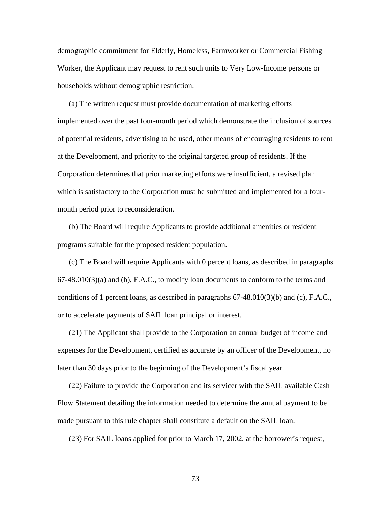demographic commitment for Elderly, Homeless, Farmworker or Commercial Fishing Worker, the Applicant may request to rent such units to Very Low-Income persons or households without demographic restriction.

(a) The written request must provide documentation of marketing efforts implemented over the past four-month period which demonstrate the inclusion of sources of potential residents, advertising to be used, other means of encouraging residents to rent at the Development, and priority to the original targeted group of residents. If the Corporation determines that prior marketing efforts were insufficient, a revised plan which is satisfactory to the Corporation must be submitted and implemented for a fourmonth period prior to reconsideration.

(b) The Board will require Applicants to provide additional amenities or resident programs suitable for the proposed resident population.

(c) The Board will require Applicants with 0 percent loans, as described in paragraphs  $67-48.010(3)(a)$  and (b), F.A.C., to modify loan documents to conform to the terms and conditions of 1 percent loans, as described in paragraphs  $67-48.010(3)(b)$  and (c), F.A.C., or to accelerate payments of SAIL loan principal or interest.

(21) The Applicant shall provide to the Corporation an annual budget of income and expenses for the Development, certified as accurate by an officer of the Development, no later than 30 days prior to the beginning of the Development's fiscal year.

(22) Failure to provide the Corporation and its servicer with the SAIL available Cash Flow Statement detailing the information needed to determine the annual payment to be made pursuant to this rule chapter shall constitute a default on the SAIL loan.

(23) For SAIL loans applied for prior to March 17, 2002, at the borrower's request,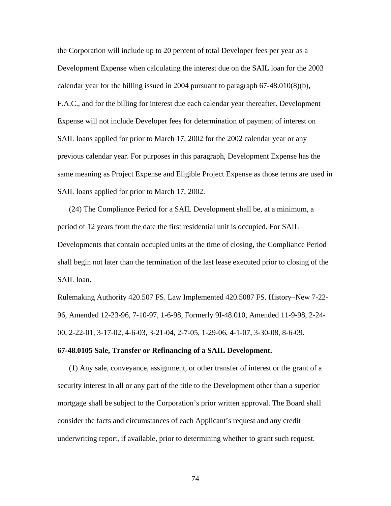the Corporation will include up to 20 percent of total Developer fees per year as a Development Expense when calculating the interest due on the SAIL loan for the 2003 calendar year for the billing issued in 2004 pursuant to paragraph  $67-48.010(8)(b)$ , F.A.C., and for the billing for interest due each calendar year thereafter. Development Expense will not include Developer fees for determination of payment of interest on SAIL loans applied for prior to March 17, 2002 for the 2002 calendar year or any previous calendar year. For purposes in this paragraph, Development Expense has the same meaning as Project Expense and Eligible Project Expense as those terms are used in SAIL loans applied for prior to March 17, 2002.

(24) The Compliance Period for a SAIL Development shall be, at a minimum, a period of 12 years from the date the first residential unit is occupied. For SAIL Developments that contain occupied units at the time of closing, the Compliance Period shall begin not later than the termination of the last lease executed prior to closing of the SAIL loan.

Rulemaking Authority 420.507 FS. Law Implemented 420.5087 FS. History–New 7-22- 96, Amended 12-23-96, 7-10-97, 1-6-98, Formerly 9I-48.010, Amended 11-9-98, 2-24- 00, 2-22-01, 3-17-02, 4-6-03, 3-21-04, 2-7-05, 1-29-06, 4-1-07, 3-30-08, 8-6-09.

#### **67-48.0105 Sale, Transfer or Refinancing of a SAIL Development.**

(1) Any sale, conveyance, assignment, or other transfer of interest or the grant of a security interest in all or any part of the title to the Development other than a superior mortgage shall be subject to the Corporation's prior written approval. The Board shall consider the facts and circumstances of each Applicant's request and any credit underwriting report, if available, prior to determining whether to grant such request.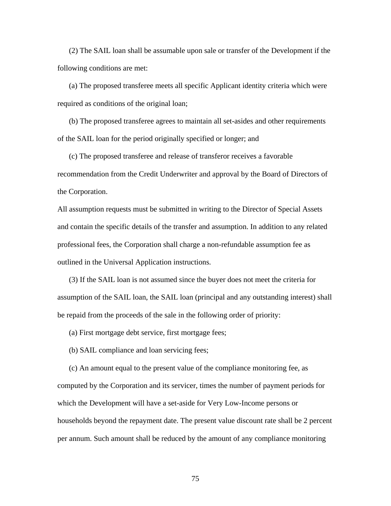(2) The SAIL loan shall be assumable upon sale or transfer of the Development if the following conditions are met:

(a) The proposed transferee meets all specific Applicant identity criteria which were required as conditions of the original loan;

(b) The proposed transferee agrees to maintain all set-asides and other requirements of the SAIL loan for the period originally specified or longer; and

(c) The proposed transferee and release of transferor receives a favorable recommendation from the Credit Underwriter and approval by the Board of Directors of the Corporation.

All assumption requests must be submitted in writing to the Director of Special Assets and contain the specific details of the transfer and assumption. In addition to any related professional fees, the Corporation shall charge a non-refundable assumption fee as outlined in the Universal Application instructions.

(3) If the SAIL loan is not assumed since the buyer does not meet the criteria for assumption of the SAIL loan, the SAIL loan (principal and any outstanding interest) shall be repaid from the proceeds of the sale in the following order of priority:

(a) First mortgage debt service, first mortgage fees;

(b) SAIL compliance and loan servicing fees;

(c) An amount equal to the present value of the compliance monitoring fee, as computed by the Corporation and its servicer, times the number of payment periods for which the Development will have a set-aside for Very Low-Income persons or households beyond the repayment date. The present value discount rate shall be 2 percent per annum. Such amount shall be reduced by the amount of any compliance monitoring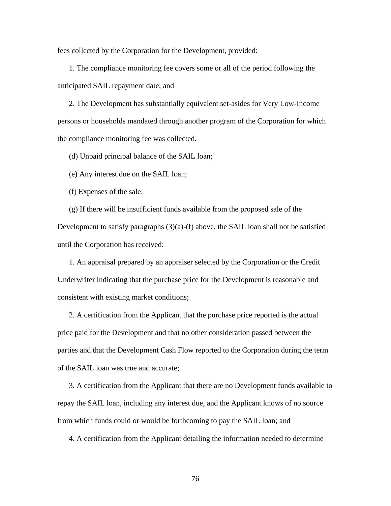fees collected by the Corporation for the Development, provided:

1. The compliance monitoring fee covers some or all of the period following the anticipated SAIL repayment date; and

2. The Development has substantially equivalent set-asides for Very Low-Income persons or households mandated through another program of the Corporation for which the compliance monitoring fee was collected.

(d) Unpaid principal balance of the SAIL loan;

(e) Any interest due on the SAIL loan;

(f) Expenses of the sale;

(g) If there will be insufficient funds available from the proposed sale of the Development to satisfy paragraphs  $(3)(a)-(f)$  above, the SAIL loan shall not be satisfied until the Corporation has received:

1. An appraisal prepared by an appraiser selected by the Corporation or the Credit Underwriter indicating that the purchase price for the Development is reasonable and consistent with existing market conditions;

2. A certification from the Applicant that the purchase price reported is the actual price paid for the Development and that no other consideration passed between the parties and that the Development Cash Flow reported to the Corporation during the term of the SAIL loan was true and accurate;

3. A certification from the Applicant that there are no Development funds available to repay the SAIL loan, including any interest due, and the Applicant knows of no source from which funds could or would be forthcoming to pay the SAIL loan; and

4. A certification from the Applicant detailing the information needed to determine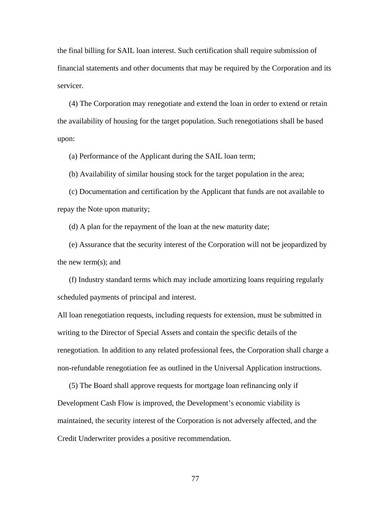the final billing for SAIL loan interest. Such certification shall require submission of financial statements and other documents that may be required by the Corporation and its servicer.

(4) The Corporation may renegotiate and extend the loan in order to extend or retain the availability of housing for the target population. Such renegotiations shall be based upon:

(a) Performance of the Applicant during the SAIL loan term;

(b) Availability of similar housing stock for the target population in the area;

(c) Documentation and certification by the Applicant that funds are not available to repay the Note upon maturity;

(d) A plan for the repayment of the loan at the new maturity date;

(e) Assurance that the security interest of the Corporation will not be jeopardized by the new term(s); and

(f) Industry standard terms which may include amortizing loans requiring regularly scheduled payments of principal and interest.

All loan renegotiation requests, including requests for extension, must be submitted in writing to the Director of Special Assets and contain the specific details of the renegotiation. In addition to any related professional fees, the Corporation shall charge a non-refundable renegotiation fee as outlined in the Universal Application instructions.

(5) The Board shall approve requests for mortgage loan refinancing only if Development Cash Flow is improved, the Development's economic viability is maintained, the security interest of the Corporation is not adversely affected, and the Credit Underwriter provides a positive recommendation.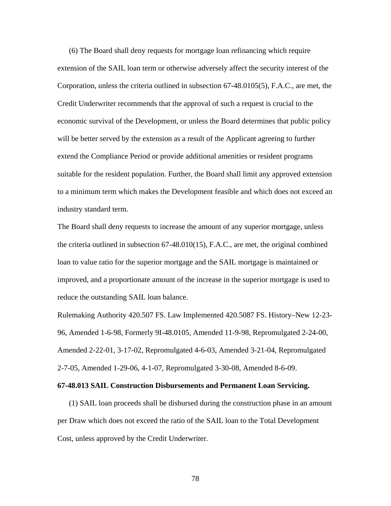(6) The Board shall deny requests for mortgage loan refinancing which require extension of the SAIL loan term or otherwise adversely affect the security interest of the Corporation, unless the criteria outlined in subsection 67-48.0105(5), F.A.C., are met, the Credit Underwriter recommends that the approval of such a request is crucial to the economic survival of the Development, or unless the Board determines that public policy will be better served by the extension as a result of the Applicant agreeing to further extend the Compliance Period or provide additional amenities or resident programs suitable for the resident population. Further, the Board shall limit any approved extension to a minimum term which makes the Development feasible and which does not exceed an industry standard term.

The Board shall deny requests to increase the amount of any superior mortgage, unless the criteria outlined in subsection 67-48.010(15), F.A.C., are met, the original combined loan to value ratio for the superior mortgage and the SAIL mortgage is maintained or improved, and a proportionate amount of the increase in the superior mortgage is used to reduce the outstanding SAIL loan balance.

Rulemaking Authority 420.507 FS. Law Implemented 420.5087 FS. History–New 12-23- 96, Amended 1-6-98, Formerly 9I-48.0105, Amended 11-9-98, Repromulgated 2-24-00, Amended 2-22-01, 3-17-02, Repromulgated 4-6-03, Amended 3-21-04, Repromulgated 2-7-05, Amended 1-29-06, 4-1-07, Repromulgated 3-30-08, Amended 8-6-09.

#### **67-48.013 SAIL Construction Disbursements and Permanent Loan Servicing.**

(1) SAIL loan proceeds shall be disbursed during the construction phase in an amount per Draw which does not exceed the ratio of the SAIL loan to the Total Development Cost, unless approved by the Credit Underwriter.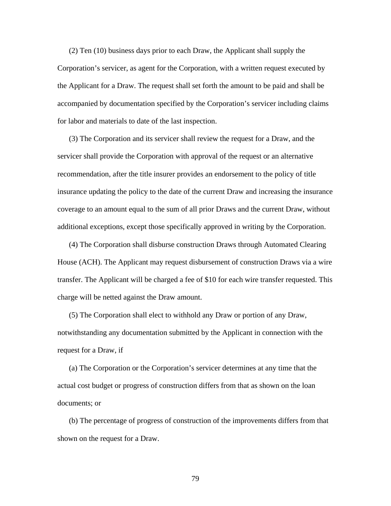(2) Ten (10) business days prior to each Draw, the Applicant shall supply the Corporation's servicer, as agent for the Corporation, with a written request executed by the Applicant for a Draw. The request shall set forth the amount to be paid and shall be accompanied by documentation specified by the Corporation's servicer including claims for labor and materials to date of the last inspection.

(3) The Corporation and its servicer shall review the request for a Draw, and the servicer shall provide the Corporation with approval of the request or an alternative recommendation, after the title insurer provides an endorsement to the policy of title insurance updating the policy to the date of the current Draw and increasing the insurance coverage to an amount equal to the sum of all prior Draws and the current Draw, without additional exceptions, except those specifically approved in writing by the Corporation.

(4) The Corporation shall disburse construction Draws through Automated Clearing House (ACH). The Applicant may request disbursement of construction Draws via a wire transfer. The Applicant will be charged a fee of \$10 for each wire transfer requested. This charge will be netted against the Draw amount.

(5) The Corporation shall elect to withhold any Draw or portion of any Draw, notwithstanding any documentation submitted by the Applicant in connection with the request for a Draw, if

(a) The Corporation or the Corporation's servicer determines at any time that the actual cost budget or progress of construction differs from that as shown on the loan documents; or

(b) The percentage of progress of construction of the improvements differs from that shown on the request for a Draw.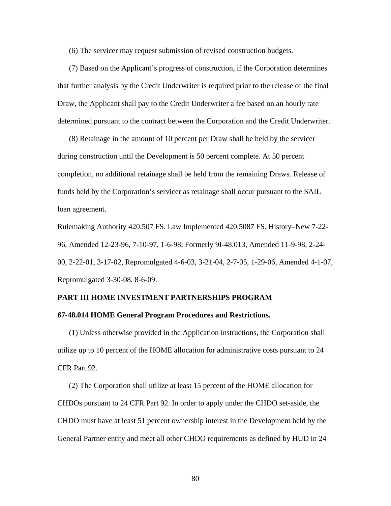(6) The servicer may request submission of revised construction budgets.

(7) Based on the Applicant's progress of construction, if the Corporation determines that further analysis by the Credit Underwriter is required prior to the release of the final Draw, the Applicant shall pay to the Credit Underwriter a fee based on an hourly rate determined pursuant to the contract between the Corporation and the Credit Underwriter.

(8) Retainage in the amount of 10 percent per Draw shall be held by the servicer during construction until the Development is 50 percent complete. At 50 percent completion, no additional retainage shall be held from the remaining Draws. Release of funds held by the Corporation's servicer as retainage shall occur pursuant to the SAIL loan agreement.

Rulemaking Authority 420.507 FS. Law Implemented 420.5087 FS. History–New 7-22- 96, Amended 12-23-96, 7-10-97, 1-6-98, Formerly 9I-48.013, Amended 11-9-98, 2-24- 00, 2-22-01, 3-17-02, Repromulgated 4-6-03, 3-21-04, 2-7-05, 1-29-06, Amended 4-1-07, Repromulgated 3-30-08, 8-6-09.

## **PART III HOME INVESTMENT PARTNERSHIPS PROGRAM**

## **67-48.014 HOME General Program Procedures and Restrictions.**

 (1) Unless otherwise provided in the Application instructions, the Corporation shall utilize up to 10 percent of the HOME allocation for administrative costs pursuant to 24 CFR Part 92.

(2) The Corporation shall utilize at least 15 percent of the HOME allocation for CHDOs pursuant to 24 CFR Part 92. In order to apply under the CHDO set-aside, the CHDO must have at least 51 percent ownership interest in the Development held by the General Partner entity and meet all other CHDO requirements as defined by HUD in 24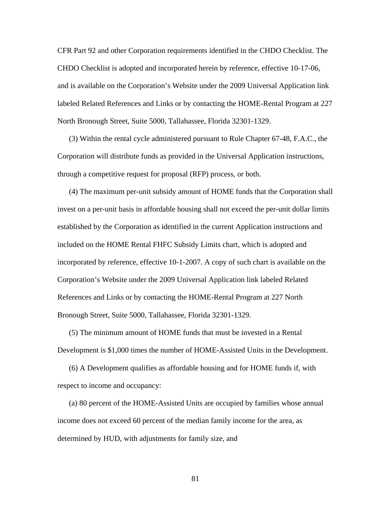CFR Part 92 and other Corporation requirements identified in the CHDO Checklist. The CHDO Checklist is adopted and incorporated herein by reference, effective 10-17-06, and is available on the Corporation's Website under the 2009 Universal Application link labeled Related References and Links or by contacting the HOME-Rental Program at 227 North Bronough Street, Suite 5000, Tallahassee, Florida 32301-1329.

(3) Within the rental cycle administered pursuant to Rule Chapter 67-48, F.A.C., the Corporation will distribute funds as provided in the Universal Application instructions, through a competitive request for proposal (RFP) process, or both.

(4) The maximum per-unit subsidy amount of HOME funds that the Corporation shall invest on a per-unit basis in affordable housing shall not exceed the per-unit dollar limits established by the Corporation as identified in the current Application instructions and included on the HOME Rental FHFC Subsidy Limits chart, which is adopted and incorporated by reference, effective 10-1-2007. A copy of such chart is available on the Corporation's Website under the 2009 Universal Application link labeled Related References and Links or by contacting the HOME-Rental Program at 227 North Bronough Street, Suite 5000, Tallahassee, Florida 32301-1329.

(5) The minimum amount of HOME funds that must be invested in a Rental Development is \$1,000 times the number of HOME-Assisted Units in the Development.

(6) A Development qualifies as affordable housing and for HOME funds if, with respect to income and occupancy:

(a) 80 percent of the HOME-Assisted Units are occupied by families whose annual income does not exceed 60 percent of the median family income for the area, as determined by HUD, with adjustments for family size, and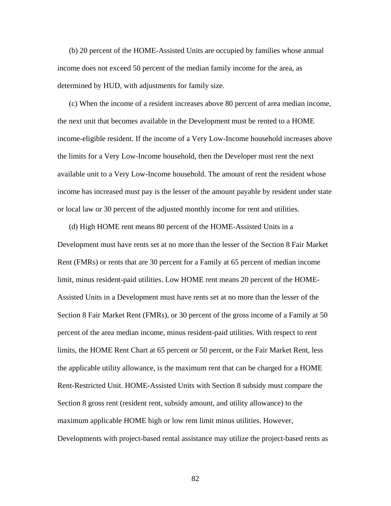(b) 20 percent of the HOME-Assisted Units are occupied by families whose annual income does not exceed 50 percent of the median family income for the area, as determined by HUD, with adjustments for family size.

(c) When the income of a resident increases above 80 percent of area median income, the next unit that becomes available in the Development must be rented to a HOME income-eligible resident. If the income of a Very Low-Income household increases above the limits for a Very Low-Income household, then the Developer must rent the next available unit to a Very Low-Income household. The amount of rent the resident whose income has increased must pay is the lesser of the amount payable by resident under state or local law or 30 percent of the adjusted monthly income for rent and utilities.

(d) High HOME rent means 80 percent of the HOME-Assisted Units in a Development must have rents set at no more than the lesser of the Section 8 Fair Market Rent (FMRs) or rents that are 30 percent for a Family at 65 percent of median income limit, minus resident-paid utilities. Low HOME rent means 20 percent of the HOME-Assisted Units in a Development must have rents set at no more than the lesser of the Section 8 Fair Market Rent (FMRs), or 30 percent of the gross income of a Family at 50 percent of the area median income, minus resident-paid utilities. With respect to rent limits, the HOME Rent Chart at 65 percent or 50 percent, or the Fair Market Rent, less the applicable utility allowance, is the maximum rent that can be charged for a HOME Rent-Restricted Unit. HOME-Assisted Units with Section 8 subsidy must compare the Section 8 gross rent (resident rent, subsidy amount, and utility allowance) to the maximum applicable HOME high or low rent limit minus utilities. However, Developments with project-based rental assistance may utilize the project-based rents as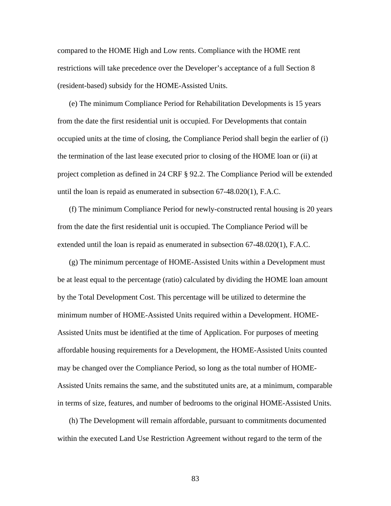compared to the HOME High and Low rents. Compliance with the HOME rent restrictions will take precedence over the Developer's acceptance of a full Section 8 (resident-based) subsidy for the HOME-Assisted Units.

(e) The minimum Compliance Period for Rehabilitation Developments is 15 years from the date the first residential unit is occupied. For Developments that contain occupied units at the time of closing, the Compliance Period shall begin the earlier of (i) the termination of the last lease executed prior to closing of the HOME loan or (ii) at project completion as defined in 24 CRF § 92.2. The Compliance Period will be extended until the loan is repaid as enumerated in subsection 67-48.020(1), F.A.C.

(f) The minimum Compliance Period for newly-constructed rental housing is 20 years from the date the first residential unit is occupied. The Compliance Period will be extended until the loan is repaid as enumerated in subsection 67-48.020(1), F.A.C.

(g) The minimum percentage of HOME-Assisted Units within a Development must be at least equal to the percentage (ratio) calculated by dividing the HOME loan amount by the Total Development Cost. This percentage will be utilized to determine the minimum number of HOME-Assisted Units required within a Development. HOME-Assisted Units must be identified at the time of Application. For purposes of meeting affordable housing requirements for a Development, the HOME-Assisted Units counted may be changed over the Compliance Period, so long as the total number of HOME-Assisted Units remains the same, and the substituted units are, at a minimum, comparable in terms of size, features, and number of bedrooms to the original HOME-Assisted Units.

(h) The Development will remain affordable, pursuant to commitments documented within the executed Land Use Restriction Agreement without regard to the term of the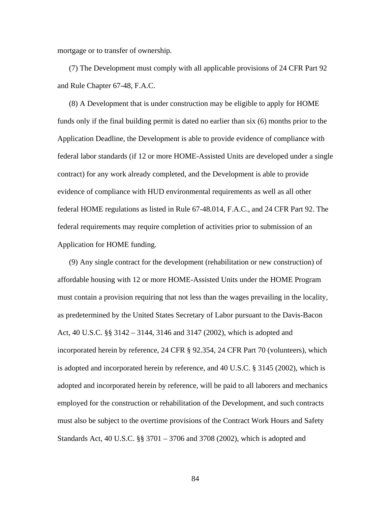mortgage or to transfer of ownership.

(7) The Development must comply with all applicable provisions of 24 CFR Part 92 and Rule Chapter 67-48, F.A.C.

(8) A Development that is under construction may be eligible to apply for HOME funds only if the final building permit is dated no earlier than six (6) months prior to the Application Deadline, the Development is able to provide evidence of compliance with federal labor standards (if 12 or more HOME-Assisted Units are developed under a single contract) for any work already completed, and the Development is able to provide evidence of compliance with HUD environmental requirements as well as all other federal HOME regulations as listed in Rule 67-48.014, F.A.C., and 24 CFR Part 92. The federal requirements may require completion of activities prior to submission of an Application for HOME funding.

(9) Any single contract for the development (rehabilitation or new construction) of affordable housing with 12 or more HOME-Assisted Units under the HOME Program must contain a provision requiring that not less than the wages prevailing in the locality, as predetermined by the United States Secretary of Labor pursuant to the Davis-Bacon Act, 40 U.S.C. §§ 3142 – 3144, 3146 and 3147 (2002), which is adopted and incorporated herein by reference, 24 CFR § 92.354, 24 CFR Part 70 (volunteers), which is adopted and incorporated herein by reference, and 40 U.S.C. § 3145 (2002), which is adopted and incorporated herein by reference, will be paid to all laborers and mechanics employed for the construction or rehabilitation of the Development, and such contracts must also be subject to the overtime provisions of the Contract Work Hours and Safety Standards Act, 40 U.S.C. §§ 3701 – 3706 and 3708 (2002), which is adopted and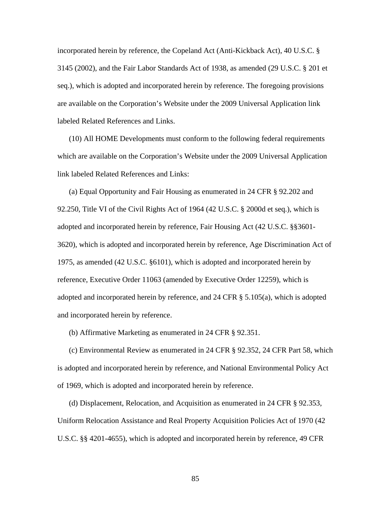incorporated herein by reference, the Copeland Act (Anti-Kickback Act), 40 U.S.C. § 3145 (2002), and the Fair Labor Standards Act of 1938, as amended (29 U.S.C. § 201 et seq.), which is adopted and incorporated herein by reference. The foregoing provisions are available on the Corporation's Website under the 2009 Universal Application link labeled Related References and Links.

(10) All HOME Developments must conform to the following federal requirements which are available on the Corporation's Website under the 2009 Universal Application link labeled Related References and Links:

(a) Equal Opportunity and Fair Housing as enumerated in 24 CFR § 92.202 and 92.250, Title VI of the Civil Rights Act of 1964 (42 U.S.C. § 2000d et seq.), which is adopted and incorporated herein by reference, Fair Housing Act (42 U.S.C. §§3601- 3620), which is adopted and incorporated herein by reference, Age Discrimination Act of 1975, as amended (42 U.S.C. §6101), which is adopted and incorporated herein by reference, Executive Order 11063 (amended by Executive Order 12259), which is adopted and incorporated herein by reference, and 24 CFR § 5.105(a), which is adopted and incorporated herein by reference.

(b) Affirmative Marketing as enumerated in 24 CFR § 92.351.

(c) Environmental Review as enumerated in 24 CFR § 92.352, 24 CFR Part 58, which is adopted and incorporated herein by reference, and National Environmental Policy Act of 1969, which is adopted and incorporated herein by reference.

(d) Displacement, Relocation, and Acquisition as enumerated in 24 CFR § 92.353, Uniform Relocation Assistance and Real Property Acquisition Policies Act of 1970 (42 U.S.C. §§ 4201-4655), which is adopted and incorporated herein by reference, 49 CFR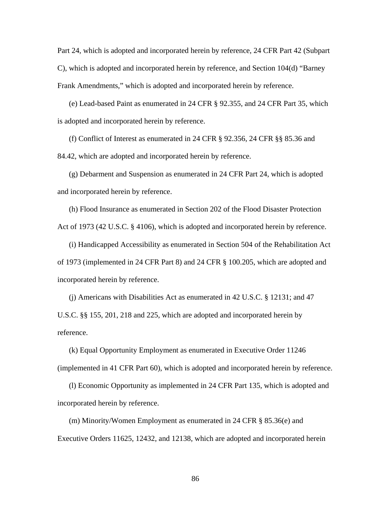Part 24, which is adopted and incorporated herein by reference, 24 CFR Part 42 (Subpart C), which is adopted and incorporated herein by reference, and Section 104(d) "Barney Frank Amendments," which is adopted and incorporated herein by reference.

(e) Lead-based Paint as enumerated in 24 CFR § 92.355, and 24 CFR Part 35, which is adopted and incorporated herein by reference.

(f) Conflict of Interest as enumerated in 24 CFR § 92.356, 24 CFR §§ 85.36 and 84.42, which are adopted and incorporated herein by reference.

(g) Debarment and Suspension as enumerated in 24 CFR Part 24, which is adopted and incorporated herein by reference.

(h) Flood Insurance as enumerated in Section 202 of the Flood Disaster Protection Act of 1973 (42 U.S.C. § 4106), which is adopted and incorporated herein by reference.

(i) Handicapped Accessibility as enumerated in Section 504 of the Rehabilitation Act of 1973 (implemented in 24 CFR Part 8) and 24 CFR § 100.205, which are adopted and incorporated herein by reference.

(j) Americans with Disabilities Act as enumerated in 42 U.S.C. § 12131; and 47 U.S.C. §§ 155, 201, 218 and 225, which are adopted and incorporated herein by reference.

(k) Equal Opportunity Employment as enumerated in Executive Order 11246 (implemented in 41 CFR Part 60), which is adopted and incorporated herein by reference.

(l) Economic Opportunity as implemented in 24 CFR Part 135, which is adopted and incorporated herein by reference.

(m) Minority/Women Employment as enumerated in 24 CFR § 85.36(e) and Executive Orders 11625, 12432, and 12138, which are adopted and incorporated herein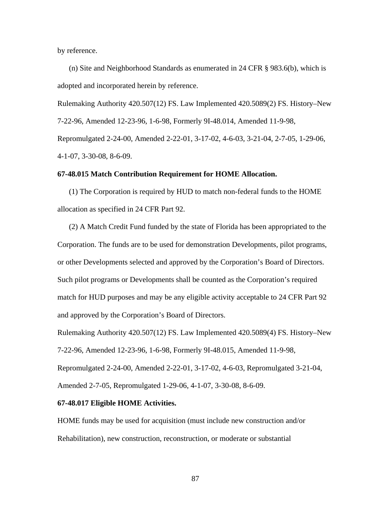by reference.

(n) Site and Neighborhood Standards as enumerated in 24 CFR § 983.6(b), which is adopted and incorporated herein by reference.

Rulemaking Authority 420.507(12) FS. Law Implemented 420.5089(2) FS. History–New

7-22-96, Amended 12-23-96, 1-6-98, Formerly 9I-48.014, Amended 11-9-98,

Repromulgated 2-24-00, Amended 2-22-01, 3-17-02, 4-6-03, 3-21-04, 2-7-05, 1-29-06, 4-1-07, 3-30-08, 8-6-09.

### **67-48.015 Match Contribution Requirement for HOME Allocation.**

 (1) The Corporation is required by HUD to match non-federal funds to the HOME allocation as specified in 24 CFR Part 92.

(2) A Match Credit Fund funded by the state of Florida has been appropriated to the Corporation. The funds are to be used for demonstration Developments, pilot programs, or other Developments selected and approved by the Corporation's Board of Directors. Such pilot programs or Developments shall be counted as the Corporation's required match for HUD purposes and may be any eligible activity acceptable to 24 CFR Part 92 and approved by the Corporation's Board of Directors.

Rulemaking Authority 420.507(12) FS. Law Implemented 420.5089(4) FS. History–New 7-22-96, Amended 12-23-96, 1-6-98, Formerly 9I-48.015, Amended 11-9-98, Repromulgated 2-24-00, Amended 2-22-01, 3-17-02, 4-6-03, Repromulgated 3-21-04,

Amended 2-7-05, Repromulgated 1-29-06, 4-1-07, 3-30-08, 8-6-09.

# **67-48.017 Eligible HOME Activities.**

HOME funds may be used for acquisition (must include new construction and/or Rehabilitation), new construction, reconstruction, or moderate or substantial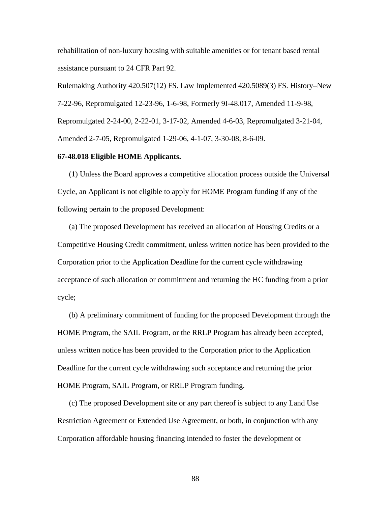rehabilitation of non-luxury housing with suitable amenities or for tenant based rental assistance pursuant to 24 CFR Part 92.

Rulemaking Authority 420.507(12) FS. Law Implemented 420.5089(3) FS. History–New 7-22-96, Repromulgated 12-23-96, 1-6-98, Formerly 9I-48.017, Amended 11-9-98, Repromulgated 2-24-00, 2-22-01, 3-17-02, Amended 4-6-03, Repromulgated 3-21-04, Amended 2-7-05, Repromulgated 1-29-06, 4-1-07, 3-30-08, 8-6-09.

## **67-48.018 Eligible HOME Applicants.**

(1) Unless the Board approves a competitive allocation process outside the Universal Cycle, an Applicant is not eligible to apply for HOME Program funding if any of the following pertain to the proposed Development:

(a) The proposed Development has received an allocation of Housing Credits or a Competitive Housing Credit commitment, unless written notice has been provided to the Corporation prior to the Application Deadline for the current cycle withdrawing acceptance of such allocation or commitment and returning the HC funding from a prior cycle;

(b) A preliminary commitment of funding for the proposed Development through the HOME Program, the SAIL Program, or the RRLP Program has already been accepted, unless written notice has been provided to the Corporation prior to the Application Deadline for the current cycle withdrawing such acceptance and returning the prior HOME Program, SAIL Program, or RRLP Program funding.

(c) The proposed Development site or any part thereof is subject to any Land Use Restriction Agreement or Extended Use Agreement, or both, in conjunction with any Corporation affordable housing financing intended to foster the development or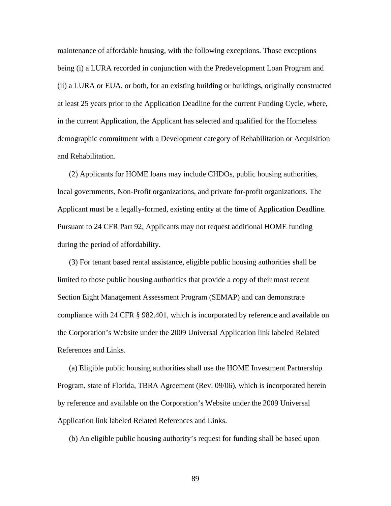maintenance of affordable housing, with the following exceptions. Those exceptions being (i) a LURA recorded in conjunction with the Predevelopment Loan Program and (ii) a LURA or EUA, or both, for an existing building or buildings, originally constructed at least 25 years prior to the Application Deadline for the current Funding Cycle, where, in the current Application, the Applicant has selected and qualified for the Homeless demographic commitment with a Development category of Rehabilitation or Acquisition and Rehabilitation.

(2) Applicants for HOME loans may include CHDOs, public housing authorities, local governments, Non-Profit organizations, and private for-profit organizations. The Applicant must be a legally-formed, existing entity at the time of Application Deadline. Pursuant to 24 CFR Part 92, Applicants may not request additional HOME funding during the period of affordability.

(3) For tenant based rental assistance, eligible public housing authorities shall be limited to those public housing authorities that provide a copy of their most recent Section Eight Management Assessment Program (SEMAP) and can demonstrate compliance with 24 CFR § 982.401, which is incorporated by reference and available on the Corporation's Website under the 2009 Universal Application link labeled Related References and Links.

(a) Eligible public housing authorities shall use the HOME Investment Partnership Program, state of Florida, TBRA Agreement (Rev. 09/06), which is incorporated herein by reference and available on the Corporation's Website under the 2009 Universal Application link labeled Related References and Links.

(b) An eligible public housing authority's request for funding shall be based upon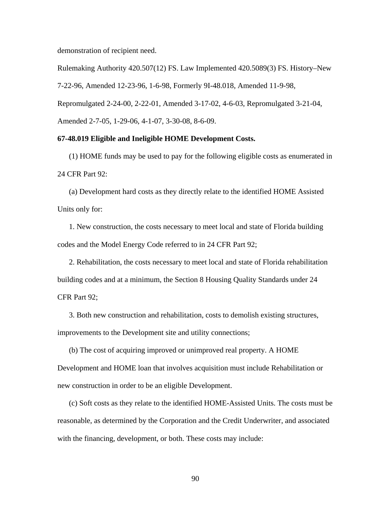demonstration of recipient need.

Rulemaking Authority 420.507(12) FS. Law Implemented 420.5089(3) FS. History–New 7-22-96, Amended 12-23-96, 1-6-98, Formerly 9I-48.018, Amended 11-9-98, Repromulgated 2-24-00, 2-22-01, Amended 3-17-02, 4-6-03, Repromulgated 3-21-04, Amended 2-7-05, 1-29-06, 4-1-07, 3-30-08, 8-6-09.

# **67-48.019 Eligible and Ineligible HOME Development Costs.**

 (1) HOME funds may be used to pay for the following eligible costs as enumerated in 24 CFR Part 92:

(a) Development hard costs as they directly relate to the identified HOME Assisted Units only for:

1. New construction, the costs necessary to meet local and state of Florida building codes and the Model Energy Code referred to in 24 CFR Part 92;

2. Rehabilitation, the costs necessary to meet local and state of Florida rehabilitation building codes and at a minimum, the Section 8 Housing Quality Standards under 24 CFR Part 92;

3. Both new construction and rehabilitation, costs to demolish existing structures, improvements to the Development site and utility connections;

(b) The cost of acquiring improved or unimproved real property. A HOME Development and HOME loan that involves acquisition must include Rehabilitation or new construction in order to be an eligible Development.

(c) Soft costs as they relate to the identified HOME-Assisted Units. The costs must be reasonable, as determined by the Corporation and the Credit Underwriter, and associated with the financing, development, or both. These costs may include: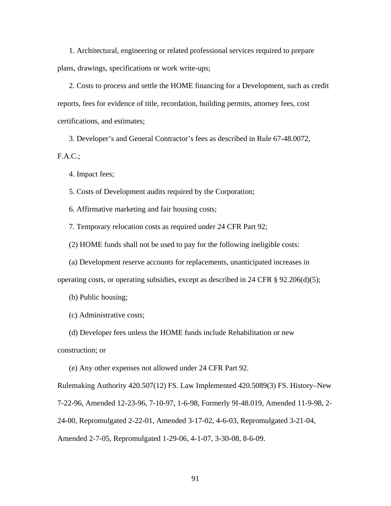1. Architectural, engineering or related professional services required to prepare plans, drawings, specifications or work write-ups;

2. Costs to process and settle the HOME financing for a Development, such as credit reports, fees for evidence of title, recordation, building permits, attorney fees, cost certifications, and estimates;

3. Developer's and General Contractor's fees as described in Rule 67-48.0072, F.A.C.;

4. Impact fees;

5. Costs of Development audits required by the Corporation;

6. Affirmative marketing and fair housing costs;

7. Temporary relocation costs as required under 24 CFR Part 92;

(2) HOME funds shall not be used to pay for the following ineligible costs:

(a) Development reserve accounts for replacements, unanticipated increases in

operating costs, or operating subsidies, except as described in 24 CFR  $\S$  92.206(d)(5);

(b) Public housing;

(c) Administrative costs;

(d) Developer fees unless the HOME funds include Rehabilitation or new

construction; or

(e) Any other expenses not allowed under 24 CFR Part 92.

Rulemaking Authority 420.507(12) FS. Law Implemented 420.5089(3) FS. History–New 7-22-96, Amended 12-23-96, 7-10-97, 1-6-98, Formerly 9I-48.019, Amended 11-9-98, 2- 24-00, Repromulgated 2-22-01, Amended 3-17-02, 4-6-03, Repromulgated 3-21-04, Amended 2-7-05, Repromulgated 1-29-06, 4-1-07, 3-30-08, 8-6-09.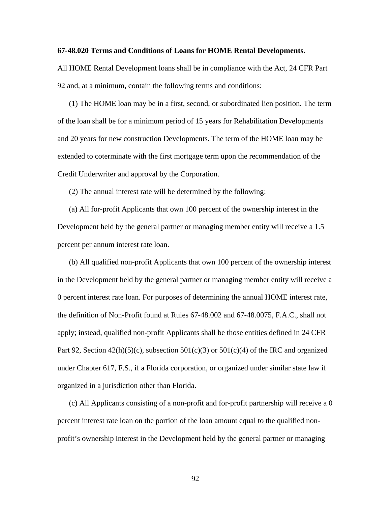## **67-48.020 Terms and Conditions of Loans for HOME Rental Developments.**

All HOME Rental Development loans shall be in compliance with the Act, 24 CFR Part 92 and, at a minimum, contain the following terms and conditions:

(1) The HOME loan may be in a first, second, or subordinated lien position. The term of the loan shall be for a minimum period of 15 years for Rehabilitation Developments and 20 years for new construction Developments. The term of the HOME loan may be extended to coterminate with the first mortgage term upon the recommendation of the Credit Underwriter and approval by the Corporation.

(2) The annual interest rate will be determined by the following:

(a) All for-profit Applicants that own 100 percent of the ownership interest in the Development held by the general partner or managing member entity will receive a 1.5 percent per annum interest rate loan.

(b) All qualified non-profit Applicants that own 100 percent of the ownership interest in the Development held by the general partner or managing member entity will receive a 0 percent interest rate loan. For purposes of determining the annual HOME interest rate, the definition of Non-Profit found at Rules 67-48.002 and 67-48.0075, F.A.C., shall not apply; instead, qualified non-profit Applicants shall be those entities defined in 24 CFR Part 92, Section  $42(h)(5)(c)$ , subsection  $501(c)(3)$  or  $501(c)(4)$  of the IRC and organized under Chapter 617, F.S., if a Florida corporation, or organized under similar state law if organized in a jurisdiction other than Florida.

(c) All Applicants consisting of a non-profit and for-profit partnership will receive a 0 percent interest rate loan on the portion of the loan amount equal to the qualified nonprofit's ownership interest in the Development held by the general partner or managing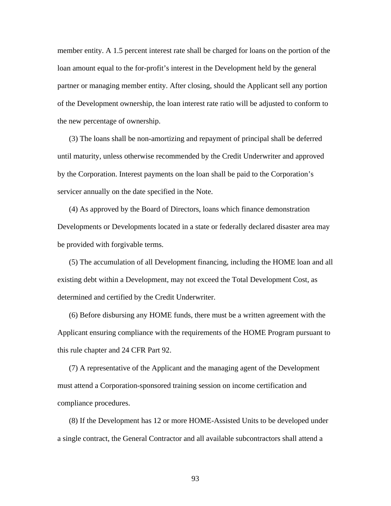member entity. A 1.5 percent interest rate shall be charged for loans on the portion of the loan amount equal to the for-profit's interest in the Development held by the general partner or managing member entity. After closing, should the Applicant sell any portion of the Development ownership, the loan interest rate ratio will be adjusted to conform to the new percentage of ownership.

(3) The loans shall be non-amortizing and repayment of principal shall be deferred until maturity, unless otherwise recommended by the Credit Underwriter and approved by the Corporation. Interest payments on the loan shall be paid to the Corporation's servicer annually on the date specified in the Note.

(4) As approved by the Board of Directors, loans which finance demonstration Developments or Developments located in a state or federally declared disaster area may be provided with forgivable terms.

(5) The accumulation of all Development financing, including the HOME loan and all existing debt within a Development, may not exceed the Total Development Cost, as determined and certified by the Credit Underwriter.

(6) Before disbursing any HOME funds, there must be a written agreement with the Applicant ensuring compliance with the requirements of the HOME Program pursuant to this rule chapter and 24 CFR Part 92.

(7) A representative of the Applicant and the managing agent of the Development must attend a Corporation-sponsored training session on income certification and compliance procedures.

(8) If the Development has 12 or more HOME-Assisted Units to be developed under a single contract, the General Contractor and all available subcontractors shall attend a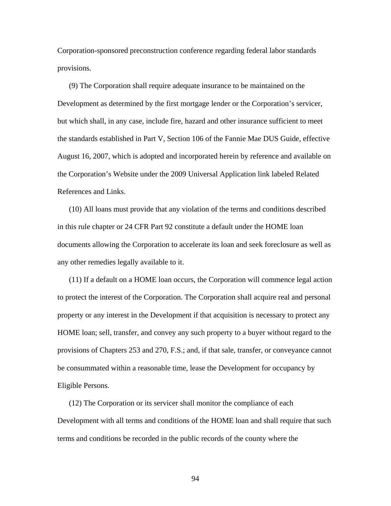Corporation-sponsored preconstruction conference regarding federal labor standards provisions.

(9) The Corporation shall require adequate insurance to be maintained on the Development as determined by the first mortgage lender or the Corporation's servicer, but which shall, in any case, include fire, hazard and other insurance sufficient to meet the standards established in Part V, Section 106 of the Fannie Mae DUS Guide, effective August 16, 2007, which is adopted and incorporated herein by reference and available on the Corporation's Website under the 2009 Universal Application link labeled Related References and Links.

(10) All loans must provide that any violation of the terms and conditions described in this rule chapter or 24 CFR Part 92 constitute a default under the HOME loan documents allowing the Corporation to accelerate its loan and seek foreclosure as well as any other remedies legally available to it.

(11) If a default on a HOME loan occurs, the Corporation will commence legal action to protect the interest of the Corporation. The Corporation shall acquire real and personal property or any interest in the Development if that acquisition is necessary to protect any HOME loan; sell, transfer, and convey any such property to a buyer without regard to the provisions of Chapters 253 and 270, F.S.; and, if that sale, transfer, or conveyance cannot be consummated within a reasonable time, lease the Development for occupancy by Eligible Persons.

(12) The Corporation or its servicer shall monitor the compliance of each Development with all terms and conditions of the HOME loan and shall require that such terms and conditions be recorded in the public records of the county where the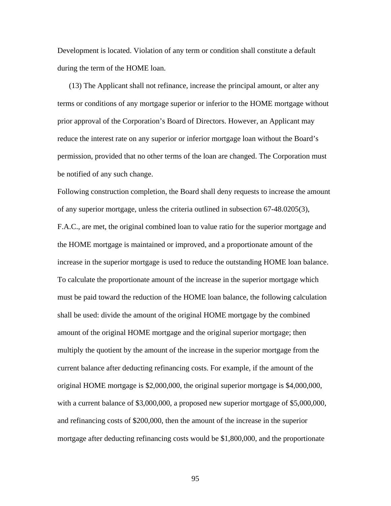Development is located. Violation of any term or condition shall constitute a default during the term of the HOME loan.

(13) The Applicant shall not refinance, increase the principal amount, or alter any terms or conditions of any mortgage superior or inferior to the HOME mortgage without prior approval of the Corporation's Board of Directors. However, an Applicant may reduce the interest rate on any superior or inferior mortgage loan without the Board's permission, provided that no other terms of the loan are changed. The Corporation must be notified of any such change.

Following construction completion, the Board shall deny requests to increase the amount of any superior mortgage, unless the criteria outlined in subsection 67-48.0205(3), F.A.C., are met, the original combined loan to value ratio for the superior mortgage and the HOME mortgage is maintained or improved, and a proportionate amount of the increase in the superior mortgage is used to reduce the outstanding HOME loan balance. To calculate the proportionate amount of the increase in the superior mortgage which must be paid toward the reduction of the HOME loan balance, the following calculation shall be used: divide the amount of the original HOME mortgage by the combined amount of the original HOME mortgage and the original superior mortgage; then multiply the quotient by the amount of the increase in the superior mortgage from the current balance after deducting refinancing costs. For example, if the amount of the original HOME mortgage is \$2,000,000, the original superior mortgage is \$4,000,000, with a current balance of \$3,000,000, a proposed new superior mortgage of \$5,000,000, and refinancing costs of \$200,000, then the amount of the increase in the superior mortgage after deducting refinancing costs would be \$1,800,000, and the proportionate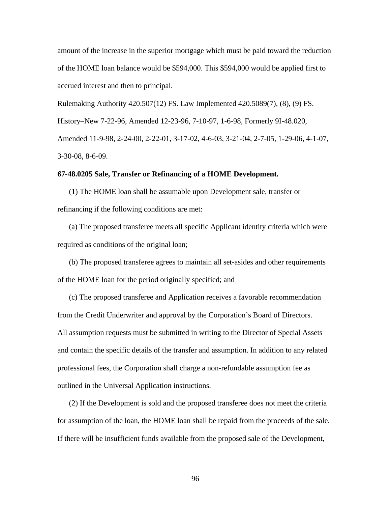amount of the increase in the superior mortgage which must be paid toward the reduction of the HOME loan balance would be \$594,000. This \$594,000 would be applied first to accrued interest and then to principal.

Rulemaking Authority 420.507(12) FS. Law Implemented 420.5089(7), (8), (9) FS.

History–New 7-22-96, Amended 12-23-96, 7-10-97, 1-6-98, Formerly 9I-48.020,

Amended 11-9-98, 2-24-00, 2-22-01, 3-17-02, 4-6-03, 3-21-04, 2-7-05, 1-29-06, 4-1-07, 3-30-08, 8-6-09.

#### **67-48.0205 Sale, Transfer or Refinancing of a HOME Development.**

 (1) The HOME loan shall be assumable upon Development sale, transfer or refinancing if the following conditions are met:

(a) The proposed transferee meets all specific Applicant identity criteria which were required as conditions of the original loan;

(b) The proposed transferee agrees to maintain all set-asides and other requirements of the HOME loan for the period originally specified; and

(c) The proposed transferee and Application receives a favorable recommendation from the Credit Underwriter and approval by the Corporation's Board of Directors. All assumption requests must be submitted in writing to the Director of Special Assets and contain the specific details of the transfer and assumption. In addition to any related professional fees, the Corporation shall charge a non-refundable assumption fee as outlined in the Universal Application instructions.

(2) If the Development is sold and the proposed transferee does not meet the criteria for assumption of the loan, the HOME loan shall be repaid from the proceeds of the sale. If there will be insufficient funds available from the proposed sale of the Development,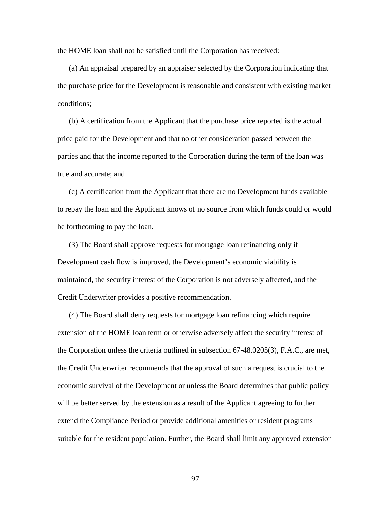the HOME loan shall not be satisfied until the Corporation has received:

(a) An appraisal prepared by an appraiser selected by the Corporation indicating that the purchase price for the Development is reasonable and consistent with existing market conditions;

(b) A certification from the Applicant that the purchase price reported is the actual price paid for the Development and that no other consideration passed between the parties and that the income reported to the Corporation during the term of the loan was true and accurate; and

(c) A certification from the Applicant that there are no Development funds available to repay the loan and the Applicant knows of no source from which funds could or would be forthcoming to pay the loan.

(3) The Board shall approve requests for mortgage loan refinancing only if Development cash flow is improved, the Development's economic viability is maintained, the security interest of the Corporation is not adversely affected, and the Credit Underwriter provides a positive recommendation.

(4) The Board shall deny requests for mortgage loan refinancing which require extension of the HOME loan term or otherwise adversely affect the security interest of the Corporation unless the criteria outlined in subsection 67-48.0205(3), F.A.C., are met, the Credit Underwriter recommends that the approval of such a request is crucial to the economic survival of the Development or unless the Board determines that public policy will be better served by the extension as a result of the Applicant agreeing to further extend the Compliance Period or provide additional amenities or resident programs suitable for the resident population. Further, the Board shall limit any approved extension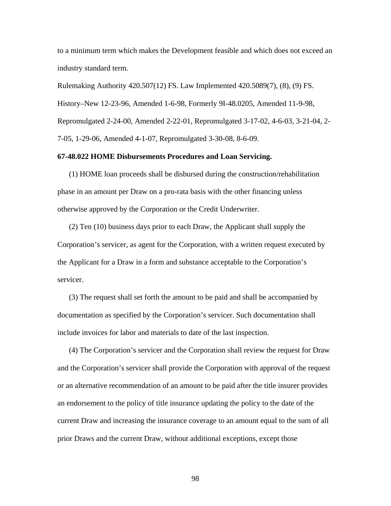to a minimum term which makes the Development feasible and which does not exceed an industry standard term.

Rulemaking Authority 420.507(12) FS. Law Implemented 420.5089(7), (8), (9) FS. History–New 12-23-96, Amended 1-6-98, Formerly 9I-48.0205, Amended 11-9-98, Repromulgated 2-24-00, Amended 2-22-01, Repromulgated 3-17-02, 4-6-03, 3-21-04, 2- 7-05, 1-29-06, Amended 4-1-07, Repromulgated 3-30-08, 8-6-09.

## **67-48.022 HOME Disbursements Procedures and Loan Servicing.**

(1) HOME loan proceeds shall be disbursed during the construction/rehabilitation phase in an amount per Draw on a pro-rata basis with the other financing unless otherwise approved by the Corporation or the Credit Underwriter.

(2) Ten (10) business days prior to each Draw, the Applicant shall supply the Corporation's servicer, as agent for the Corporation, with a written request executed by the Applicant for a Draw in a form and substance acceptable to the Corporation's servicer.

(3) The request shall set forth the amount to be paid and shall be accompanied by documentation as specified by the Corporation's servicer. Such documentation shall include invoices for labor and materials to date of the last inspection.

(4) The Corporation's servicer and the Corporation shall review the request for Draw and the Corporation's servicer shall provide the Corporation with approval of the request or an alternative recommendation of an amount to be paid after the title insurer provides an endorsement to the policy of title insurance updating the policy to the date of the current Draw and increasing the insurance coverage to an amount equal to the sum of all prior Draws and the current Draw, without additional exceptions, except those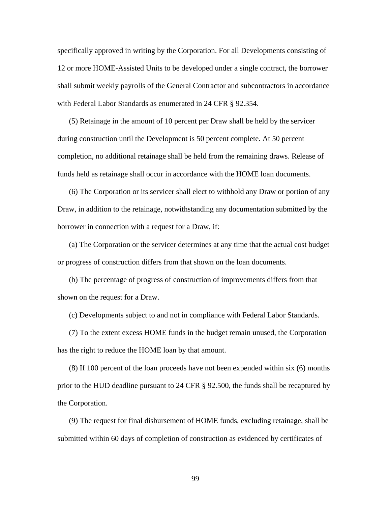specifically approved in writing by the Corporation. For all Developments consisting of 12 or more HOME-Assisted Units to be developed under a single contract, the borrower shall submit weekly payrolls of the General Contractor and subcontractors in accordance with Federal Labor Standards as enumerated in 24 CFR § 92.354.

(5) Retainage in the amount of 10 percent per Draw shall be held by the servicer during construction until the Development is 50 percent complete. At 50 percent completion, no additional retainage shall be held from the remaining draws. Release of funds held as retainage shall occur in accordance with the HOME loan documents.

(6) The Corporation or its servicer shall elect to withhold any Draw or portion of any Draw, in addition to the retainage, notwithstanding any documentation submitted by the borrower in connection with a request for a Draw, if:

(a) The Corporation or the servicer determines at any time that the actual cost budget or progress of construction differs from that shown on the loan documents.

(b) The percentage of progress of construction of improvements differs from that shown on the request for a Draw.

(c) Developments subject to and not in compliance with Federal Labor Standards.

(7) To the extent excess HOME funds in the budget remain unused, the Corporation has the right to reduce the HOME loan by that amount.

(8) If 100 percent of the loan proceeds have not been expended within six (6) months prior to the HUD deadline pursuant to 24 CFR § 92.500, the funds shall be recaptured by the Corporation.

(9) The request for final disbursement of HOME funds, excluding retainage, shall be submitted within 60 days of completion of construction as evidenced by certificates of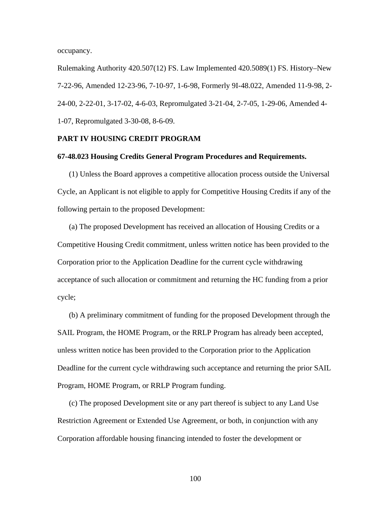occupancy.

Rulemaking Authority 420.507(12) FS. Law Implemented 420.5089(1) FS. History–New 7-22-96, Amended 12-23-96, 7-10-97, 1-6-98, Formerly 9I-48.022, Amended 11-9-98, 2- 24-00, 2-22-01, 3-17-02, 4-6-03, Repromulgated 3-21-04, 2-7-05, 1-29-06, Amended 4- 1-07, Repromulgated 3-30-08, 8-6-09.

## **PART IV HOUSING CREDIT PROGRAM**

#### **67-48.023 Housing Credits General Program Procedures and Requirements.**

(1) Unless the Board approves a competitive allocation process outside the Universal Cycle, an Applicant is not eligible to apply for Competitive Housing Credits if any of the following pertain to the proposed Development:

(a) The proposed Development has received an allocation of Housing Credits or a Competitive Housing Credit commitment, unless written notice has been provided to the Corporation prior to the Application Deadline for the current cycle withdrawing acceptance of such allocation or commitment and returning the HC funding from a prior cycle;

(b) A preliminary commitment of funding for the proposed Development through the SAIL Program, the HOME Program, or the RRLP Program has already been accepted, unless written notice has been provided to the Corporation prior to the Application Deadline for the current cycle withdrawing such acceptance and returning the prior SAIL Program, HOME Program, or RRLP Program funding.

(c) The proposed Development site or any part thereof is subject to any Land Use Restriction Agreement or Extended Use Agreement, or both, in conjunction with any Corporation affordable housing financing intended to foster the development or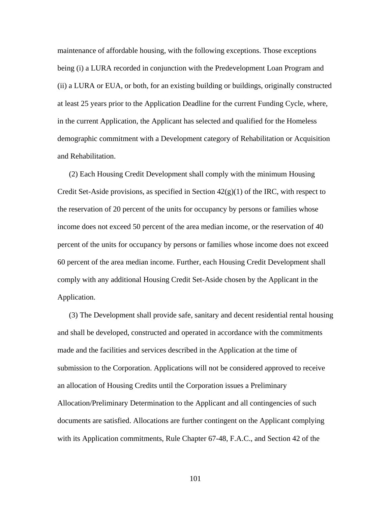maintenance of affordable housing, with the following exceptions. Those exceptions being (i) a LURA recorded in conjunction with the Predevelopment Loan Program and (ii) a LURA or EUA, or both, for an existing building or buildings, originally constructed at least 25 years prior to the Application Deadline for the current Funding Cycle, where, in the current Application, the Applicant has selected and qualified for the Homeless demographic commitment with a Development category of Rehabilitation or Acquisition and Rehabilitation.

(2) Each Housing Credit Development shall comply with the minimum Housing Credit Set-Aside provisions, as specified in Section  $42(g)(1)$  of the IRC, with respect to the reservation of 20 percent of the units for occupancy by persons or families whose income does not exceed 50 percent of the area median income, or the reservation of 40 percent of the units for occupancy by persons or families whose income does not exceed 60 percent of the area median income. Further, each Housing Credit Development shall comply with any additional Housing Credit Set-Aside chosen by the Applicant in the Application.

(3) The Development shall provide safe, sanitary and decent residential rental housing and shall be developed, constructed and operated in accordance with the commitments made and the facilities and services described in the Application at the time of submission to the Corporation. Applications will not be considered approved to receive an allocation of Housing Credits until the Corporation issues a Preliminary Allocation/Preliminary Determination to the Applicant and all contingencies of such documents are satisfied. Allocations are further contingent on the Applicant complying with its Application commitments, Rule Chapter 67-48, F.A.C., and Section 42 of the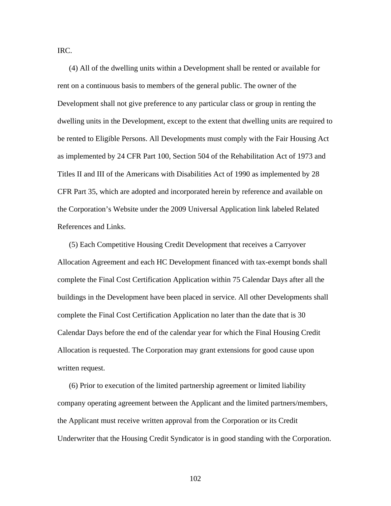IRC.

(4) All of the dwelling units within a Development shall be rented or available for rent on a continuous basis to members of the general public. The owner of the Development shall not give preference to any particular class or group in renting the dwelling units in the Development, except to the extent that dwelling units are required to be rented to Eligible Persons. All Developments must comply with the Fair Housing Act as implemented by 24 CFR Part 100, Section 504 of the Rehabilitation Act of 1973 and Titles II and III of the Americans with Disabilities Act of 1990 as implemented by 28 CFR Part 35, which are adopted and incorporated herein by reference and available on the Corporation's Website under the 2009 Universal Application link labeled Related References and Links.

(5) Each Competitive Housing Credit Development that receives a Carryover Allocation Agreement and each HC Development financed with tax-exempt bonds shall complete the Final Cost Certification Application within 75 Calendar Days after all the buildings in the Development have been placed in service. All other Developments shall complete the Final Cost Certification Application no later than the date that is 30 Calendar Days before the end of the calendar year for which the Final Housing Credit Allocation is requested. The Corporation may grant extensions for good cause upon written request.

(6) Prior to execution of the limited partnership agreement or limited liability company operating agreement between the Applicant and the limited partners/members, the Applicant must receive written approval from the Corporation or its Credit Underwriter that the Housing Credit Syndicator is in good standing with the Corporation.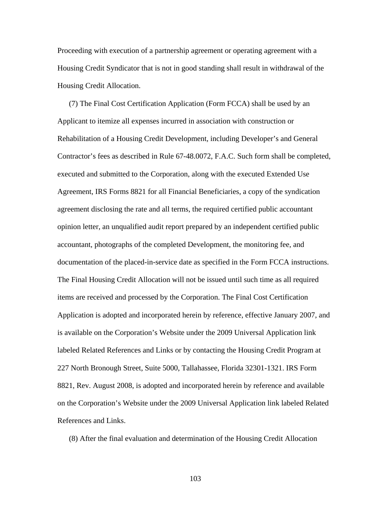Proceeding with execution of a partnership agreement or operating agreement with a Housing Credit Syndicator that is not in good standing shall result in withdrawal of the Housing Credit Allocation.

(7) The Final Cost Certification Application (Form FCCA) shall be used by an Applicant to itemize all expenses incurred in association with construction or Rehabilitation of a Housing Credit Development, including Developer's and General Contractor's fees as described in Rule 67-48.0072, F.A.C. Such form shall be completed, executed and submitted to the Corporation, along with the executed Extended Use Agreement, IRS Forms 8821 for all Financial Beneficiaries, a copy of the syndication agreement disclosing the rate and all terms, the required certified public accountant opinion letter, an unqualified audit report prepared by an independent certified public accountant, photographs of the completed Development, the monitoring fee, and documentation of the placed-in-service date as specified in the Form FCCA instructions. The Final Housing Credit Allocation will not be issued until such time as all required items are received and processed by the Corporation. The Final Cost Certification Application is adopted and incorporated herein by reference, effective January 2007, and is available on the Corporation's Website under the 2009 Universal Application link labeled Related References and Links or by contacting the Housing Credit Program at 227 North Bronough Street, Suite 5000, Tallahassee, Florida 32301-1321. IRS Form 8821, Rev. August 2008, is adopted and incorporated herein by reference and available on the Corporation's Website under the 2009 Universal Application link labeled Related References and Links.

(8) After the final evaluation and determination of the Housing Credit Allocation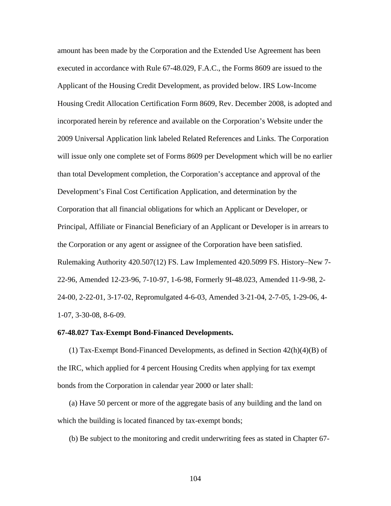amount has been made by the Corporation and the Extended Use Agreement has been executed in accordance with Rule 67-48.029, F.A.C., the Forms 8609 are issued to the Applicant of the Housing Credit Development, as provided below. IRS Low-Income Housing Credit Allocation Certification Form 8609, Rev. December 2008, is adopted and incorporated herein by reference and available on the Corporation's Website under the 2009 Universal Application link labeled Related References and Links. The Corporation will issue only one complete set of Forms 8609 per Development which will be no earlier than total Development completion, the Corporation's acceptance and approval of the Development's Final Cost Certification Application, and determination by the Corporation that all financial obligations for which an Applicant or Developer, or Principal, Affiliate or Financial Beneficiary of an Applicant or Developer is in arrears to the Corporation or any agent or assignee of the Corporation have been satisfied. Rulemaking Authority 420.507(12) FS. Law Implemented 420.5099 FS. History–New 7- 22-96, Amended 12-23-96, 7-10-97, 1-6-98, Formerly 9I-48.023, Amended 11-9-98, 2- 24-00, 2-22-01, 3-17-02, Repromulgated 4-6-03, Amended 3-21-04, 2-7-05, 1-29-06, 4- 1-07, 3-30-08, 8-6-09.

# **67-48.027 Tax-Exempt Bond-Financed Developments.**

(1) Tax-Exempt Bond-Financed Developments, as defined in Section  $42(h)(4)(B)$  of the IRC, which applied for 4 percent Housing Credits when applying for tax exempt bonds from the Corporation in calendar year 2000 or later shall:

(a) Have 50 percent or more of the aggregate basis of any building and the land on which the building is located financed by tax-exempt bonds;

(b) Be subject to the monitoring and credit underwriting fees as stated in Chapter 67-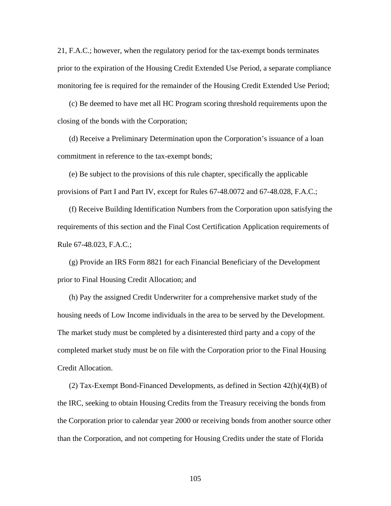21, F.A.C.; however, when the regulatory period for the tax-exempt bonds terminates prior to the expiration of the Housing Credit Extended Use Period, a separate compliance monitoring fee is required for the remainder of the Housing Credit Extended Use Period;

(c) Be deemed to have met all HC Program scoring threshold requirements upon the closing of the bonds with the Corporation;

(d) Receive a Preliminary Determination upon the Corporation's issuance of a loan commitment in reference to the tax-exempt bonds;

(e) Be subject to the provisions of this rule chapter, specifically the applicable provisions of Part I and Part IV, except for Rules 67-48.0072 and 67-48.028, F.A.C.;

(f) Receive Building Identification Numbers from the Corporation upon satisfying the requirements of this section and the Final Cost Certification Application requirements of Rule 67-48.023, F.A.C.;

(g) Provide an IRS Form 8821 for each Financial Beneficiary of the Development prior to Final Housing Credit Allocation; and

(h) Pay the assigned Credit Underwriter for a comprehensive market study of the housing needs of Low Income individuals in the area to be served by the Development. The market study must be completed by a disinterested third party and a copy of the completed market study must be on file with the Corporation prior to the Final Housing Credit Allocation.

(2) Tax-Exempt Bond-Financed Developments, as defined in Section  $42(h)(4)(B)$  of the IRC, seeking to obtain Housing Credits from the Treasury receiving the bonds from the Corporation prior to calendar year 2000 or receiving bonds from another source other than the Corporation, and not competing for Housing Credits under the state of Florida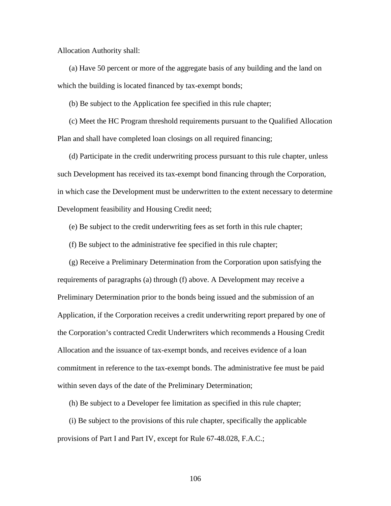Allocation Authority shall:

(a) Have 50 percent or more of the aggregate basis of any building and the land on which the building is located financed by tax-exempt bonds;

(b) Be subject to the Application fee specified in this rule chapter;

(c) Meet the HC Program threshold requirements pursuant to the Qualified Allocation Plan and shall have completed loan closings on all required financing;

(d) Participate in the credit underwriting process pursuant to this rule chapter, unless such Development has received its tax-exempt bond financing through the Corporation, in which case the Development must be underwritten to the extent necessary to determine Development feasibility and Housing Credit need;

(e) Be subject to the credit underwriting fees as set forth in this rule chapter;

(f) Be subject to the administrative fee specified in this rule chapter;

(g) Receive a Preliminary Determination from the Corporation upon satisfying the requirements of paragraphs (a) through (f) above. A Development may receive a Preliminary Determination prior to the bonds being issued and the submission of an Application, if the Corporation receives a credit underwriting report prepared by one of the Corporation's contracted Credit Underwriters which recommends a Housing Credit Allocation and the issuance of tax-exempt bonds, and receives evidence of a loan commitment in reference to the tax-exempt bonds. The administrative fee must be paid within seven days of the date of the Preliminary Determination;

(h) Be subject to a Developer fee limitation as specified in this rule chapter;

(i) Be subject to the provisions of this rule chapter, specifically the applicable provisions of Part I and Part IV, except for Rule 67-48.028, F.A.C.;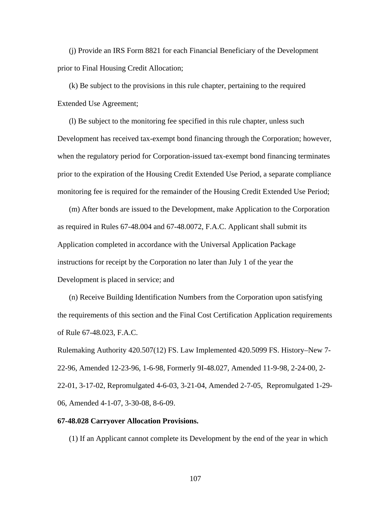(j) Provide an IRS Form 8821 for each Financial Beneficiary of the Development prior to Final Housing Credit Allocation;

(k) Be subject to the provisions in this rule chapter, pertaining to the required Extended Use Agreement;

(l) Be subject to the monitoring fee specified in this rule chapter, unless such Development has received tax-exempt bond financing through the Corporation; however, when the regulatory period for Corporation-issued tax-exempt bond financing terminates prior to the expiration of the Housing Credit Extended Use Period, a separate compliance monitoring fee is required for the remainder of the Housing Credit Extended Use Period;

(m) After bonds are issued to the Development, make Application to the Corporation as required in Rules 67-48.004 and 67-48.0072, F.A.C. Applicant shall submit its Application completed in accordance with the Universal Application Package instructions for receipt by the Corporation no later than July 1 of the year the Development is placed in service; and

(n) Receive Building Identification Numbers from the Corporation upon satisfying the requirements of this section and the Final Cost Certification Application requirements of Rule 67-48.023, F.A.C.

Rulemaking Authority 420.507(12) FS. Law Implemented 420.5099 FS. History–New 7- 22-96, Amended 12-23-96, 1-6-98, Formerly 9I-48.027, Amended 11-9-98, 2-24-00, 2- 22-01, 3-17-02, Repromulgated 4-6-03, 3-21-04, Amended 2-7-05, Repromulgated 1-29- 06, Amended 4-1-07, 3-30-08, 8-6-09.

# **67-48.028 Carryover Allocation Provisions.**

(1) If an Applicant cannot complete its Development by the end of the year in which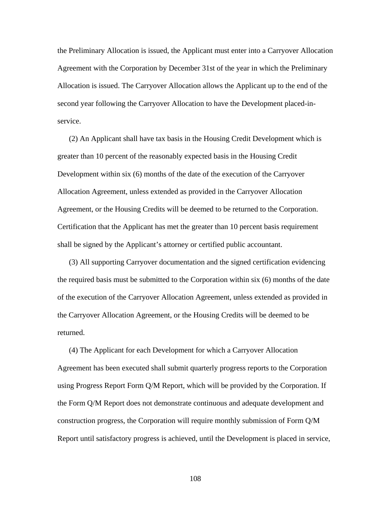the Preliminary Allocation is issued, the Applicant must enter into a Carryover Allocation Agreement with the Corporation by December 31st of the year in which the Preliminary Allocation is issued. The Carryover Allocation allows the Applicant up to the end of the second year following the Carryover Allocation to have the Development placed-inservice.

(2) An Applicant shall have tax basis in the Housing Credit Development which is greater than 10 percent of the reasonably expected basis in the Housing Credit Development within six (6) months of the date of the execution of the Carryover Allocation Agreement, unless extended as provided in the Carryover Allocation Agreement, or the Housing Credits will be deemed to be returned to the Corporation. Certification that the Applicant has met the greater than 10 percent basis requirement shall be signed by the Applicant's attorney or certified public accountant.

(3) All supporting Carryover documentation and the signed certification evidencing the required basis must be submitted to the Corporation within six (6) months of the date of the execution of the Carryover Allocation Agreement, unless extended as provided in the Carryover Allocation Agreement, or the Housing Credits will be deemed to be returned.

(4) The Applicant for each Development for which a Carryover Allocation Agreement has been executed shall submit quarterly progress reports to the Corporation using Progress Report Form Q/M Report, which will be provided by the Corporation. If the Form Q/M Report does not demonstrate continuous and adequate development and construction progress, the Corporation will require monthly submission of Form Q/M Report until satisfactory progress is achieved, until the Development is placed in service,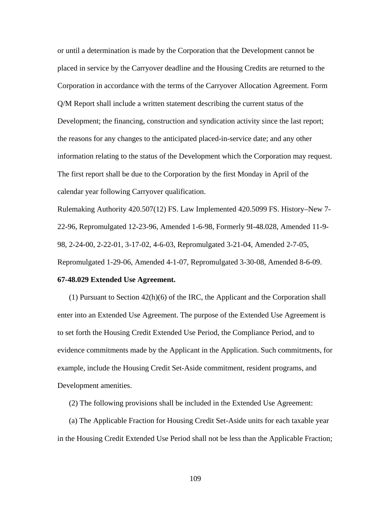or until a determination is made by the Corporation that the Development cannot be placed in service by the Carryover deadline and the Housing Credits are returned to the Corporation in accordance with the terms of the Carryover Allocation Agreement. Form Q/M Report shall include a written statement describing the current status of the Development; the financing, construction and syndication activity since the last report; the reasons for any changes to the anticipated placed-in-service date; and any other information relating to the status of the Development which the Corporation may request. The first report shall be due to the Corporation by the first Monday in April of the calendar year following Carryover qualification.

Rulemaking Authority 420.507(12) FS. Law Implemented 420.5099 FS. History–New 7- 22-96, Repromulgated 12-23-96, Amended 1-6-98, Formerly 9I-48.028, Amended 11-9- 98, 2-24-00, 2-22-01, 3-17-02, 4-6-03, Repromulgated 3-21-04, Amended 2-7-05, Repromulgated 1-29-06, Amended 4-1-07, Repromulgated 3-30-08, Amended 8-6-09.

## **67-48.029 Extended Use Agreement.**

 (1) Pursuant to Section 42(h)(6) of the IRC, the Applicant and the Corporation shall enter into an Extended Use Agreement. The purpose of the Extended Use Agreement is to set forth the Housing Credit Extended Use Period, the Compliance Period, and to evidence commitments made by the Applicant in the Application. Such commitments, for example, include the Housing Credit Set-Aside commitment, resident programs, and Development amenities.

(2) The following provisions shall be included in the Extended Use Agreement:

(a) The Applicable Fraction for Housing Credit Set-Aside units for each taxable year in the Housing Credit Extended Use Period shall not be less than the Applicable Fraction;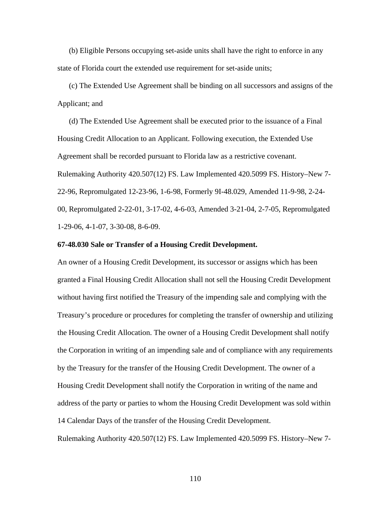(b) Eligible Persons occupying set-aside units shall have the right to enforce in any state of Florida court the extended use requirement for set-aside units;

(c) The Extended Use Agreement shall be binding on all successors and assigns of the Applicant; and

(d) The Extended Use Agreement shall be executed prior to the issuance of a Final Housing Credit Allocation to an Applicant. Following execution, the Extended Use Agreement shall be recorded pursuant to Florida law as a restrictive covenant. Rulemaking Authority 420.507(12) FS. Law Implemented 420.5099 FS. History–New 7- 22-96, Repromulgated 12-23-96, 1-6-98, Formerly 9I-48.029, Amended 11-9-98, 2-24- 00, Repromulgated 2-22-01, 3-17-02, 4-6-03, Amended 3-21-04, 2-7-05, Repromulgated 1-29-06, 4-1-07, 3-30-08, 8-6-09.

## **67-48.030 Sale or Transfer of a Housing Credit Development.**

An owner of a Housing Credit Development, its successor or assigns which has been granted a Final Housing Credit Allocation shall not sell the Housing Credit Development without having first notified the Treasury of the impending sale and complying with the Treasury's procedure or procedures for completing the transfer of ownership and utilizing the Housing Credit Allocation. The owner of a Housing Credit Development shall notify the Corporation in writing of an impending sale and of compliance with any requirements by the Treasury for the transfer of the Housing Credit Development. The owner of a Housing Credit Development shall notify the Corporation in writing of the name and address of the party or parties to whom the Housing Credit Development was sold within 14 Calendar Days of the transfer of the Housing Credit Development. Rulemaking Authority 420.507(12) FS. Law Implemented 420.5099 FS. History–New 7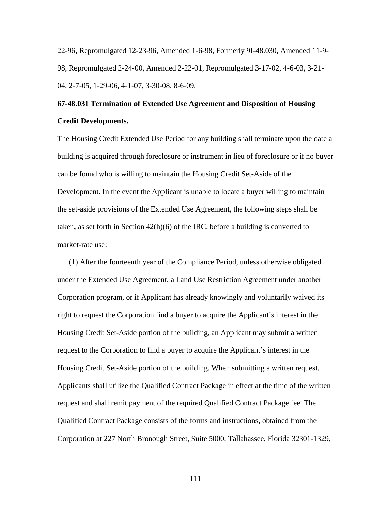22-96, Repromulgated 12-23-96, Amended 1-6-98, Formerly 9I-48.030, Amended 11-9- 98, Repromulgated 2-24-00, Amended 2-22-01, Repromulgated 3-17-02, 4-6-03, 3-21- 04, 2-7-05, 1-29-06, 4-1-07, 3-30-08, 8-6-09.

## **67-48.031 Termination of Extended Use Agreement and Disposition of Housing Credit Developments.**

The Housing Credit Extended Use Period for any building shall terminate upon the date a building is acquired through foreclosure or instrument in lieu of foreclosure or if no buyer can be found who is willing to maintain the Housing Credit Set-Aside of the Development. In the event the Applicant is unable to locate a buyer willing to maintain the set-aside provisions of the Extended Use Agreement, the following steps shall be taken, as set forth in Section 42(h)(6) of the IRC, before a building is converted to market-rate use:

(1) After the fourteenth year of the Compliance Period, unless otherwise obligated under the Extended Use Agreement, a Land Use Restriction Agreement under another Corporation program, or if Applicant has already knowingly and voluntarily waived its right to request the Corporation find a buyer to acquire the Applicant's interest in the Housing Credit Set-Aside portion of the building, an Applicant may submit a written request to the Corporation to find a buyer to acquire the Applicant's interest in the Housing Credit Set-Aside portion of the building. When submitting a written request, Applicants shall utilize the Qualified Contract Package in effect at the time of the written request and shall remit payment of the required Qualified Contract Package fee. The Qualified Contract Package consists of the forms and instructions, obtained from the Corporation at 227 North Bronough Street, Suite 5000, Tallahassee, Florida 32301-1329,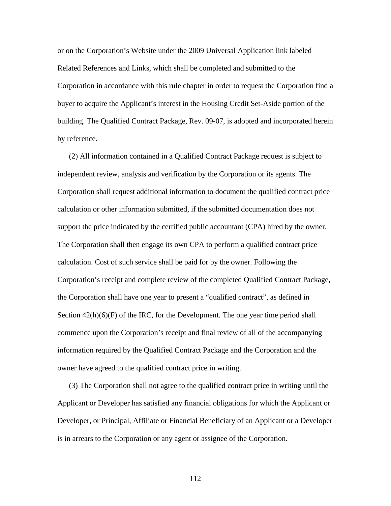or on the Corporation's Website under the 2009 Universal Application link labeled Related References and Links, which shall be completed and submitted to the Corporation in accordance with this rule chapter in order to request the Corporation find a buyer to acquire the Applicant's interest in the Housing Credit Set-Aside portion of the building. The Qualified Contract Package, Rev. 09-07, is adopted and incorporated herein by reference.

(2) All information contained in a Qualified Contract Package request is subject to independent review, analysis and verification by the Corporation or its agents. The Corporation shall request additional information to document the qualified contract price calculation or other information submitted, if the submitted documentation does not support the price indicated by the certified public accountant (CPA) hired by the owner. The Corporation shall then engage its own CPA to perform a qualified contract price calculation. Cost of such service shall be paid for by the owner. Following the Corporation's receipt and complete review of the completed Qualified Contract Package, the Corporation shall have one year to present a "qualified contract", as defined in Section  $42(h)(6)(F)$  of the IRC, for the Development. The one year time period shall commence upon the Corporation's receipt and final review of all of the accompanying information required by the Qualified Contract Package and the Corporation and the owner have agreed to the qualified contract price in writing.

(3) The Corporation shall not agree to the qualified contract price in writing until the Applicant or Developer has satisfied any financial obligations for which the Applicant or Developer, or Principal, Affiliate or Financial Beneficiary of an Applicant or a Developer is in arrears to the Corporation or any agent or assignee of the Corporation.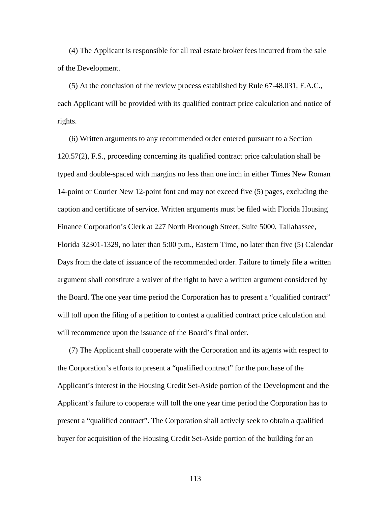(4) The Applicant is responsible for all real estate broker fees incurred from the sale of the Development.

(5) At the conclusion of the review process established by Rule 67-48.031, F.A.C., each Applicant will be provided with its qualified contract price calculation and notice of rights.

(6) Written arguments to any recommended order entered pursuant to a Section 120.57(2), F.S., proceeding concerning its qualified contract price calculation shall be typed and double-spaced with margins no less than one inch in either Times New Roman 14-point or Courier New 12-point font and may not exceed five (5) pages, excluding the caption and certificate of service. Written arguments must be filed with Florida Housing Finance Corporation's Clerk at 227 North Bronough Street, Suite 5000, Tallahassee, Florida 32301-1329, no later than 5:00 p.m., Eastern Time, no later than five (5) Calendar Days from the date of issuance of the recommended order. Failure to timely file a written argument shall constitute a waiver of the right to have a written argument considered by the Board. The one year time period the Corporation has to present a "qualified contract" will toll upon the filing of a petition to contest a qualified contract price calculation and will recommence upon the issuance of the Board's final order.

(7) The Applicant shall cooperate with the Corporation and its agents with respect to the Corporation's efforts to present a "qualified contract" for the purchase of the Applicant's interest in the Housing Credit Set-Aside portion of the Development and the Applicant's failure to cooperate will toll the one year time period the Corporation has to present a "qualified contract". The Corporation shall actively seek to obtain a qualified buyer for acquisition of the Housing Credit Set-Aside portion of the building for an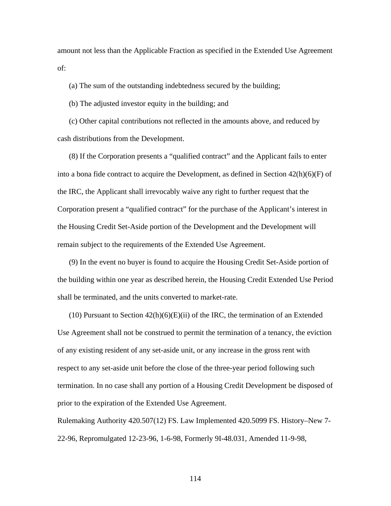amount not less than the Applicable Fraction as specified in the Extended Use Agreement of:

(a) The sum of the outstanding indebtedness secured by the building;

(b) The adjusted investor equity in the building; and

(c) Other capital contributions not reflected in the amounts above, and reduced by cash distributions from the Development.

(8) If the Corporation presents a "qualified contract" and the Applicant fails to enter into a bona fide contract to acquire the Development, as defined in Section  $42(h)(6)(F)$  of the IRC, the Applicant shall irrevocably waive any right to further request that the Corporation present a "qualified contract" for the purchase of the Applicant's interest in the Housing Credit Set-Aside portion of the Development and the Development will remain subject to the requirements of the Extended Use Agreement.

(9) In the event no buyer is found to acquire the Housing Credit Set-Aside portion of the building within one year as described herein, the Housing Credit Extended Use Period shall be terminated, and the units converted to market-rate.

 $(10)$  Pursuant to Section  $42(h)(6)(E)(ii)$  of the IRC, the termination of an Extended Use Agreement shall not be construed to permit the termination of a tenancy, the eviction of any existing resident of any set-aside unit, or any increase in the gross rent with respect to any set-aside unit before the close of the three-year period following such termination. In no case shall any portion of a Housing Credit Development be disposed of prior to the expiration of the Extended Use Agreement.

Rulemaking Authority 420.507(12) FS. Law Implemented 420.5099 FS. History–New 7- 22-96, Repromulgated 12-23-96, 1-6-98, Formerly 9I-48.031, Amended 11-9-98,